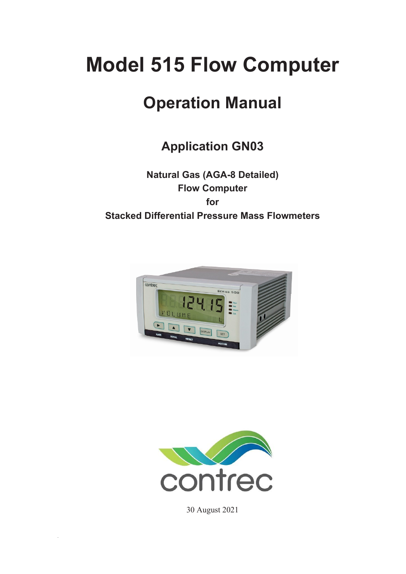# **Model 515 Flow Computer**

# **Operation Manual**

# **Application GN03**

**Natural Gas (AGA-8 Detailed) Flow Computer for Stacked Differential Pressure Mass Flowmeters** 





30 August 2021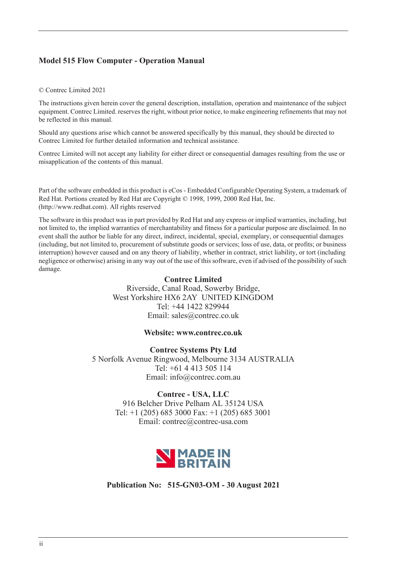### **Model 515 Flow Computer - Operation Manual**

#### © Contrec Limited 2021

The instructions given herein cover the general description, installation, operation and maintenance of the subject equipment. Contrec Limited. reserves the right, without prior notice, to make engineering refinements that may not be reflected in this manual.

Should any questions arise which cannot be answered specifically by this manual, they should be directed to Contrec Limited for further detailed information and technical assistance.

Contrec Limited will not accept any liability for either direct or consequential damages resulting from the use or misapplication of the contents of this manual.

Part of the software embedded in this product is eCos - Embedded Configurable Operating System, a trademark of Red Hat. Portions created by Red Hat are Copyright © 1998, 1999, 2000 Red Hat, Inc. (http://www.redhat.com). All rights reserved

The software in this product was in part provided by Red Hat and any express or implied warranties, including, but not limited to, the implied warranties of merchantability and fitness for a particular purpose are disclaimed. In no event shall the author be liable for any direct, indirect, incidental, special, exemplary, or consequential damages (including, but not limited to, procurement of substitute goods or services; loss of use, data, or profits; or business interruption) however caused and on any theory of liability, whether in contract, strict liability, or tort (including negligence or otherwise) arising in any way out of the use of this software, even if advised of the possibility of such damage.

#### **Contrec Limited**

Riverside, Canal Road, Sowerby Bridge, West Yorkshire HX6 2AY UNITED KINGDOM Tel: +44 1422 829944 Email: sales@contrec.co.uk

### **Website: www.contrec.co.uk**

**Contrec Systems Pty Ltd** 5 Norfolk Avenue Ringwood, Melbourne 3134 AUSTRALIA Tel: +61 4 413 505 114 Email: info@contrec.com.au

#### **Contrec - USA, LLC**

916 Belcher Drive Pelham AL 35124 USA Tel: +1 (205) 685 3000 Fax: +1 (205) 685 3001 Email: contrec@contrec-usa.com



**Publication No: 515-GN03-OM - 30 August 2021**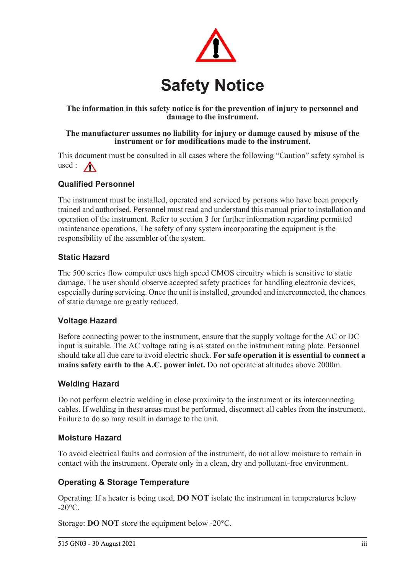

### **The information in this safety notice is for the prevention of injury to personnel and damage to the instrument.**

### **The manufacturer assumes no liability for injury or damage caused by misuse of the instrument or for modifications made to the instrument.**

This document must be consulted in all cases where the following "Caution" safety symbol is used :  $\bigwedge$ 

## **Qualified Personnel**

The instrument must be installed, operated and serviced by persons who have been properly trained and authorised. Personnel must read and understand this manual prior to installation and operation of the instrument. Refer to section 3 for further information regarding permitted maintenance operations. The safety of any system incorporating the equipment is the responsibility of the assembler of the system.

### **Static Hazard**

The 500 series flow computer uses high speed CMOS circuitry which is sensitive to static damage. The user should observe accepted safety practices for handling electronic devices, especially during servicing. Once the unit is installed, grounded and interconnected, the chances of static damage are greatly reduced.

### **Voltage Hazard**

Before connecting power to the instrument, ensure that the supply voltage for the AC or DC input is suitable. The AC voltage rating is as stated on the instrument rating plate. Personnel should take all due care to avoid electric shock. **For safe operation it is essential to connect a mains safety earth to the A.C. power inlet.** Do not operate at altitudes above 2000m.

### **Welding Hazard**

Do not perform electric welding in close proximity to the instrument or its interconnecting cables. If welding in these areas must be performed, disconnect all cables from the instrument. Failure to do so may result in damage to the unit.

### **Moisture Hazard**

To avoid electrical faults and corrosion of the instrument, do not allow moisture to remain in contact with the instrument. Operate only in a clean, dry and pollutant-free environment.

### **Operating & Storage Temperature**

Operating: If a heater is being used, **DO NOT** isolate the instrument in temperatures below  $-20^{\circ}$ C.

Storage: **DO NOT** store the equipment below -20°C.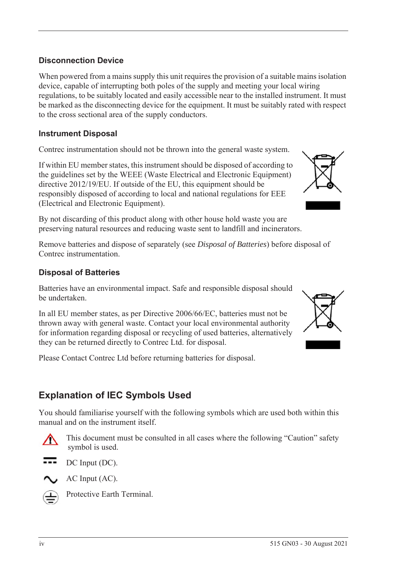### **Disconnection Device**

When powered from a mains supply this unit requires the provision of a suitable mains isolation device, capable of interrupting both poles of the supply and meeting your local wiring regulations, to be suitably located and easily accessible near to the installed instrument. It must be marked as the disconnecting device for the equipment. It must be suitably rated with respect to the cross sectional area of the supply conductors.

### **Instrument Disposal**

Contrec instrumentation should not be thrown into the general waste system.

If within EU member states, this instrument should be disposed of according to the guidelines set by the WEEE (Waste Electrical and Electronic Equipment) directive 2012/19/EU. If outside of the EU, this equipment should be responsibly disposed of according to local and national regulations for EEE (Electrical and Electronic Equipment).

By not discarding of this product along with other house hold waste you are preserving natural resources and reducing waste sent to landfill and incinerators.

Remove batteries and dispose of separately (see *Disposal of Batteries*) before disposal of Contrec instrumentation.

### **Disposal of Batteries**

Batteries have an environmental impact. Safe and responsible disposal should be undertaken.

In all EU member states, as per Directive 2006/66/EC, batteries must not be thrown away with general waste. Contact your local environmental authority for information regarding disposal or recycling of used batteries, alternatively they can be returned directly to Contrec Ltd. for disposal.

Please Contact Contrec Ltd before returning batteries for disposal.

# **Explanation of IEC Symbols Used**

You should familiarise yourself with the following symbols which are used both within this manual and on the instrument itself.



 This document must be consulted in all cases where the following "Caution" safety symbol is used.



AC Input (AC).



Protective Earth Terminal.



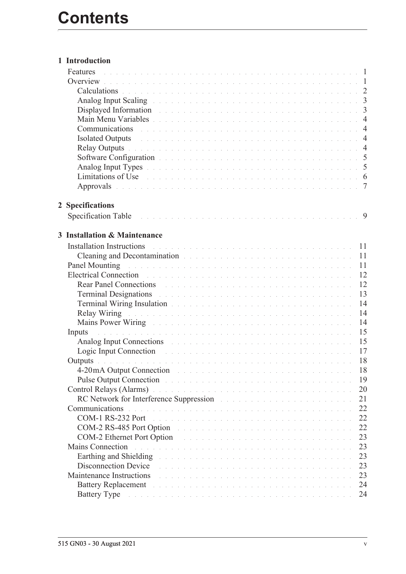| 1 Introduction                                                                                                                                                                                                                      |  |  |  |  |  |  |  |  |    |  |
|-------------------------------------------------------------------------------------------------------------------------------------------------------------------------------------------------------------------------------------|--|--|--|--|--|--|--|--|----|--|
| Features                                                                                                                                                                                                                            |  |  |  |  |  |  |  |  |    |  |
|                                                                                                                                                                                                                                     |  |  |  |  |  |  |  |  |    |  |
| Calculations de la communication de la communication de la communication de la communication de la communication                                                                                                                    |  |  |  |  |  |  |  |  |    |  |
|                                                                                                                                                                                                                                     |  |  |  |  |  |  |  |  |    |  |
| Displayed Information and a contract of the contract of the contract of the contract of the 3                                                                                                                                       |  |  |  |  |  |  |  |  |    |  |
|                                                                                                                                                                                                                                     |  |  |  |  |  |  |  |  |    |  |
| Communications experience and the contract of the contract of the contract of the contract of the contract of the contract of the contract of the contract of the contract of the contract of the contract of the contract of       |  |  |  |  |  |  |  |  |    |  |
| Isolated Outputs and a contract the contract of the contract of the contract of the contract of the 4                                                                                                                               |  |  |  |  |  |  |  |  |    |  |
|                                                                                                                                                                                                                                     |  |  |  |  |  |  |  |  |    |  |
|                                                                                                                                                                                                                                     |  |  |  |  |  |  |  |  |    |  |
| Analog Input Types and a contract the contract of the contract of the contract of the 5                                                                                                                                             |  |  |  |  |  |  |  |  |    |  |
| Limitations of Use the community of the community of the community of the community of the community of the community of the community of the community of the community of the community of the community of the community of      |  |  |  |  |  |  |  |  |    |  |
| Approvals des de la commune de la commune de la commune de la commune de la commune de la commune de la commun                                                                                                                      |  |  |  |  |  |  |  |  |    |  |
| 2 Specifications                                                                                                                                                                                                                    |  |  |  |  |  |  |  |  |    |  |
|                                                                                                                                                                                                                                     |  |  |  |  |  |  |  |  |    |  |
|                                                                                                                                                                                                                                     |  |  |  |  |  |  |  |  |    |  |
| 3 Installation & Maintenance                                                                                                                                                                                                        |  |  |  |  |  |  |  |  |    |  |
| <b>Installation Instructions</b>                                                                                                                                                                                                    |  |  |  |  |  |  |  |  |    |  |
| Cleaning and Decontamination and the contract of the contract of the contract of the contract of the contract of the contract of the contract of the contract of the contract of the contract of the contract of the contract       |  |  |  |  |  |  |  |  | 11 |  |
| Panel Mounting and a contract the contract of the contract of the contract of the contract of                                                                                                                                       |  |  |  |  |  |  |  |  | 11 |  |
| Electrical Connection and a construction of the contract of the contract of the contract of the contract of the                                                                                                                     |  |  |  |  |  |  |  |  | 12 |  |
| Rear Panel Connections and the contract of the contract of the contract of the contract of the contract of the contract of the contract of the contract of the contract of the contract of the contract of the contract of the      |  |  |  |  |  |  |  |  | 12 |  |
| Terminal Designations and a contract the contract of the contract of the contract of the contract of the contract of the contract of the contract of the contract of the contract of the contract of the contract of the contr      |  |  |  |  |  |  |  |  | 13 |  |
| Terminal Wiring Insulation and a contract of the contract of the contract of the contract of the contract of the contract of the contract of the contract of the contract of the contract of the contract of the contract of t      |  |  |  |  |  |  |  |  | 14 |  |
|                                                                                                                                                                                                                                     |  |  |  |  |  |  |  |  | 14 |  |
| Mains Power Wiring <b>Experience Communication</b> Contract Communication Communication Communication Communication Communication Communication Communication Communication Communication Communication Communication Communication |  |  |  |  |  |  |  |  | 14 |  |
| a constitución de la caractería de la caractería de la caractería de la caractería de la caractería de la cara<br>Inputs                                                                                                            |  |  |  |  |  |  |  |  | 15 |  |
| Analog Input Connections and a contract the contract of the contract of the contract of the contract of the contract of the contract of the contract of the contract of the contract of the contract of the contract of the co      |  |  |  |  |  |  |  |  | 15 |  |
| Logic Input Connection and a construction of the contract of the contract of the Connection of the contract of the contract of the contract of the contract of the contract of the contract of the contract of the contract of      |  |  |  |  |  |  |  |  |    |  |
|                                                                                                                                                                                                                                     |  |  |  |  |  |  |  |  |    |  |
| 4-20 mA Output Connection and a construction of the contract of the contract of the contract of the contract of the contract of the contract of the contract of the contract of the contract of the contract of the contract o      |  |  |  |  |  |  |  |  | 18 |  |
| Pulse Output Connection and and a connection of the connection of the connection of the connection of the connection                                                                                                                |  |  |  |  |  |  |  |  | 19 |  |
| Control Relays (Alarms) and a control of the control of the control of the control of the control of the control of the control of the control of the control of the control of the control of the control of the control of t      |  |  |  |  |  |  |  |  | 20 |  |
| RC Network for Interference Suppression and a contract to the contract of the contract of the contract of the contract of the contract of the contract of the contract of the contract of the contract of the contract of the       |  |  |  |  |  |  |  |  | 21 |  |
| Communications<br>.<br>The second complete the complete service of the complete service of the complete service of the complete service                                                                                             |  |  |  |  |  |  |  |  | 22 |  |
|                                                                                                                                                                                                                                     |  |  |  |  |  |  |  |  | 22 |  |
| COM-2 RS-485 Port Option                                                                                                                                                                                                            |  |  |  |  |  |  |  |  | 22 |  |
| COM-2 Ethernet Port Option                                                                                                                                                                                                          |  |  |  |  |  |  |  |  | 23 |  |
| Mains Connection<br>.<br>In the second contract of the second contract of the second contract of the second contract of the second contr                                                                                            |  |  |  |  |  |  |  |  | 23 |  |
| Earthing and Shielding Theorem 2014 Contract of the Contract of the Contract of the Contract of the Contract of the Contract of the Contract of the Contract of the Contract of the Contract of the Contract of the Contract o      |  |  |  |  |  |  |  |  | 23 |  |
| Disconnection Device                                                                                                                                                                                                                |  |  |  |  |  |  |  |  | 23 |  |
| Maintenance Instructions<br>.<br>In the company of the company of the company of the company of the company of the company of the company of th                                                                                     |  |  |  |  |  |  |  |  | 23 |  |
| Battery Replacement and the contract of the contract of the contract of the contract of the contract of the contract of the contract of the contract of the contract of the contract of the contract of the contract of the co      |  |  |  |  |  |  |  |  | 24 |  |
| Battery Type and a substantial contract the contract of the contract of the contract of the contract of the contract of the contract of the contract of the contract of the contract of the contract of the contract of the co      |  |  |  |  |  |  |  |  | 24 |  |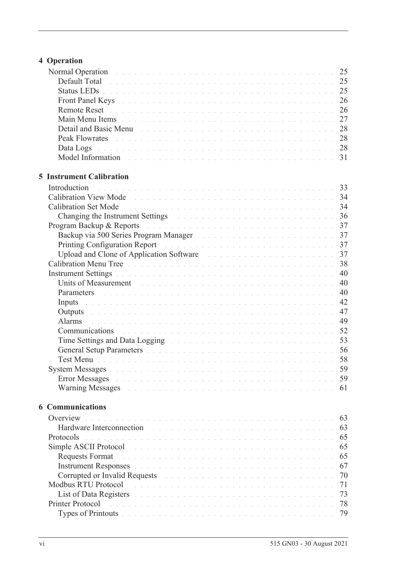# **[4 Operation](#page-34-0)**

| Normal Operation and a contract the contract of the contract of the contract of the 25                                                                                                                                                                 |  |  |  |  |  |  |  |  |    |
|--------------------------------------------------------------------------------------------------------------------------------------------------------------------------------------------------------------------------------------------------------|--|--|--|--|--|--|--|--|----|
| Default Total de la commune de la commune de la commune de la commune de la commune de 25                                                                                                                                                              |  |  |  |  |  |  |  |  |    |
| Status LEDs <b>Election Community 25</b> Status 2017 12:00 Status 2018                                                                                                                                                                                 |  |  |  |  |  |  |  |  |    |
| Front Panel Keys And All Albert Hans and Albert Hans and Albert Hans and Albert 26                                                                                                                                                                     |  |  |  |  |  |  |  |  |    |
|                                                                                                                                                                                                                                                        |  |  |  |  |  |  |  |  |    |
| Main Menu Items des anderes and des anderes and des anderes and the contract of 27                                                                                                                                                                     |  |  |  |  |  |  |  |  |    |
|                                                                                                                                                                                                                                                        |  |  |  |  |  |  |  |  |    |
|                                                                                                                                                                                                                                                        |  |  |  |  |  |  |  |  |    |
| Data Logs de la component de la component de la component de la component de 28                                                                                                                                                                        |  |  |  |  |  |  |  |  |    |
|                                                                                                                                                                                                                                                        |  |  |  |  |  |  |  |  |    |
|                                                                                                                                                                                                                                                        |  |  |  |  |  |  |  |  |    |
| <b>5 Instrument Calibration</b>                                                                                                                                                                                                                        |  |  |  |  |  |  |  |  |    |
| Introduction                                                                                                                                                                                                                                           |  |  |  |  |  |  |  |  |    |
| Calibration View Mode                                                                                                                                                                                                                                  |  |  |  |  |  |  |  |  |    |
|                                                                                                                                                                                                                                                        |  |  |  |  |  |  |  |  |    |
| Changing the Instrument Settings and a contract of the contract of the settings of the contract of the contract of the contract of the contract of the contract of the contract of the contract of the contract of the contrac                         |  |  |  |  |  |  |  |  |    |
| Program Backup & Reports and a contract the contract of the contract of the ST                                                                                                                                                                         |  |  |  |  |  |  |  |  |    |
|                                                                                                                                                                                                                                                        |  |  |  |  |  |  |  |  |    |
| Printing Configuration Report environment and the contract of the contract of the 37                                                                                                                                                                   |  |  |  |  |  |  |  |  |    |
| Upload and Clone of Application Software and a substitution of the state of the state of the state of the state of the state of the state of the state of the state of the state of the state of the state of the state of the                         |  |  |  |  |  |  |  |  | 37 |
| Calibration Menu Tree Albert and Albert and Albert and Albert and Albert and Albert 38                                                                                                                                                                 |  |  |  |  |  |  |  |  |    |
| Instrument Settings and a contract of the contract of the contract of the contract of the 40                                                                                                                                                           |  |  |  |  |  |  |  |  |    |
| Units of Measurement the contract of the contract of the contract of the contract of the contract of the contract of the contract of the contract of the contract of the contract of the contract of the contract of the contr                         |  |  |  |  |  |  |  |  | 40 |
| Parameters and a construction of the construction of the construction of the 40                                                                                                                                                                        |  |  |  |  |  |  |  |  |    |
| Inputs and a communication of the communication of the communication of the communication of the communication                                                                                                                                         |  |  |  |  |  |  |  |  | 42 |
| Outputs and a construction of the construction of the construction of the construction of the construction of the construction of the construction of the construction of the construction of the construction of the construc                         |  |  |  |  |  |  |  |  | 47 |
| Alarms and the community of the community of the community of the community of the community of the community of the community of the community of the community of the community of the community of the community of the com                         |  |  |  |  |  |  |  |  | 49 |
| Communications de la communication de la communication de la communication de la communication de la communication de la communication de S2                                                                                                           |  |  |  |  |  |  |  |  |    |
| Time Settings and Data Logging Theory of the contract of the settings and Data Logging                                                                                                                                                                 |  |  |  |  |  |  |  |  | 53 |
| General Setup Parameters and a contract the contract of the contract of the state of the 56                                                                                                                                                            |  |  |  |  |  |  |  |  |    |
| Test Menu de la componencia de la componencia de la componencia de la 198                                                                                                                                                                              |  |  |  |  |  |  |  |  |    |
| System Messages the community of the community of the set of the community of the community of the community of the community of the community of the community of the community of the community of the community of the comm                         |  |  |  |  |  |  |  |  | 59 |
| <b>Error Messages</b><br>and the second contract of the second contract of the second contract of the second contract of the second contract of the second contract of the second contract of the second contract of the second contract of the second |  |  |  |  |  |  |  |  | 59 |
| Warning Messages and a contract the contract of the contract of the contract of the contract of the contract of                                                                                                                                        |  |  |  |  |  |  |  |  | 61 |
|                                                                                                                                                                                                                                                        |  |  |  |  |  |  |  |  |    |
| <b>6</b> Communications                                                                                                                                                                                                                                |  |  |  |  |  |  |  |  |    |
| Overview<br><u>. La característica de la característica de la característica de la característica de la característica de la</u>                                                                                                                       |  |  |  |  |  |  |  |  | 63 |
| Hardware Interconnection<br>.<br>In de la casa de la casa de la casa de la casa de la casa de la casa de la casa de la casa de la casa de la ca                                                                                                        |  |  |  |  |  |  |  |  | 63 |
| Protocols<br>a constituta de la caractería de la caractería de la caractería de la caractería de la caractería de la caracterí                                                                                                                         |  |  |  |  |  |  |  |  | 65 |
| Simple ASCII Protocol<br>.<br>The contract of the contract of the contract of the contract of the contract of the contract of the contract o                                                                                                           |  |  |  |  |  |  |  |  | 65 |
| Requests Format<br>.<br>The contract of the contract of the contract of the contract of the contract of the contract of the contract of                                                                                                                |  |  |  |  |  |  |  |  | 65 |
| Instrument Responses and a construction of the construction of the construction of the construction of the construction of the construction of the construction of the construction of the construction of the construction of                         |  |  |  |  |  |  |  |  | 67 |
| Corrupted or Invalid Requests and the contract of the contract of the contract of the contract of the contract of the contract of the contract of the contract of the contract of the contract of the contract of the contract                         |  |  |  |  |  |  |  |  | 70 |
| Modbus RTU Protocol<br>.<br>In the second contract of the second contract of the second contract of the second contract of the second contr                                                                                                            |  |  |  |  |  |  |  |  | 71 |
| List of Data Registers and a constant of the construction of the construction of the construction of the construction of the construction of the construction of the construction of the construction of the construction of t                         |  |  |  |  |  |  |  |  | 73 |
| Printer Protocol<br><u>. In the second term of the second second terms of the second terms of the second terms of the second terms of</u>                                                                                                              |  |  |  |  |  |  |  |  | 78 |
| Types of Printouts and a contract of the contract of the contract of the contract of the contract of the contract of the contract of the contract of the contract of the contract of the contract of the contract of the contr                         |  |  |  |  |  |  |  |  | 79 |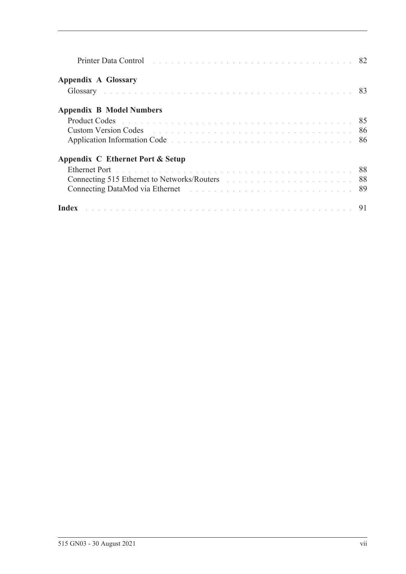| Printer Data Control entrepreneur and the control of the control of the control of the control of the control of the control of the control of the control of the control of the control of the control of the control of the  |  |
|--------------------------------------------------------------------------------------------------------------------------------------------------------------------------------------------------------------------------------|--|
| <b>Appendix A Glossary</b>                                                                                                                                                                                                     |  |
|                                                                                                                                                                                                                                |  |
| <b>Appendix B Model Numbers</b>                                                                                                                                                                                                |  |
|                                                                                                                                                                                                                                |  |
| <b>Custom Version Codes Contained According to the Containing of the Custom Version Codes</b>                                                                                                                                  |  |
| Application Information Code entrances and a series are a series and series and the series of the S6                                                                                                                           |  |
| Appendix C Ethernet Port & Setup                                                                                                                                                                                               |  |
| Ethernet Port de la communication de la communication de la communication de 88                                                                                                                                                |  |
| Connecting 515 Ethernet to Networks/Routers and a substitution of the 1988                                                                                                                                                     |  |
| Connecting DataMod via Ethernet (1) and the connection of the state of the state of the state of the state of the state of the state of the state of the state of the state of the state of the state of the state of the stat |  |
| Index research and a construction of the construction of the construction of $91$                                                                                                                                              |  |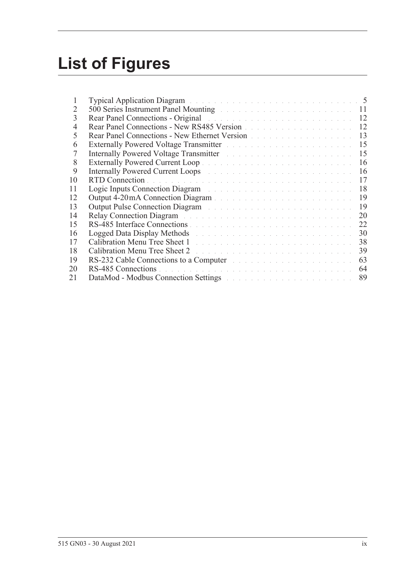# **List of Figures**

| 1  | Typical Application Diagram and a contract of the contract of the contract of the 5                                                                                                                                            |    |
|----|--------------------------------------------------------------------------------------------------------------------------------------------------------------------------------------------------------------------------------|----|
| 2  | 500 Series Instrument Panel Mounting and a contract of the series of the 11                                                                                                                                                    |    |
| 3  | Rear Panel Connections - Original entrepreneur and a series of the series of the 12                                                                                                                                            |    |
| 4  | Rear Panel Connections - New RS485 Version                                                                                                                                                                                     | 12 |
| 5  | Rear Panel Connections - New Ethernet Version                                                                                                                                                                                  | 13 |
| 6  | Externally Powered Voltage Transmitter North State Land and Alexandre Powered Voltage Transmitter North State Land                                                                                                             | 15 |
| 7  | Internally Powered Voltage Transmitter March 2014 and State and State and State and                                                                                                                                            | 15 |
| 8  |                                                                                                                                                                                                                                | 16 |
| 9  | Internally Powered Current Loops and a contract to the contract of the contract of the contract of the contract of the contract of the contract of the contract of the contract of the contract of the contract of the contrac | 16 |
| 10 |                                                                                                                                                                                                                                | 17 |
| 11 | Logic Inputs Connection Diagram and a connection of the Connection of the Connection of the Connection of the Connection of the Connection of the Connection of the Connection of the Connection of the Connection of the Conn | 18 |
| 12 | Output 4-20mA Connection Diagram                                                                                                                                                                                               | 19 |
| 13 | Output Pulse Connection Diagram and a constant of the contract of the contract of the connection of the connection of the connection of the connection of the connection of the connection of the connection of the connection | 19 |
| 14 | Relay Connection Diagram and a connection of the connection of the Connection of the Connection of the Connection of the Connection of the Connection of the Connection of the Connection of the Connection of the Connection  | 20 |
| 15 |                                                                                                                                                                                                                                | 22 |
| 16 | Logged Data Display Methods and a contract the contract of the contract of the contract of the contract of the                                                                                                                 | 30 |
| 17 | Calibration Menu Tree Sheet 1 and the contract of the contract of the contract of the contract of the contract of the contract of the contract of the contract of the contract of the contract of the contract of the contract | 38 |
| 18 |                                                                                                                                                                                                                                | 39 |
| 19 | RS-232 Cable Connections to a Computer and a substitution of the set of the set of the set of the set of the set of the set of the set of the set of the set of the set of the set of the set of the set of the set of the set | 63 |
| 20 |                                                                                                                                                                                                                                | 64 |
| 21 | DataMod - Modbus Connection Settings and a substitution of the settings of the settings of the settings of the settings of the settings of the settings of the settings of the settings of the settings of the settings of the | 89 |
|    |                                                                                                                                                                                                                                |    |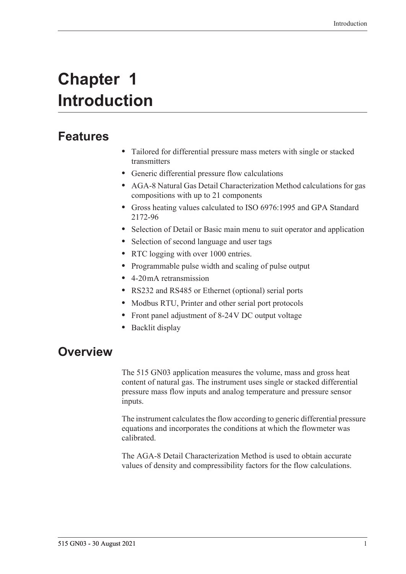# <span id="page-10-0"></span>**Chapter 1 Introduction**

# <span id="page-10-1"></span>**Features**

- **•** Tailored for differential pressure mass meters with single or stacked transmitters
- **•** Generic differential pressure flow calculations
- **•** AGA-8 Natural Gas Detail Characterization Method calculations for gas compositions with up to 21 components
- **•** Gross heating values calculated to ISO 6976:1995 and GPA Standard 2172-96
- **•** Selection of Detail or Basic main menu to suit operator and application
- **•** Selection of second language and user tags
- RTC logging with over 1000 entries.
- **•** Programmable pulse width and scaling of pulse output
- **•** 4-20 mA retransmission
- **•** RS232 and RS485 or Ethernet (optional) serial ports
- **•** Modbus RTU, Printer and other serial port protocols
- **•** Front panel adjustment of 8-24 V DC output voltage
- **•** Backlit display

# <span id="page-10-2"></span>**Overview**

The 515 GN03 application measures the volume, mass and gross heat content of natural gas. The instrument uses single or stacked differential pressure mass flow inputs and analog temperature and pressure sensor inputs.

The instrument calculates the flow according to generic differential pressure equations and incorporates the conditions at which the flowmeter was calibrated.

The AGA-8 Detail Characterization Method is used to obtain accurate values of density and compressibility factors for the flow calculations.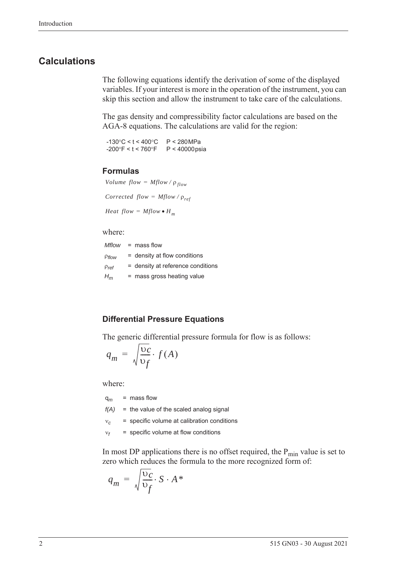### <span id="page-11-0"></span>**Calculations**

The following equations identify the derivation of some of the displayed variables. If your interest is more in the operation of the instrument, you can skip this section and allow the instrument to take care of the calculations.

The gas density and compressibility factor calculations are based on the AGA-8 equations. The calculations are valid for the region:

 $-130^{\circ}$ C < t < 400 $^{\circ}$ C -200F < t < 760F P < 280 MPa P < 40000 psia

### **Formulas**

```
Volume flow = Mflow / \rho_{flow}Corrected flow = Mflow / \rho_{ref}
```
*Heat flow =*  $Mflow \cdot H_m$ 

#### where:

|              | $Mflow = mass flow$               |
|--------------|-----------------------------------|
| $P$ flow     | $=$ density at flow conditions    |
| $\rho_{ref}$ | = density at reference conditions |
| $H_m$        | $=$ mass gross heating value      |

#### **Differential Pressure Equations**

The generic differential pressure formula for flow is as follows:

$$
q_m = \sqrt{\frac{\mathrm{v}_c}{\mathrm{v}_f}} \cdot f(A)
$$

where:

 $q_m$  = mass flow

*f(A)* = the value of the scaled analog signal

 $v_c$  = specific volume at calibration conditions

 $v_f$  = specific volume at flow conditions

In most DP applications there is no offset required, the  $P_{min}$  value is set to zero which reduces the formula to the more recognized form of:

$$
q_m = \sqrt{\frac{\mathrm{v}_c}{\mathrm{v}_f}} \cdot S \cdot A^*
$$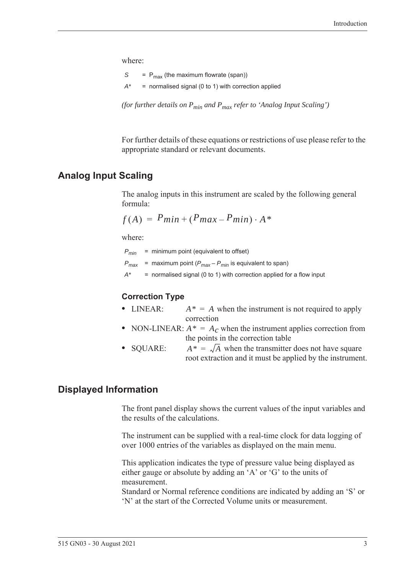where:

 $S = P_{\text{max}}$  (the maximum flowrate (span)) *A\** = normalised signal (0 to 1) with correction applied

*(for further details on Pmin and Pmax refer to 'Analog Input Scaling')*

For further details of these equations or restrictions of use please refer to the appropriate standard or relevant documents.

## <span id="page-12-0"></span>**Analog Input Scaling**

The analog inputs in this instrument are scaled by the following general formula:

$$
f(A) = P_{min} + (P_{max} - P_{min}) \cdot A^*
$$

where:

*Pmin* = minimum point (equivalent to offset)

 $P_{max}$  = maximum point ( $P_{max} - P_{min}$  is equivalent to span)

*A\** = normalised signal (0 to 1) with correction applied for a flow input

### **Correction Type**

- LINEAR:  $A^* = A$  when the instrument is not required to apply correction
- NON-LINEAR:  $A^* = A_c$  when the instrument applies correction from the points in the correction table
- SQUARE:  $A^* = \sqrt{A}$  when the transmitter does not have square root extraction and it must be applied by the instrument.

### <span id="page-12-1"></span>**Displayed Information**

The front panel display shows the current values of the input variables and the results of the calculations.

The instrument can be supplied with a real-time clock for data logging of over 1000 entries of the variables as displayed on the main menu.

This application indicates the type of pressure value being displayed as either gauge or absolute by adding an 'A' or 'G' to the units of measurement.

Standard or Normal reference conditions are indicated by adding an 'S' or 'N' at the start of the Corrected Volume units or measurement.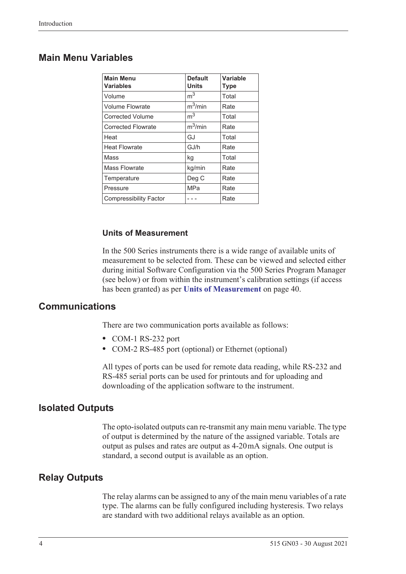# <span id="page-13-0"></span>**Main Menu Variables**

| <b>Main Menu</b><br><b>Variables</b> | <b>Default</b><br><b>Units</b> | <b>Variable</b><br><b>Type</b> |
|--------------------------------------|--------------------------------|--------------------------------|
| Volume                               | m <sup>3</sup>                 | Total                          |
| Volume Flowrate                      | $m^3/m$ in                     | Rate                           |
| Corrected Volume                     | m <sup>3</sup>                 | Total                          |
| <b>Corrected Flowrate</b>            | $m^3/m$ in                     | Rate                           |
| Heat                                 | GJ                             | Total                          |
| <b>Heat Flowrate</b>                 | GJ/h                           | Rate                           |
| Mass                                 | kg                             | Total                          |
| <b>Mass Flowrate</b>                 | kg/min                         | Rate                           |
| Temperature                          | Deg C                          | Rate                           |
| Pressure                             | MPa                            | Rate                           |
| <b>Compressibility Factor</b>        |                                | Rate                           |

### **Units of Measurement**

In the 500 Series instruments there is a wide range of available units of measurement to be selected from. These can be viewed and selected either during initial Software Configuration via the 500 Series Program Manager (see below) or from within the instrument's calibration settings (if access has been granted) as per **[Units of Measurement](#page-49-3)** on page 40.

### <span id="page-13-1"></span>**Communications**

There are two communication ports available as follows:

- **•** COM-1 RS-232 port
- **•** COM-2 RS-485 port (optional) or Ethernet (optional)

All types of ports can be used for remote data reading, while RS-232 and RS-485 serial ports can be used for printouts and for uploading and downloading of the application software to the instrument.

### <span id="page-13-2"></span>**Isolated Outputs**

The opto-isolated outputs can re-transmit any main menu variable. The type of output is determined by the nature of the assigned variable. Totals are output as pulses and rates are output as 4-20 mA signals. One output is standard, a second output is available as an option.

## <span id="page-13-3"></span>**Relay Outputs**

The relay alarms can be assigned to any of the main menu variables of a rate type. The alarms can be fully configured including hysteresis. Two relays are standard with two additional relays available as an option.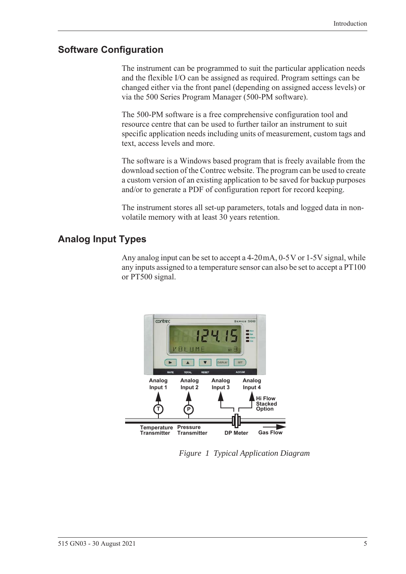### <span id="page-14-0"></span>**Software Configuration**

The instrument can be programmed to suit the particular application needs and the flexible I/O can be assigned as required. Program settings can be changed either via the front panel (depending on assigned access levels) or via the 500 Series Program Manager (500-PM software).

The 500-PM software is a free comprehensive configuration tool and resource centre that can be used to further tailor an instrument to suit specific application needs including units of measurement, custom tags and text, access levels and more.

The software is a Windows based program that is freely available from the download section of the Contrec website. The program can be used to create a custom version of an existing application to be saved for backup purposes and/or to generate a PDF of configuration report for record keeping.

The instrument stores all set-up parameters, totals and logged data in nonvolatile memory with at least 30 years retention.

## <span id="page-14-1"></span>**Analog Input Types**

Any analog input can be set to accept a 4-20 mA, 0-5 V or 1-5 V signal, while any inputs assigned to a temperature sensor can also be set to accept a PT100 or PT500 signal.

<span id="page-14-2"></span>

*Figure 1 Typical Application Diagram*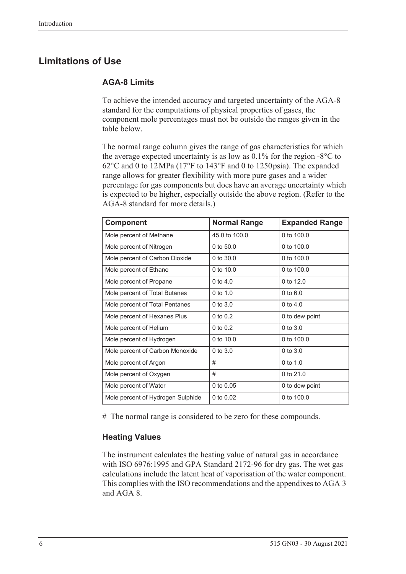# <span id="page-15-0"></span>**Limitations of Use**

### **AGA-8 Limits**

To achieve the intended accuracy and targeted uncertainty of the AGA-8 standard for the computations of physical properties of gases, the component mole percentages must not be outside the ranges given in the table below.

The normal range column gives the range of gas characteristics for which the average expected uncertainty is as low as  $0.1\%$  for the region -8 $\degree$ C to  $62^{\circ}$ C and 0 to 12 MPa (17°F to 143°F and 0 to 1250 psia). The expanded range allows for greater flexibility with more pure gases and a wider percentage for gas components but does have an average uncertainty which is expected to be higher, especially outside the above region. (Refer to the AGA-8 standard for more details.)

| <b>Component</b>                  | <b>Normal Range</b> | <b>Expanded Range</b> |
|-----------------------------------|---------------------|-----------------------|
| Mole percent of Methane           | 45.0 to 100.0       | 0 to 100.0            |
| Mole percent of Nitrogen          | 0 to $50.0$         | 0 to 100.0            |
| Mole percent of Carbon Dioxide    | 0 to 30.0           | 0 to 100.0            |
| Mole percent of Ethane            | 0 to 10.0           | 0 to 100.0            |
| Mole percent of Propane           | 0 to $4.0$          | 0 to $12.0$           |
| Mole percent of Total Butanes     | $0$ to 1.0          | $0$ to $6.0$          |
| Mole percent of Total Pentanes    | $0$ to $3.0$        | $0$ to $4.0$          |
| Mole percent of Hexanes Plus      | $0$ to $0.2$        | 0 to dew point        |
| Mole percent of Helium            | $0$ to $0.2$        | $0$ to $3.0$          |
| Mole percent of Hydrogen          | 0 to 10.0           | 0 to 100.0            |
| Mole percent of Carbon Monoxide   | $0$ to $3.0$        | $0$ to $3.0$          |
| Mole percent of Argon             | #                   | $0$ to $1.0$          |
| Mole percent of Oxygen            | #                   | 0 to 21.0             |
| Mole percent of Water             | 0 to $0.05$         | 0 to dew point        |
| Mole percent of Hydrogen Sulphide | 0 to $0.02$         | 0 to 100.0            |

# The normal range is considered to be zero for these compounds.

### **Heating Values**

The instrument calculates the heating value of natural gas in accordance with ISO 6976:1995 and GPA Standard 2172-96 for dry gas. The wet gas calculations include the latent heat of vaporisation of the water component. This complies with the ISO recommendations and the appendixes to AGA 3 and AGA 8.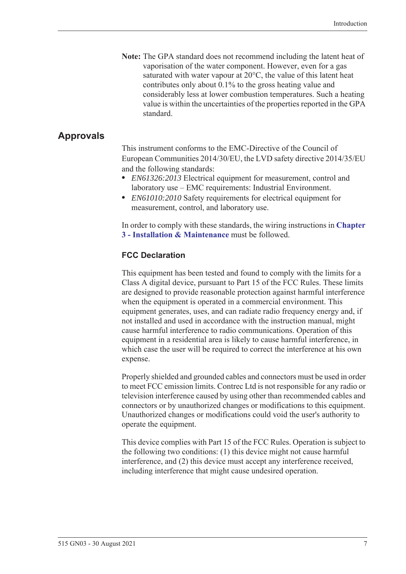**Note:** The GPA standard does not recommend including the latent heat of vaporisation of the water component. However, even for a gas saturated with water vapour at  $20^{\circ}$ C, the value of this latent heat contributes only about 0.1% to the gross heating value and considerably less at lower combustion temperatures. Such a heating value is within the uncertainties of the properties reported in the GPA standard.

### <span id="page-16-0"></span>**Approvals**

This instrument conforms to the EMC-Directive of the Council of European Communities 2014/30/EU, the LVD safety directive 2014/35/EU and the following standards:

- **•** *EN61326:2013* Electrical equipment for measurement, control and laboratory use – EMC requirements: Industrial Environment.
- **•** *EN61010:2010* Safety requirements for electrical equipment for measurement, control, and laboratory use.

In order to comply with these standards, the wiring instructions in **[Chapter](#page-20-5)  [3 - Installation & Maintenance](#page-20-5)** must be followed.

### **FCC Declaration**

This equipment has been tested and found to comply with the limits for a Class A digital device, pursuant to Part 15 of the FCC Rules. These limits are designed to provide reasonable protection against harmful interference when the equipment is operated in a commercial environment. This equipment generates, uses, and can radiate radio frequency energy and, if not installed and used in accordance with the instruction manual, might cause harmful interference to radio communications. Operation of this equipment in a residential area is likely to cause harmful interference, in which case the user will be required to correct the interference at his own expense.

Properly shielded and grounded cables and connectors must be used in order to meet FCC emission limits. Contrec Ltd is not responsible for any radio or television interference caused by using other than recommended cables and connectors or by unauthorized changes or modifications to this equipment. Unauthorized changes or modifications could void the user's authority to operate the equipment.

This device complies with Part 15 of the FCC Rules. Operation is subject to the following two conditions: (1) this device might not cause harmful interference, and (2) this device must accept any interference received, including interference that might cause undesired operation.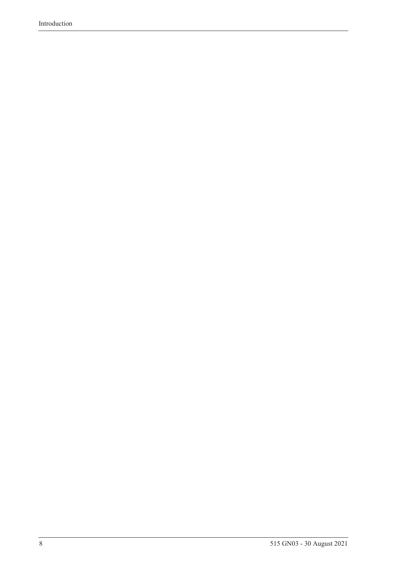Introduction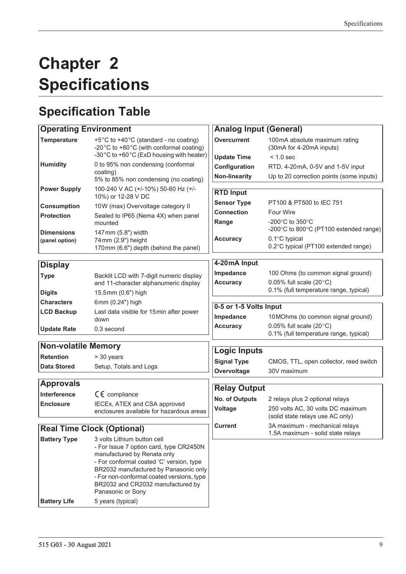# <span id="page-18-0"></span>**Chapter 2 Specifications**

# <span id="page-18-1"></span>**Specification Table**

| <b>Operating Environment</b>        |                                                                                                                                                                                                                                                                                                   | <b>Analog Input (General)</b> |                                                                               |  |  |  |  |
|-------------------------------------|---------------------------------------------------------------------------------------------------------------------------------------------------------------------------------------------------------------------------------------------------------------------------------------------------|-------------------------------|-------------------------------------------------------------------------------|--|--|--|--|
| <b>Temperature</b>                  | +5°C to +40°C (standard - no coating)<br>-20°C to +60°C (with conformal coating)                                                                                                                                                                                                                  | <b>Overcurrent</b>            | 100mA absolute maximum rating<br>(30mA for 4-20mA inputs)                     |  |  |  |  |
|                                     | -30°C to +60°C (ExD housing with heater)                                                                                                                                                                                                                                                          | <b>Update Time</b>            | $< 1.0$ sec                                                                   |  |  |  |  |
| <b>Humidity</b>                     | 0 to 95% non condensing (conformal                                                                                                                                                                                                                                                                | Configuration                 | RTD, 4-20mA, 0-5V and 1-5V input                                              |  |  |  |  |
|                                     | coating)<br>5% to 85% non condensing (no coating)                                                                                                                                                                                                                                                 | <b>Non-linearity</b>          | Up to 20 correction points (some inputs)                                      |  |  |  |  |
| <b>Power Supply</b>                 | 100-240 V AC (+/-10%) 50-60 Hz (+/-<br>10%) or 12-28 V DC                                                                                                                                                                                                                                         | <b>RTD Input</b>              |                                                                               |  |  |  |  |
| <b>Consumption</b>                  | 10W (max) Overvoltage category II                                                                                                                                                                                                                                                                 | <b>Sensor Type</b>            | PT100 & PT500 to IEC 751                                                      |  |  |  |  |
| <b>Protection</b>                   | Sealed to IP65 (Nema 4X) when panel                                                                                                                                                                                                                                                               | <b>Connection</b>             | Four Wire                                                                     |  |  |  |  |
|                                     | mounted                                                                                                                                                                                                                                                                                           | Range                         | -200 $\degree$ C to 350 $\degree$ C<br>-200°C to 800°C (PT100 extended range) |  |  |  |  |
| <b>Dimensions</b><br>(panel option) | 147mm (5.8") width<br>74mm (2.9") height<br>170mm (6.6") depth (behind the panel)                                                                                                                                                                                                                 | <b>Accuracy</b>               | 0.1°C typical<br>0.2°C typical (PT100 extended range)                         |  |  |  |  |
| <b>Display</b>                      |                                                                                                                                                                                                                                                                                                   | 4-20mA Input                  |                                                                               |  |  |  |  |
| <b>Type</b>                         | Backlit LCD with 7-digit numeric display                                                                                                                                                                                                                                                          | Impedance                     | 100 Ohms (to common signal ground)                                            |  |  |  |  |
|                                     | and 11-character alphanumeric display                                                                                                                                                                                                                                                             | <b>Accuracy</b>               | 0.05% full scale $(20^{\circ}C)$                                              |  |  |  |  |
| <b>Digits</b>                       | 15.5mm (0.6") high                                                                                                                                                                                                                                                                                |                               | 0.1% (full temperature range, typical)                                        |  |  |  |  |
| <b>Characters</b>                   | 6mm (0.24") high                                                                                                                                                                                                                                                                                  |                               |                                                                               |  |  |  |  |
| <b>LCD Backup</b>                   | Last data visible for 15 min after power                                                                                                                                                                                                                                                          | 0-5 or 1-5 Volts Input        |                                                                               |  |  |  |  |
|                                     | down                                                                                                                                                                                                                                                                                              | Impedance                     | 10MOhms (to common signal ground)                                             |  |  |  |  |
| <b>Update Rate</b>                  | 0.3 second                                                                                                                                                                                                                                                                                        | <b>Accuracy</b>               | 0.05% full scale $(20^{\circ}C)$<br>0.1% (full temperature range, typical)    |  |  |  |  |
| <b>Non-volatile Memory</b>          |                                                                                                                                                                                                                                                                                                   |                               |                                                                               |  |  |  |  |
| <b>Retention</b>                    | > 30 years                                                                                                                                                                                                                                                                                        | <b>Logic Inputs</b>           |                                                                               |  |  |  |  |
| <b>Data Stored</b>                  | Setup, Totals and Logs                                                                                                                                                                                                                                                                            | <b>Signal Type</b>            | CMOS, TTL, open collector, reed switch                                        |  |  |  |  |
|                                     |                                                                                                                                                                                                                                                                                                   | Overvoltage                   | 30V maximum                                                                   |  |  |  |  |
| <b>Approvals</b>                    |                                                                                                                                                                                                                                                                                                   | <b>Relay Output</b>           |                                                                               |  |  |  |  |
| Interference                        | $C \in \mathbb{C}$ compliance                                                                                                                                                                                                                                                                     | No. of Outputs                | 2 relays plus 2 optional relays                                               |  |  |  |  |
| <b>Enclosure</b>                    | IECEx, ATEX and CSA approved                                                                                                                                                                                                                                                                      | Voltage                       | 250 volts AC, 30 volts DC maximum                                             |  |  |  |  |
|                                     | enclosures available for hazardous areas                                                                                                                                                                                                                                                          |                               | (solid state relays use AC only)                                              |  |  |  |  |
| <b>Real Time Clock (Optional)</b>   |                                                                                                                                                                                                                                                                                                   | <b>Current</b>                | 3A maximum - mechanical relays<br>1.5A maximum - solid state relays           |  |  |  |  |
| <b>Battery Type</b>                 | 3 volts Lithium button cell<br>- For Issue 7 option card, type CR2450N<br>manufactured by Renata only<br>- For conformal coated 'C' version, type<br>BR2032 manufactured by Panasonic only<br>- For non-conformal coated versions, type<br>BR2032 and CR2032 manufactured by<br>Panasonic or Sony |                               |                                                                               |  |  |  |  |

**Battery Life** 5 years (typical)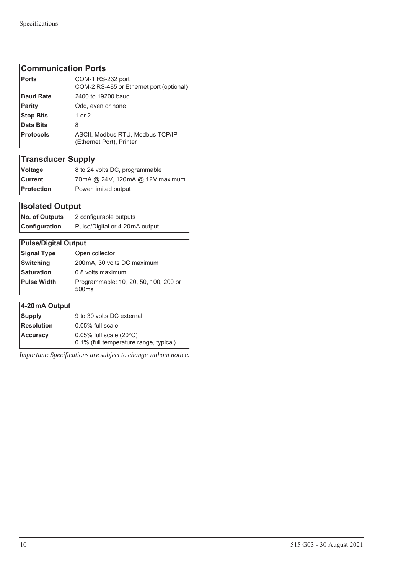### **Communication Ports**

| <b>Ports</b>     | COM-1 RS-232 port<br>COM-2 RS-485 or Ethernet port (optional) |
|------------------|---------------------------------------------------------------|
| <b>Baud Rate</b> | 2400 to 19200 baud                                            |
| <b>Parity</b>    | Odd, even or none                                             |
| <b>Stop Bits</b> | 1 or 2                                                        |
| Data Bits        | 8                                                             |
| <b>Protocols</b> | ASCII, Modbus RTU, Modbus TCP/IP<br>(Ethernet Port), Printer  |

# **Transducer Supply**

| <b>Voltage</b>    | 8 to 24 volts DC, programmable  |
|-------------------|---------------------------------|
| l Current l       | 70mA @ 24V, 120mA @ 12V maximum |
| <b>Protection</b> | Power limited output            |

# **Isolated Output**

| <b>No. of Outputs</b> | 2 configurable outputs         |
|-----------------------|--------------------------------|
| Configuration         | Pulse/Digital or 4-20mA output |

| <b>Pulse/Digital Output</b> |                                                            |  |  |  |  |
|-----------------------------|------------------------------------------------------------|--|--|--|--|
| <b>Signal Type</b>          | Open collector                                             |  |  |  |  |
| Switching                   | 200mA, 30 volts DC maximum                                 |  |  |  |  |
| <b>Saturation</b>           | 0.8 volts maximum                                          |  |  |  |  |
| <b>Pulse Width</b>          | Programmable: 10, 20, 50, 100, 200 or<br>500 <sub>ms</sub> |  |  |  |  |
|                             |                                                            |  |  |  |  |
| 4-20 mA Output              |                                                            |  |  |  |  |
|                             |                                                            |  |  |  |  |

| <b>Supply</b>     | 9 to 30 volts DC external              |
|-------------------|----------------------------------------|
| <b>Resolution</b> | $0.05\%$ full scale                    |
| <b>Accuracy</b>   | $0.05\%$ full scale (20 $\degree$ C)   |
|                   | 0.1% (full temperature range, typical) |

*Important: Specifications are subject to change without notice.*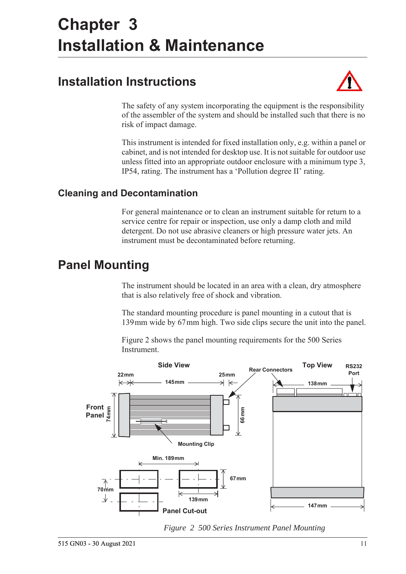# <span id="page-20-5"></span><span id="page-20-0"></span>**Chapter 3 Installation & Maintenance**

# <span id="page-20-1"></span>**Installation Instructions**



The safety of any system incorporating the equipment is the responsibility of the assembler of the system and should be installed such that there is no risk of impact damage.

This instrument is intended for fixed installation only, e.g. within a panel or cabinet, and is not intended for desktop use. It is not suitable for outdoor use unless fitted into an appropriate outdoor enclosure with a minimum type 3, IP54, rating. The instrument has a 'Pollution degree II' rating.

# <span id="page-20-2"></span>**Cleaning and Decontamination**

For general maintenance or to clean an instrument suitable for return to a service centre for repair or inspection, use only a damp cloth and mild detergent. Do not use abrasive cleaners or high pressure water jets. An instrument must be decontaminated before returning.

# <span id="page-20-3"></span>**Panel Mounting**

The instrument should be located in an area with a clean, dry atmosphere that is also relatively free of shock and vibration.

The standard mounting procedure is panel mounting in a cutout that is 139 mm wide by 67 mm high. Two side clips secure the unit into the panel.

[Figure 2](#page-20-4) shows the panel mounting requirements for the 500 Series Instrument.



<span id="page-20-4"></span>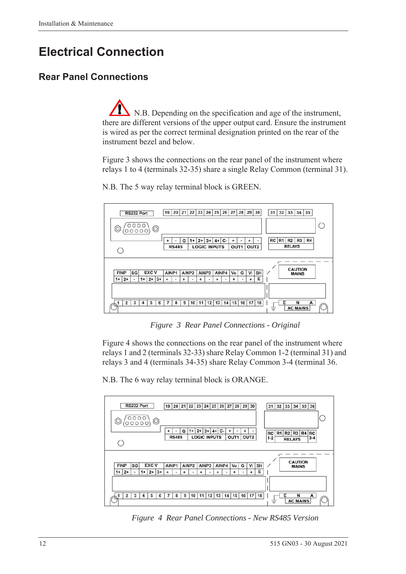# <span id="page-21-0"></span>**Electrical Connection**

# <span id="page-21-1"></span>**Rear Panel Connections**

N.B. Depending on the specification and age of the instrument, there are different versions of the upper output card. Ensure the instrument is wired as per the correct terminal designation printed on the rear of the instrument bezel and below.

[Figure 3](#page-21-2) shows the connections on the rear panel of the instrument where relays 1 to 4 (terminals 32-35) share a single Relay Common (terminal 31).



N.B. The 5 way relay terminal block is GREEN.

*Figure 3 Rear Panel Connections - Original*

<span id="page-21-2"></span>[Figure 4](#page-21-3) shows the connections on the rear panel of the instrument where relays 1 and 2 (terminals 32-33) share Relay Common 1-2 (terminal 31) and relays 3 and 4 (terminals 34-35) share Relay Common 3-4 (terminal 36.

N.B. The 6 way relay terminal block is ORANGE.



<span id="page-21-3"></span>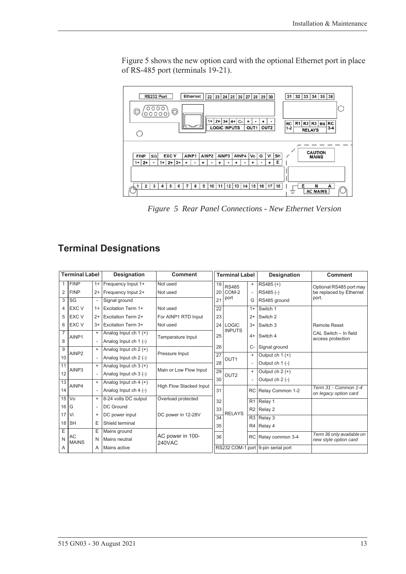[Figure 5](#page-22-1) shows the new option card with the optional Ethernet port in place of RS-485 port (terminals 19-21).



<span id="page-22-1"></span>*Figure 5 Rear Panel Connections - New Ethernet Version*

# <span id="page-22-0"></span>**Terminal Designations**

| <b>Terminal Label</b> |                    |                                              | Designation               | <b>Comment</b>          | <b>Terminal Label</b> |                  |                | Designation                        | <b>Comment</b>                                     |
|-----------------------|--------------------|----------------------------------------------|---------------------------|-------------------------|-----------------------|------------------|----------------|------------------------------------|----------------------------------------------------|
| 1                     | <b>FINP</b>        | $1+$                                         | Frequency Input 1+        | Not used                | 19                    | <b>RS485</b>     | $\ddot{}$      | RS485 (+)                          | Optional RS485 port may                            |
| 2                     | <b>FINP</b>        | $2+$                                         | Frequency Input 2+        | Not used                | 20                    | COM-2            |                | RS485 (-)                          | be replaced by Ethernet                            |
| 3                     | SG                 | $\overline{\phantom{a}}$                     | Signal ground             |                         | 21                    | port             | G              | RS485 ground                       | port.                                              |
| 4                     | EXC V              | $1+$                                         | <b>Excitation Term 1+</b> | Not used                | 22                    |                  | $1+$           | Switch 1                           |                                                    |
| 5                     | EXC V              | $2+$                                         | <b>Excitation Term 2+</b> | For AINP1 RTD Input     | 23                    |                  | $2+$           | Switch 2                           |                                                    |
| 6                     | <b>EXC V</b>       | $3+$                                         | <b>Excitation Term 3+</b> | Not used                | 24                    | <b>LOGIC</b>     | $3+$           | Switch 3                           | <b>Remote Reset</b>                                |
| $\overline{7}$        | AINP1              | $\ddot{}$                                    | Analog Input ch $1 (+)$   | 25<br>Temperature Input | <b>INPUTS</b>         | $4+$             | Switch 4       | CAL Switch - In field              |                                                    |
| 8                     |                    |                                              | Analog Input ch 1 (-)     |                         |                       |                  |                |                                    | access protection                                  |
| 9                     |                    | $\ddot{}$                                    | Analog Input ch $2 (+)$   | Pressure Input          | 26                    |                  | $C-$           | Signal ground                      |                                                    |
| 10                    | AINP <sub>2</sub>  |                                              | Analog Input ch 2 (-)     |                         | $\overline{27}$       | OUT <sub>1</sub> | $+$            | Output ch $1 (+)$                  |                                                    |
| 11                    |                    | $\ddot{}$                                    | Analog Input ch $3 (+)$   | Main or Low Flow Input  | 28                    |                  |                | Output $ch 1$ (-)                  |                                                    |
| 12                    | AINP3              | $\overline{\phantom{a}}$                     | Analog Input ch 3 (-)     |                         | 29                    | OUT <sub>2</sub> | $\ddot{}$      | Output ch $2 (+)$                  |                                                    |
| $\overline{13}$       |                    | $\ddot{}$                                    | Analog Input ch $4 (+)$   | High Flow Stacked Input | 30                    |                  |                | Output $ch 2$ (-)                  |                                                    |
| 14                    | AINP4              |                                              | Analog Input ch 4 (-)     |                         | 31                    |                  | <b>RC</b>      | Relay Common 1-2                   | Term 31 - Common 1-4<br>on legacy option card      |
| 15                    | Vo                 | $\ddot{}$                                    | 8-24 volts DC output      | Overload protected      | 32                    |                  | R <sub>1</sub> | Relay 1                            |                                                    |
| 16                    | G                  | <b>DC</b> Ground<br>$\overline{\phantom{a}}$ | 33                        |                         | R2                    | Relay 2          |                |                                    |                                                    |
| 17                    | Vi                 | $\ddot{}$                                    | DC power input            | DC power in 12-28V      | $\overline{34}$       | <b>RELAYS</b>    | R3             | Relay 3                            |                                                    |
| 18                    | <b>SH</b>          | E                                            | Shield terminal           |                         | 35                    |                  | R4             | Relay 4                            |                                                    |
| Ε                     |                    | Ε                                            | Mains ground              | AC power in 100-        |                       |                  |                |                                    |                                                    |
| N                     | AC<br><b>MAINS</b> | N                                            | Mains neutral             |                         | 36                    |                  | RC             | Relay common 3-4                   | Term 36 only available on<br>new style option card |
| A                     |                    | Α                                            | Mains active              | <b>240VAC</b>           |                       |                  |                | RS232 COM-1 port 9-pin serial port |                                                    |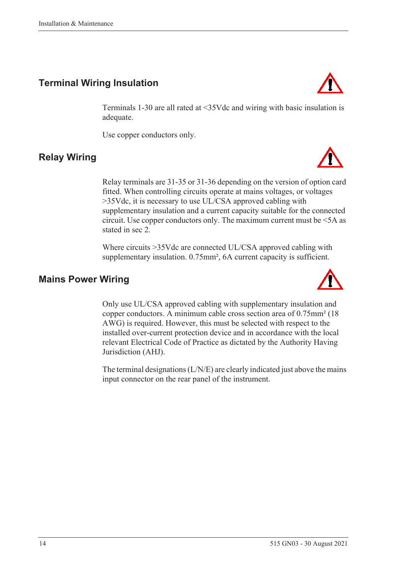# <span id="page-23-0"></span>**Terminal Wiring Insulation**

Terminals 1-30 are all rated at <35Vdc and wiring with basic insulation is adequate.

Use copper conductors only.

stated in sec 2.

# <span id="page-23-1"></span>**Relay Wiring**

Relay terminals are 31-35 or 31-36 depending on the version of option card fitted. When controlling circuits operate at mains voltages, or voltages >35Vdc, it is necessary to use UL/CSA approved cabling with supplementary insulation and a current capacity suitable for the connected circuit. Use copper conductors only. The maximum current must be <5A as

Where circuits >35Vdc are connected UL/CSA approved cabling with supplementary insulation. 0.75mm<sup>2</sup>, 6A current capacity is sufficient.

## <span id="page-23-2"></span>**Mains Power Wiring**

Only use UL/CSA approved cabling with supplementary insulation and copper conductors. A minimum cable cross section area of 0.75mm² (18 AWG) is required. However, this must be selected with respect to the installed over-current protection device and in accordance with the local relevant Electrical Code of Practice as dictated by the Authority Having Jurisdiction (AHJ).

The terminal designations (L/N/E) are clearly indicated just above the mains input connector on the rear panel of the instrument.





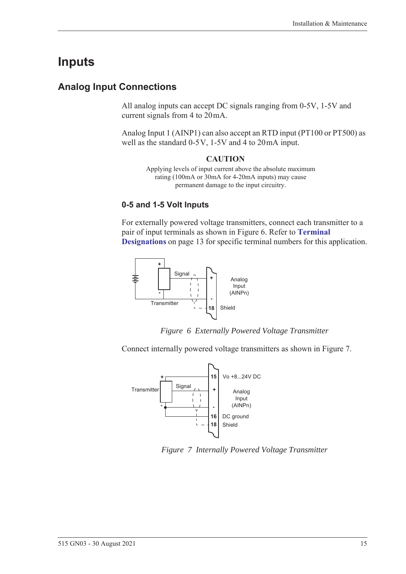# <span id="page-24-0"></span>**Inputs**

# <span id="page-24-1"></span>**Analog Input Connections**

All analog inputs can accept DC signals ranging from 0-5V, 1-5V and current signals from 4 to 20 mA.

Analog Input 1 (AINP1) can also accept an RTD input (PT100 or PT500) as well as the standard  $0-5V$ ,  $1-5V$  and  $4$  to  $20mA$  input.

#### **CAUTION**

Applying levels of input current above the absolute maximum rating (100mA or 30mA for 4-20mA inputs) may cause permanent damage to the input circuitry.

### **0-5 and 1-5 Volt Inputs**

For externally powered voltage transmitters, connect each transmitter to a pair of input terminals as shown in [Figure 6.](#page-24-2) Refer to **[Terminal](#page-22-0)  [Designations](#page-22-0)** on page 13 for specific terminal numbers for this application.



*Figure 6 Externally Powered Voltage Transmitter*

<span id="page-24-2"></span>Connect internally powered voltage transmitters as shown in [Figure 7.](#page-24-3)



<span id="page-24-3"></span>*Figure 7 Internally Powered Voltage Transmitter*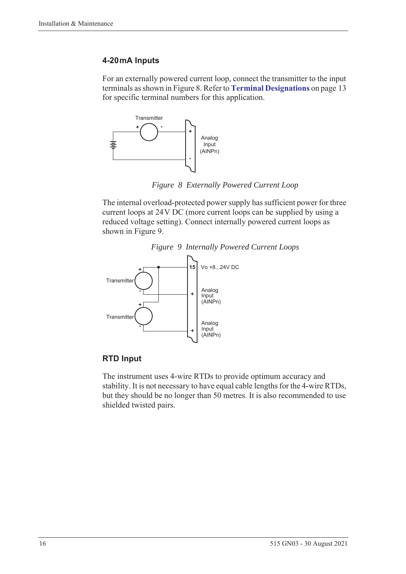### **4-20 mA Inputs**

For an externally powered current loop, connect the transmitter to the input terminals as shown in [Figure 8](#page-25-0). Refer to **[Terminal Designations](#page-22-0)** on page 13 for specific terminal numbers for this application.



*Figure 8 Externally Powered Current Loop*

<span id="page-25-0"></span>The internal overload-protected power supply has sufficient power for three current loops at 24 V DC (more current loops can be supplied by using a reduced voltage setting). Connect internally powered current loops as shown in [Figure 9](#page-25-1).



<span id="page-25-1"></span>

### **RTD Input**

The instrument uses 4-wire RTDs to provide optimum accuracy and stability. It is not necessary to have equal cable lengths for the 4-wire RTDs, but they should be no longer than 50 metres. It is also recommended to use shielded twisted pairs.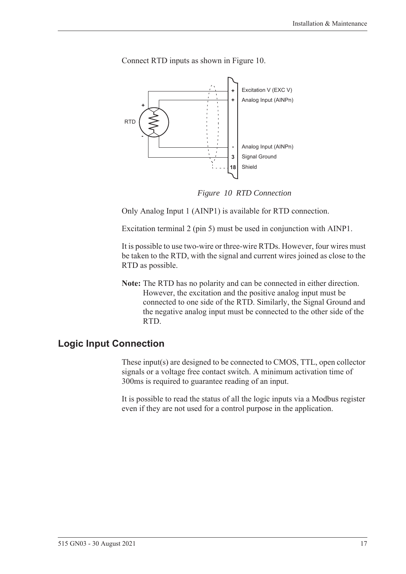

Connect RTD inputs as shown in [Figure 10.](#page-26-1)

*Figure 10 RTD Connection*

<span id="page-26-1"></span>Only Analog Input 1 (AINP1) is available for RTD connection.

Excitation terminal 2 (pin 5) must be used in conjunction with AINP1.

It is possible to use two-wire or three-wire RTDs. However, four wires must be taken to the RTD, with the signal and current wires joined as close to the RTD as possible.

**Note:** The RTD has no polarity and can be connected in either direction. However, the excitation and the positive analog input must be connected to one side of the RTD. Similarly, the Signal Ground and the negative analog input must be connected to the other side of the RTD.

## <span id="page-26-0"></span>**Logic Input Connection**

These input(s) are designed to be connected to CMOS, TTL, open collector signals or a voltage free contact switch. A minimum activation time of 300ms is required to guarantee reading of an input.

It is possible to read the status of all the logic inputs via a Modbus register even if they are not used for a control purpose in the application.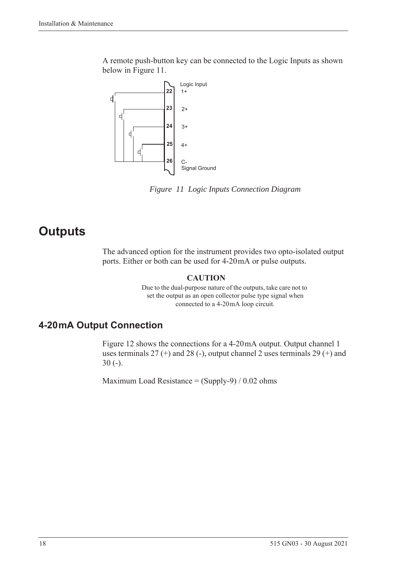A remote push-button key can be connected to the Logic Inputs as shown below in [Figure 11](#page-27-2).



<span id="page-27-2"></span>*Figure 11 Logic Inputs Connection Diagram*

# <span id="page-27-0"></span>**Outputs**

The advanced option for the instrument provides two opto-isolated output ports. Either or both can be used for 4-20 mA or pulse outputs.

### **CAUTION**

Due to the dual-purpose nature of the outputs, take care not to set the output as an open collector pulse type signal when connected to a 4-20 mA loop circuit.

# <span id="page-27-1"></span>**4-20 mA Output Connection**

[Figure 12](#page-28-1) shows the connections for a 4-20 mA output. Output channel 1 uses terminals  $27 (+)$  and  $28 (-)$ , output channel 2 uses terminals  $29 (+)$  and 30 (-).

Maximum Load Resistance =  $(Supply-9) / 0.02$  ohms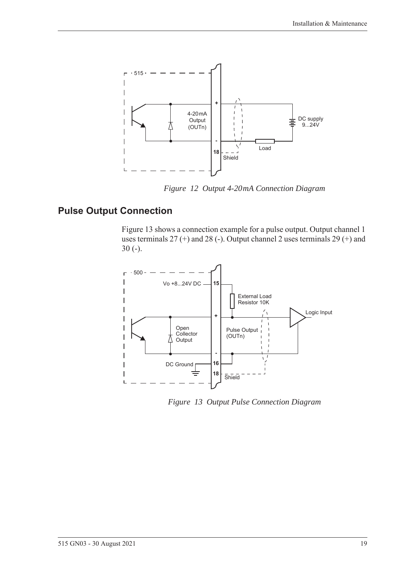

*Figure 12 Output 4-20 mA Connection Diagram*

# <span id="page-28-0"></span>**Pulse Output Connection**

<span id="page-28-1"></span>[Figure 13](#page-28-2) shows a connection example for a pulse output. Output channel 1 uses terminals 27 (+) and 28 (-). Output channel 2 uses terminals 29 (+) and 30 (-).



<span id="page-28-2"></span>*Figure 13 Output Pulse Connection Diagram*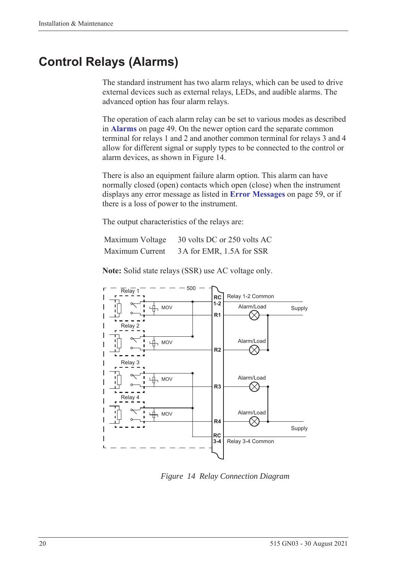# <span id="page-29-0"></span>**Control Relays (Alarms)**

The standard instrument has two alarm relays, which can be used to drive external devices such as external relays, LEDs, and audible alarms. The advanced option has four alarm relays.

The operation of each alarm relay can be set to various modes as described in **Alarms** [on page 49](#page-58-1). On the newer option card the separate common terminal for relays 1 and 2 and another common terminal for relays 3 and 4 allow for different signal or supply types to be connected to the control or alarm devices, as shown in [Figure 14.](#page-29-1)

There is also an equipment failure alarm option. This alarm can have normally closed (open) contacts which open (close) when the instrument displays any error message as listed in **[Error Messages](#page-68-2)** on page 59, or if there is a loss of power to the instrument.

The output characteristics of the relays are:

| Maximum Voltage | 30 volts DC or 250 volts AC |
|-----------------|-----------------------------|
| Maximum Current | 3A for EMR, 1.5A for SSR    |

**Note:** Solid state relays (SSR) use AC voltage only.



<span id="page-29-1"></span>*Figure 14 Relay Connection Diagram*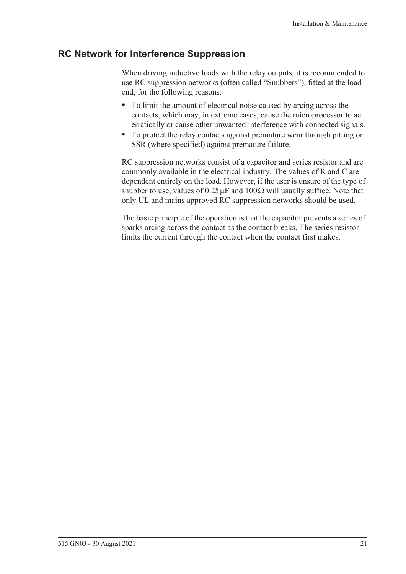## <span id="page-30-0"></span>**RC Network for Interference Suppression**

When driving inductive loads with the relay outputs, it is recommended to use RC suppression networks (often called "Snubbers"), fitted at the load end, for the following reasons:

- **•** To limit the amount of electrical noise caused by arcing across the contacts, which may, in extreme cases, cause the microprocessor to act erratically or cause other unwanted interference with connected signals.
- **•** To protect the relay contacts against premature wear through pitting or SSR (where specified) against premature failure.

RC suppression networks consist of a capacitor and series resistor and are commonly available in the electrical industry. The values of R and C are dependent entirely on the load. However, if the user is unsure of the type of snubber to use, values of  $0.25 \mu$ F and  $100 \Omega$  will usually suffice. Note that only UL and mains approved RC suppression networks should be used.

The basic principle of the operation is that the capacitor prevents a series of sparks arcing across the contact as the contact breaks. The series resistor limits the current through the contact when the contact first makes.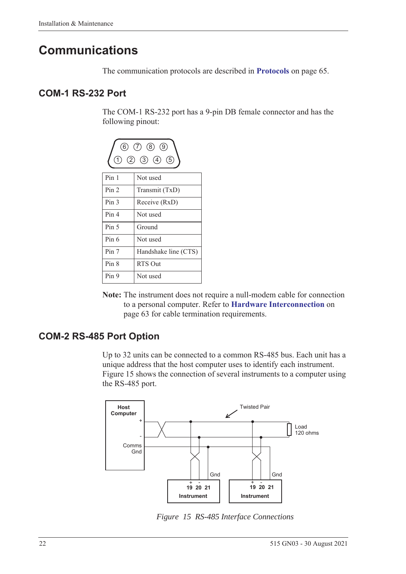# <span id="page-31-0"></span>**Communications**

The communication protocols are described in **Protocols** [on page 65.](#page-74-3)

## <span id="page-31-1"></span>**COM-1 RS-232 Port**

The COM-1 RS-232 port has a 9-pin DB female connector and has the following pinout:



**Note:** The instrument does not require a null-modem cable for connection to a personal computer. Refer to **[Hardware Interconnection](#page-72-4)** on [page 63](#page-72-4) for cable termination requirements.

# <span id="page-31-2"></span>**COM-2 RS-485 Port Option**

Up to 32 units can be connected to a common RS-485 bus. Each unit has a unique address that the host computer uses to identify each instrument. [Figure 15](#page-31-3) shows the connection of several instruments to a computer using the RS-485 port.



<span id="page-31-3"></span>*Figure 15 RS-485 Interface Connections*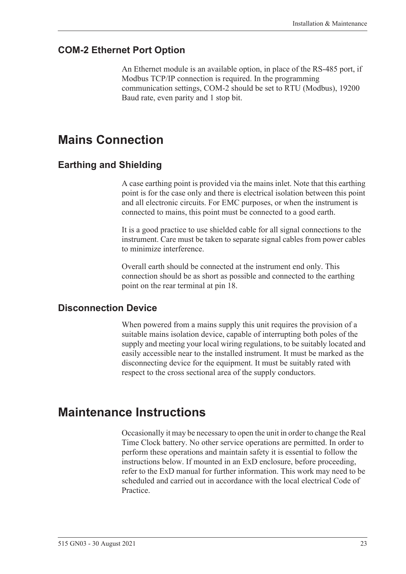## <span id="page-32-0"></span>**COM-2 Ethernet Port Option**

An Ethernet module is an available option, in place of the RS-485 port, if Modbus TCP/IP connection is required. In the programming communication settings, COM-2 should be set to RTU (Modbus), 19200 Baud rate, even parity and 1 stop bit.

# <span id="page-32-1"></span>**Mains Connection**

## <span id="page-32-2"></span>**Earthing and Shielding**

A case earthing point is provided via the mains inlet. Note that this earthing point is for the case only and there is electrical isolation between this point and all electronic circuits. For EMC purposes, or when the instrument is connected to mains, this point must be connected to a good earth.

It is a good practice to use shielded cable for all signal connections to the instrument. Care must be taken to separate signal cables from power cables to minimize interference.

Overall earth should be connected at the instrument end only. This connection should be as short as possible and connected to the earthing point on the rear terminal at pin 18.

## <span id="page-32-3"></span>**Disconnection Device**

When powered from a mains supply this unit requires the provision of a suitable mains isolation device, capable of interrupting both poles of the supply and meeting your local wiring regulations, to be suitably located and easily accessible near to the installed instrument. It must be marked as the disconnecting device for the equipment. It must be suitably rated with respect to the cross sectional area of the supply conductors.

# <span id="page-32-4"></span>**Maintenance Instructions**

Occasionally it may be necessary to open the unit in order to change the Real Time Clock battery. No other service operations are permitted. In order to perform these operations and maintain safety it is essential to follow the instructions below. If mounted in an ExD enclosure, before proceeding, refer to the ExD manual for further information. This work may need to be scheduled and carried out in accordance with the local electrical Code of Practice.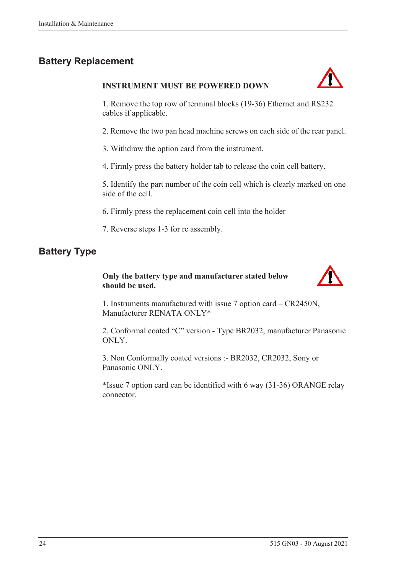# <span id="page-33-0"></span>**Battery Replacement**

### **INSTRUMENT MUST BE POWERED DOWN**



1. Remove the top row of terminal blocks (19-36) Ethernet and RS232 cables if applicable.

2. Remove the two pan head machine screws on each side of the rear panel.

3. Withdraw the option card from the instrument.

4. Firmly press the battery holder tab to release the coin cell battery.

5. Identify the part number of the coin cell which is clearly marked on one side of the cell.

6. Firmly press the replacement coin cell into the holder

7. Reverse steps 1-3 for re assembly.

# <span id="page-33-1"></span>**Battery Type**

### **Only the battery type and manufacturer stated below should be used.**



1. Instruments manufactured with issue 7 option card – CR2450N, Manufacturer RENATA ONLY\*

2. Conformal coated "C" version - Type BR2032, manufacturer Panasonic ONLY.

3. Non Conformally coated versions :- BR2032, CR2032, Sony or Panasonic ONLY.

\*Issue 7 option card can be identified with 6 way (31-36) ORANGE relay connector.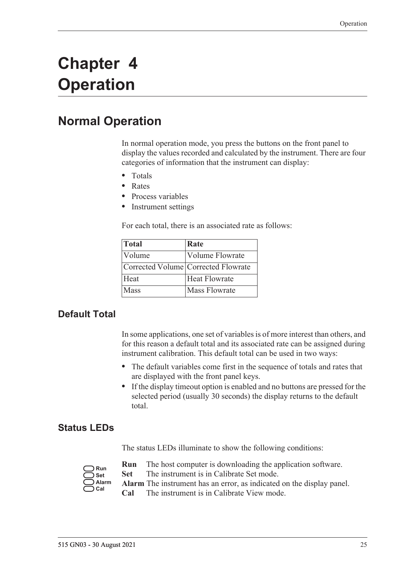# <span id="page-34-0"></span>**Chapter 4 Operation**

# <span id="page-34-1"></span>**Normal Operation**

In normal operation mode, you press the buttons on the front panel to display the values recorded and calculated by the instrument. There are four categories of information that the instrument can display:

- **•** Totals
- **•** Rates
- **•** Process variables
- **•** Instrument settings

For each total, there is an associated rate as follows:

| Total                       | Rate                                |
|-----------------------------|-------------------------------------|
| <i><u><b>Nolume</b></u></i> | <b>Volume Flowrate</b>              |
|                             | Corrected Volume Corrected Flowrate |
| Heat                        | <b>Heat Flowrate</b>                |
| Mass                        | <b>Mass Flowrate</b>                |

# <span id="page-34-2"></span>**Default Total**

In some applications, one set of variables is of more interest than others, and for this reason a default total and its associated rate can be assigned during instrument calibration. This default total can be used in two ways:

- **•** The default variables come first in the sequence of totals and rates that are displayed with the front panel keys.
- **•** If the display timeout option is enabled and no buttons are pressed for the selected period (usually 30 seconds) the display returns to the default total.

## <span id="page-34-3"></span>**Status LEDs**

The status LEDs illuminate to show the following conditions:

| Run   |
|-------|
| Set   |
| Alarm |
| Cal   |

- **Run** The host computer is downloading the application software.
- **Set** The instrument is in Calibrate Set mode.
- **Alarm** The instrument has an error, as indicated on the display panel.
	- **Cal** The instrument is in Calibrate View mode.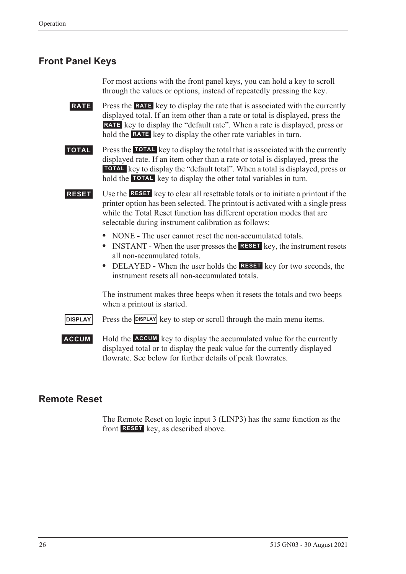# <span id="page-35-0"></span>**Front Panel Keys**

For most actions with the front panel keys, you can hold a key to scroll through the values or options, instead of repeatedly pressing the key.

**RATE** Press the **RATE** key to display the rate that is associated with the currently displayed total. If an item other than a rate or total is displayed, press the RATE key to display the "default rate". When a rate is displayed, press or hold the **RATE** key to display the other rate variables in turn.

**TOTAL** Press the TOTAL key to display the total that is associated with the currently displayed rate. If an item other than a rate or total is displayed, press the **TOTAL** key to display the "default total". When a total is displayed, press or hold the **TOTAL** key to display the other total variables in turn.

**RESET** Use the **RESET** key to clear all resettable totals or to initiate a printout if the printer option has been selected. The printout is activated with a single press while the Total Reset function has different operation modes that are selectable during instrument calibration as follows:

- NONE The user cannot reset the non-accumulated totals.
- INSTANT When the user presses the **RESET** key, the instrument resets all non-accumulated totals.
- DELAYED When the user holds the **RESET** key for two seconds, the instrument resets all non-accumulated totals.

The instrument makes three beeps when it resets the totals and two beeps when a printout is started.

**DISPLAY** Press the **DISPLAY** key to step or scroll through the main menu items.

**ACCUM** Hold the **ACCUM** key to display the accumulated value for the currently displayed total or to display the peak value for the currently displayed flowrate. See below for further details of peak flowrates.

# <span id="page-35-1"></span>**Remote Reset**

The Remote Reset on logic input 3 (LINP3) has the same function as the front **RESET** key, as described above.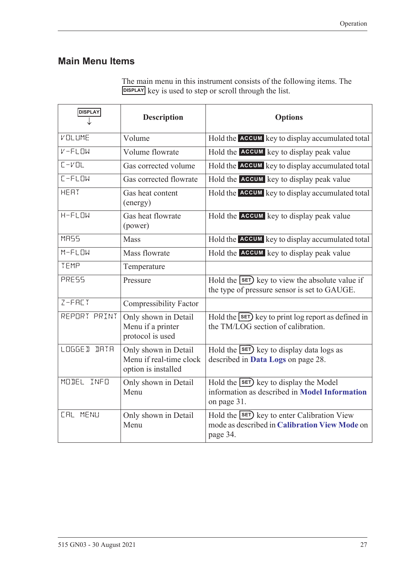# **Main Menu Items**

| The main menu in this instrument consists of the following items. The |  |
|-----------------------------------------------------------------------|--|
| DISPLAY key is used to step or scroll through the list.               |  |

| <b>DISPLAY</b>  | <b>Description</b>                                                     | <b>Options</b>                                                                                                 |
|-----------------|------------------------------------------------------------------------|----------------------------------------------------------------------------------------------------------------|
| <b>VEILLIME</b> | Volume                                                                 | Hold the ACCUM key to display accumulated total                                                                |
| $V$ -FLOW       | Volume flowrate                                                        | Hold the <b>ACCUM</b> key to display peak value                                                                |
| $L - VDL$       | Gas corrected volume                                                   | Hold the ACCUM key to display accumulated total                                                                |
| $L-FLDW$        | Gas corrected flowrate                                                 | Hold the <b>ACCUM</b> key to display peak value                                                                |
| HERT            | Gas heat content<br>(energy)                                           | Hold the ACCUM key to display accumulated total                                                                |
| $H-FLDW$        | Gas heat flowrate<br>(power)                                           | Hold the ACCUM key to display peak value                                                                       |
| MR55            | Mass                                                                   | Hold the ACCUM key to display accumulated total                                                                |
| $M-FLDW$        | Mass flowrate                                                          | Hold the ACCUM key to display peak value                                                                       |
| TEMP            | Temperature                                                            |                                                                                                                |
| PRESS           | Pressure                                                               | Hold the SET key to view the absolute value if<br>the type of pressure sensor is set to GAUGE.                 |
| $Z-FHCT$        | <b>Compressibility Factor</b>                                          |                                                                                                                |
| REPORT PRINT    | Only shown in Detail<br>Menu if a printer<br>protocol is used          | Hold the $\overline{\text{SET}}$ key to print log report as defined in<br>the TM/LOG section of calibration.   |
| LOGGED DATA     | Only shown in Detail<br>Menu if real-time clock<br>option is installed | Hold the <b>SET</b> ) key to display data logs as<br>described in <b>Data Logs</b> on page 28.                 |
| MODEL INFO      | Only shown in Detail<br>Menu                                           | Hold the <b>SET</b> ) key to display the Model<br>information as described in Model Information<br>on page 31. |
| <b>CAL MENU</b> | Only shown in Detail<br>Menu                                           | Hold the SET) key to enter Calibration View<br>mode as described in Calibration View Mode on<br>page 34.       |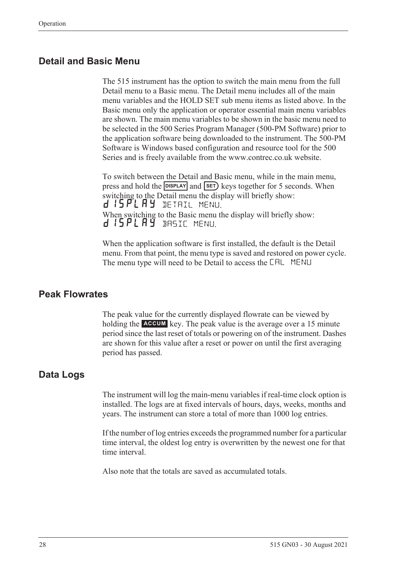### **Detail and Basic Menu**

The 515 instrument has the option to switch the main menu from the full Detail menu to a Basic menu. The Detail menu includes all of the main menu variables and the HOLD SET sub menu items as listed above. In the Basic menu only the application or operator essential main menu variables are shown. The main menu variables to be shown in the basic menu need to be selected in the 500 Series Program Manager (500-PM Software) prior to the application software being downloaded to the instrument. The 500-PM Software is Windows based configuration and resource tool for the 500 Series and is freely available from the www.contrec.co.uk website.

To switch between the Detail and Basic menu, while in the main menu, press and hold the **DISPLAY** and **SET**) keys together for 5 seconds. When switching to the Detail menu the display will briefly show: d 15 PL A Y DETAIL MENU. When switching to the Basic menu the display will briefly show: d 15PLAY BASIC MENU.

When the application software is first installed, the default is the Detail menu. From that point, the menu type is saved and restored on power cycle. The menu type will need to be Detail to access the CAL MENU

### **Peak Flowrates**

The peak value for the currently displayed flowrate can be viewed by holding the **ACCUM** key. The peak value is the average over a 15 minute period since the last reset of totals or powering on of the instrument. Dashes are shown for this value after a reset or power on until the first averaging period has passed.

#### <span id="page-37-0"></span>**Data Logs**

The instrument will log the main-menu variables if real-time clock option is installed. The logs are at fixed intervals of hours, days, weeks, months and years. The instrument can store a total of more than 1000 log entries.

If the number of log entries exceeds the programmed number for a particular time interval, the oldest log entry is overwritten by the newest one for that time interval.

Also note that the totals are saved as accumulated totals.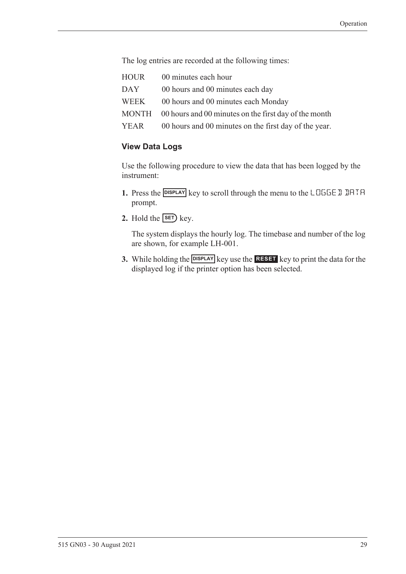The log entries are recorded at the following times:

HOUR 00 minutes each hour DAY 00 hours and 00 minutes each day WEEK 00 hours and 00 minutes each Monday MONTH 00 hours and 00 minutes on the first day of the month YEAR 00 hours and 00 minutes on the first day of the year.

#### **View Data Logs**

Use the following procedure to view the data that has been logged by the instrument:

- **1.** Press the **DISPLAY** key to scroll through the menu to the LOGGE D DATA prompt.
- **2.** Hold the  $\overline{\text{SET}}$  key.

The system displays the hourly log. The timebase and number of the log are shown, for example LH-001.

**3.** While holding the **DISPLAY** key use the **RESET** key to print the data for the displayed log if the printer option has been selected.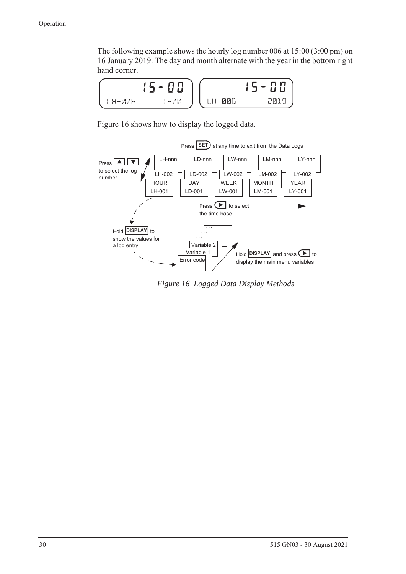The following example shows the hourly log number 006 at 15:00 (3:00 pm) on 16 January 2019. The day and month alternate with the year in the bottom right hand corner.



[Figure 16](#page-39-0) shows how to display the logged data.



<span id="page-39-0"></span>*Figure 16 Logged Data Display Methods*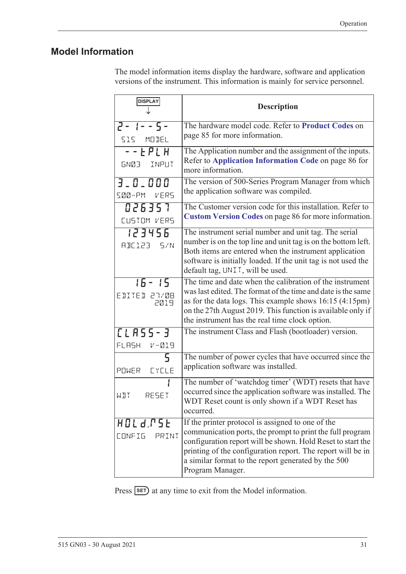# <span id="page-40-1"></span><span id="page-40-0"></span>**Model Information**

The model information items display the hardware, software and application versions of the instrument. This information is mainly for service personnel.

| <b>DISPLAY</b>                     | <b>Description</b>                                                                                                                                                                                                                                                                                                      |
|------------------------------------|-------------------------------------------------------------------------------------------------------------------------------------------------------------------------------------------------------------------------------------------------------------------------------------------------------------------------|
| $2 - 1 - 5 -$<br>SIS MODEL         | The hardware model code. Refer to Product Codes on<br>page 85 for more information.                                                                                                                                                                                                                                     |
| $  FPLH$<br>GN03 INPUT             | The Application number and the assignment of the inputs.<br>Refer to Application Information Code on page 86 for<br>more information.                                                                                                                                                                                   |
| 3.0.000<br>SØØ-PM VERS             | The version of 500-Series Program Manager from which<br>the application software was compiled.                                                                                                                                                                                                                          |
| 026357<br>CUSTOM VERS              | The Customer version code for this installation. Refer to<br>Custom Version Codes on page 86 for more information.                                                                                                                                                                                                      |
| 123456<br>RBE123 5/N               | The instrument serial number and unit tag. The serial<br>number is on the top line and unit tag is on the bottom left.<br>Both items are entered when the instrument application<br>software is initially loaded. If the unit tag is not used the<br>default tag, UNIT, will be used.                                   |
| $15 - 15$<br>EDITED 27/08<br>2019  | The time and date when the calibration of the instrument<br>was last edited. The format of the time and date is the same<br>as for the data logs. This example shows $16:15$ (4:15pm)<br>on the 27th August 2019. This function is available only if<br>the instrument has the real time clock option.                  |
| [LASS-3<br>FLASH<br>$V - 219$      | The instrument Class and Flash (bootloader) version.                                                                                                                                                                                                                                                                    |
| 5<br>POWER EYELE                   | The number of power cycles that have occurred since the<br>application software was installed.                                                                                                                                                                                                                          |
| WIT<br>RESET                       | The number of 'watchdog timer' (WDT) resets that have<br>occurred since the application software was installed. The<br>WDT Reset count is only shown if a WDT Reset has<br>occurred.                                                                                                                                    |
| HOLd.PSE<br><b>CONFIG</b><br>PRINT | If the printer protocol is assigned to one of the<br>communication ports, the prompt to print the full program<br>configuration report will be shown. Hold Reset to start the<br>printing of the configuration report. The report will be in<br>a similar format to the report generated by the 500<br>Program Manager. |

Press **SET**) at any time to exit from the Model information.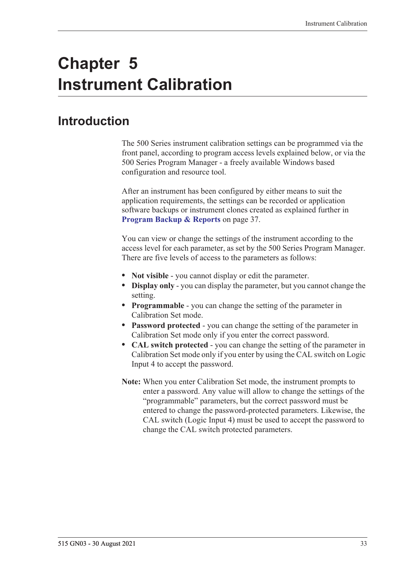# **Chapter 5 Instrument Calibration**

# **Introduction**

The 500 Series instrument calibration settings can be programmed via the front panel, according to program access levels explained below, or via the 500 Series Program Manager - a freely available Windows based configuration and resource tool.

After an instrument has been configured by either means to suit the application requirements, the settings can be recorded or application software backups or instrument clones created as explained further in **[Program Backup & Reports](#page-46-0)** on page 37.

You can view or change the settings of the instrument according to the access level for each parameter, as set by the 500 Series Program Manager. There are five levels of access to the parameters as follows:

- **• Not visible** you cannot display or edit the parameter.
- **• Display only** you can display the parameter, but you cannot change the setting.
- **• Programmable** you can change the setting of the parameter in Calibration Set mode.
- **• Password protected** you can change the setting of the parameter in Calibration Set mode only if you enter the correct password.
- **• CAL switch protected**  you can change the setting of the parameter in Calibration Set mode only if you enter by using the CAL switch on Logic Input 4 to accept the password.
- **Note:** When you enter Calibration Set mode, the instrument prompts to enter a password. Any value will allow to change the settings of the "programmable" parameters, but the correct password must be entered to change the password-protected parameters. Likewise, the CAL switch (Logic Input 4) must be used to accept the password to change the CAL switch protected parameters.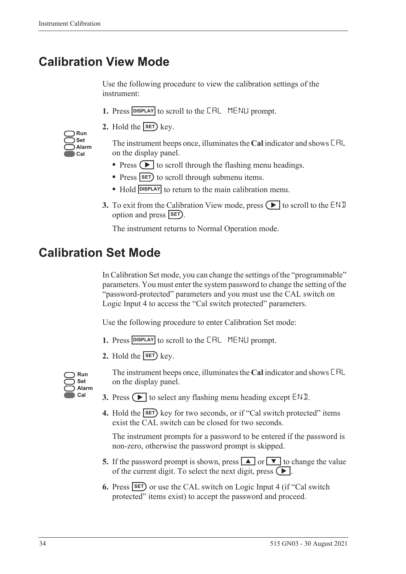# <span id="page-43-0"></span>**Calibration View Mode**

Use the following procedure to view the calibration settings of the instrument:

- 1. Press **DISPLAY** to scroll to the **CAL** MENLI prompt.
- **2.** Hold the  $\overline{\text{SET}}$  key.

| Run   |
|-------|
| Set   |
| Alarm |
| Cal   |

The instrument beeps once, illuminates the **Cal** indicator and shows CAL on the display panel.

- Press  $\left( \blacktriangleright \right)$  to scroll through the flashing menu headings.
- Press **SET** to scroll through submenu items.
- Hold **DISPLAY** to return to the main calibration menu.
- **3.** To exit from the Calibration View mode, press  $\Box$  to scroll to the END option and press **SET**).

The instrument returns to Normal Operation mode.

# **Calibration Set Mode**

In Calibration Set mode, you can change the settings of the "programmable" parameters. You must enter the system password to change the setting of the "password-protected" parameters and you must use the CAL switch on Logic Input 4 to access the "Cal switch protected" parameters.

Use the following procedure to enter Calibration Set mode:

- **1.** Press **DISPLAY** to scroll to the **CAL** MENLI prompt.
- **2.** Hold the  $\overline{\text{SET}}$  key.



The instrument beeps once, illuminates the **Cal** indicator and shows CAL on the display panel.

- **3.** Press  $\left( \blacktriangleright \right)$  to select any flashing menu heading except END.
- **4.** Hold the **SET** key for two seconds, or if "Cal switch protected" items exist the CAL switch can be closed for two seconds.

The instrument prompts for a password to be entered if the password is non-zero, otherwise the password prompt is skipped.

- **5.** If the password prompt is shown, press  $\boxed{\blacktriangle}$  or  $\boxed{\blacktriangledown}$  to change the value of the current digit. To select the next digit, press  $\left( \blacktriangleright \right)$ .
- **6.** Press **SET** or use the CAL switch on Logic Input 4 (if "Cal switch protected" items exist) to accept the password and proceed.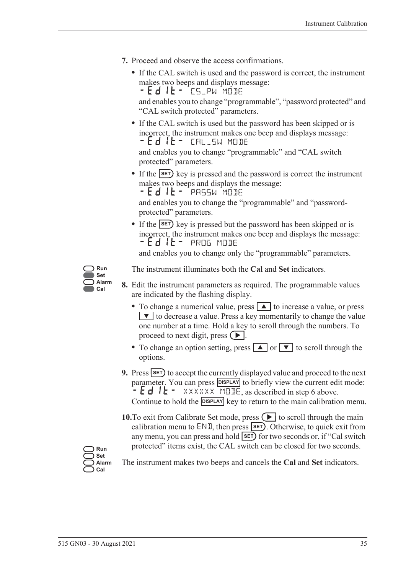- **7.** Proceed and observe the access confirmations.
	- **•** If the CAL switch is used and the password is correct, the instrument makes two beeps and displays message: - Ed IL - CS\_PW MODE

and enables you to change "programmable", "password protected" and "CAL switch protected" parameters.

**•** If the CAL switch is used but the password has been skipped or is incorrect, the instrument makes one beep and displays message: -EDIT- CAL\_SW MODE

and enables you to change "programmable" and "CAL switch protected" parameters.

• If the **SET**) key is pressed and the password is correct the instrument makes two beeps and displays the message:

 $-Ed$  it - PASSW MODE

and enables you to change the "programmable" and "passwordprotected" parameters.

• If the **SET**) key is pressed but the password has been skipped or is incorrect, the instrument makes one beep and displays the message: -EDIT- PROG MODE

and enables you to change only the "programmable" parameters.



The instrument illuminates both the **Cal** and **Set** indicators.

- **8.** Edit the instrument parameters as required. The programmable values are indicated by the flashing display.
	- To change a numerical value, press **A** to increase a value, or press  $\blacktriangledown$  to decrease a value. Press a key momentarily to change the value one number at a time. Hold a key to scroll through the numbers. To proceed to next digit, press  $( \blacktriangleright ).$
	- To change an option setting, press **A** or  $\bullet$  to scroll through the options.
- **9.** Press **SET** to accept the currently displayed value and proceed to the next parameter. You can press **DISPLAY** to briefly view the current edit mode:  $-Ed$   $E - \frac{2}{x}$  XXXXXX MODE, as described in step 6 above. Continue to hold the **DISPLAY** key to return to the main calibration menu.
- **10.**To exit from Calibrate Set mode, press  $\left( \blacktriangleright \right)$  to scroll through the main calibration menu to  $ENI$ , then press  $SET$ . Otherwise, to quick exit from any menu, you can press and hold **SET** for two seconds or, if "Cal switch protected" items exist, the CAL switch can be closed for two seconds.

**Run Set Alarm Cal**

The instrument makes two beeps and cancels the **Cal** and **Set** indicators.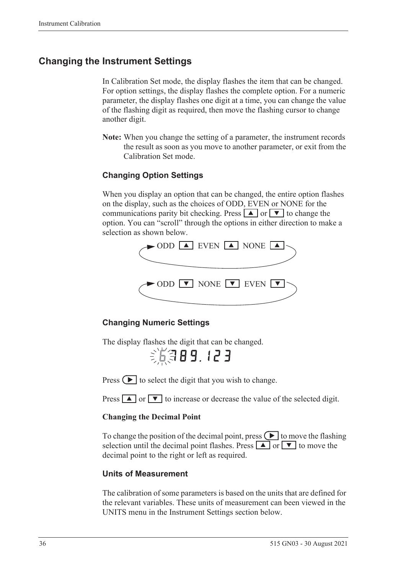# **Changing the Instrument Settings**

In Calibration Set mode, the display flashes the item that can be changed. For option settings, the display flashes the complete option. For a numeric parameter, the display flashes one digit at a time, you can change the value of the flashing digit as required, then move the flashing cursor to change another digit.

**Note:** When you change the setting of a parameter, the instrument records the result as soon as you move to another parameter, or exit from the Calibration Set mode.

### **Changing Option Settings**

When you display an option that can be changed, the entire option flashes on the display, such as the choices of ODD, EVEN or NONE for the communications parity bit checking. Press  $\boxed{\blacktriangle}$  or  $\boxed{\blacktriangledown}$  to change the option. You can "scroll" through the options in either direction to make a selection as shown below.



#### **Changing Numeric Settings**

The display flashes the digit that can be changed.

第第89.123

Press  $\left( \blacktriangleright \right)$  to select the digit that you wish to change.

Press  $\boxed{\blacktriangle}$  or  $\boxed{\blacktriangledown}$  to increase or decrease the value of the selected digit.

#### **Changing the Decimal Point**

To change the position of the decimal point, press  $\Box$  to move the flashing selection until the decimal point flashes. Press  $\boxed{\blacktriangle}$  or  $\boxed{\blacktriangledown}$  to move the decimal point to the right or left as required.

#### **Units of Measurement**

The calibration of some parameters is based on the units that are defined for the relevant variables. These units of measurement can been viewed in the UNITS menu in the Instrument Settings section below.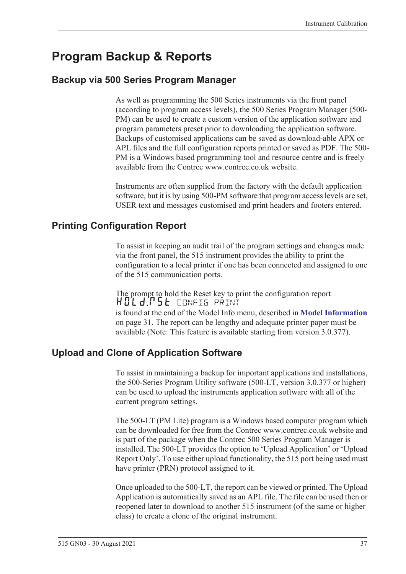# <span id="page-46-0"></span>**Program Backup & Reports**

### **Backup via 500 Series Program Manager**

As well as programming the 500 Series instruments via the front panel (according to program access levels), the 500 Series Program Manager (500- PM) can be used to create a custom version of the application software and program parameters preset prior to downloading the application software. Backups of customised applications can be saved as download-able APX or APL files and the full configuration reports printed or saved as PDF. The 500- PM is a Windows based programming tool and resource centre and is freely available from the Contrec www.contrec.co.uk website.

Instruments are often supplied from the factory with the default application software, but it is by using 500-PM software that program access levels are set, USER text and messages customised and print headers and footers entered.

### **Printing Configuration Report**

To assist in keeping an audit trail of the program settings and changes made via the front panel, the 515 instrument provides the ability to print the configuration to a local printer if one has been connected and assigned to one of the 515 communication ports.

The prompt to hold the Reset key to print the configuration report HOLd:P5E config print is found at the end of the Model Info menu, described in **[Model Information](#page-40-1)** [on page 31](#page-40-1). The report can be lengthy and adequate printer paper must be available (Note: This feature is available starting from version 3.0.377).

### **Upload and Clone of Application Software**

To assist in maintaining a backup for important applications and installations, the 500-Series Program Utility software (500-LT, version 3.0.377 or higher) can be used to upload the instruments application software with all of the current program settings.

The 500-LT (PM Lite) program is a Windows based computer program which can be downloaded for free from the Contrec www.contrec.co.uk website and is part of the package when the Contrec 500 Series Program Manager is installed. The 500-LT provides the option to 'Upload Application' or 'Upload Report Only'. To use either upload functionality, the 515 port being used must have printer (PRN) protocol assigned to it.

Once uploaded to the 500-LT, the report can be viewed or printed. The Upload Application is automatically saved as an APL file. The file can be used then or reopened later to download to another 515 instrument (of the same or higher class) to create a clone of the original instrument.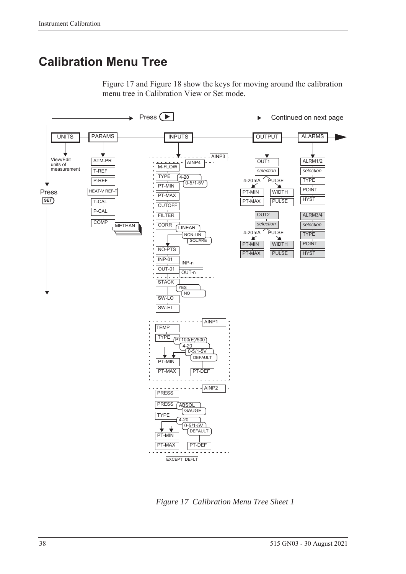# **Calibration Menu Tree**





<span id="page-47-0"></span>*Figure 17 Calibration Menu Tree Sheet 1*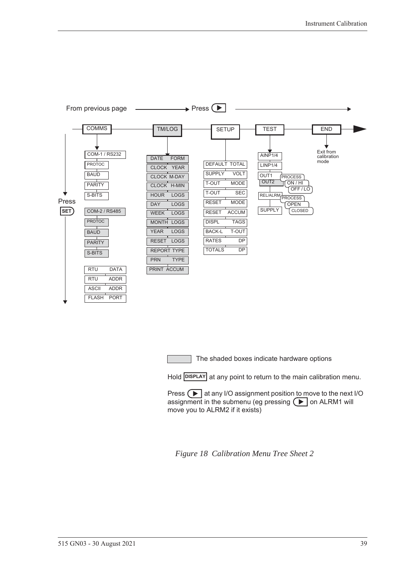

The shaded boxes indicate hardware options

Hold **DISPLAY** at any point to return to the main calibration menu.

Press  $\Box$  at any I/O assignment position to move to the next I/O assignment in the submenu (eg pressing  $\left( \blacktriangleright \right)$  on ALRM1 will move you to ALRM2 if it exists)

<span id="page-48-0"></span>*Figure 18 Calibration Menu Tree Sheet 2*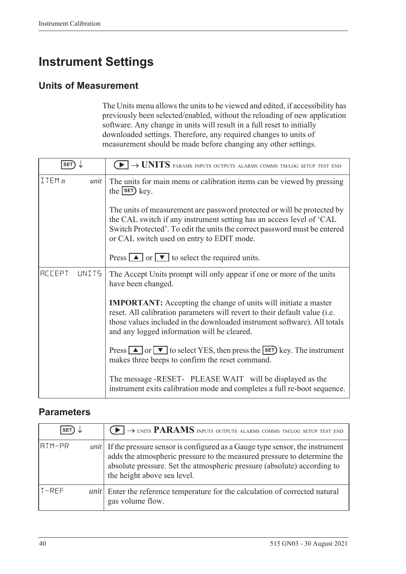# **Instrument Settings**

# **Units of Measurement**

The Units menu allows the units to be viewed and edited, if accessibility has previously been selected/enabled, without the reloading of new application software. Any change in units will result in a full reset to initially downloaded settings. Therefore, any required changes to units of measurement should be made before changing any other settings.

| <b>SET</b>             | $\blacktriangleright$ $\rightarrow$ UNITS params inputs outputs alarms comms tm/log setup test end                                                                                                                                                                              |
|------------------------|---------------------------------------------------------------------------------------------------------------------------------------------------------------------------------------------------------------------------------------------------------------------------------|
| ITEMn<br>unit          | The units for main menu or calibration items can be viewed by pressing<br>the $\left  \text{set} \right $ key.                                                                                                                                                                  |
|                        | The units of measurement are password protected or will be protected by<br>the CAL switch if any instrument setting has an access level of 'CAL<br>Switch Protected'. To edit the units the correct password must be entered<br>or CAL switch used on entry to EDIT mode.       |
|                        | Press $\boxed{\blacktriangle}$ or $\boxed{\blacktriangledown}$ to select the required units.                                                                                                                                                                                    |
| <b>ACCEPT</b><br>UNIT5 | The Accept Units prompt will only appear if one or more of the units<br>have been changed.                                                                                                                                                                                      |
|                        | <b>IMPORTANT:</b> Accepting the change of units will initiate a master<br>reset. All calibration parameters will revert to their default value (i.e.<br>those values included in the downloaded instrument software). All totals<br>and any logged information will be cleared. |
|                        | Press $\Box$ or $\nabla$ to select YES, then press the <b>SET</b> ) key. The instrument<br>makes three beeps to confirm the reset command.                                                                                                                                      |
|                        | The message -RESET- PLEASE WAIT will be displayed as the<br>instrument exits calibration mode and completes a full re-boot sequence.                                                                                                                                            |

### **Parameters**

| <b>SET</b> |      | $\left(\blacktriangleright\right)\rightarrow$ units PARAMS inputs outputs alarms comms tm/log setup test end                                                                                                                                                                 |
|------------|------|------------------------------------------------------------------------------------------------------------------------------------------------------------------------------------------------------------------------------------------------------------------------------|
| IATM-PR    |      | <i>unit</i> If the pressure sensor is configured as a Gauge type sensor, the instrument<br>adds the atmospheric pressure to the measured pressure to determine the<br>absolute pressure. Set the atmospheric pressure (absolute) according to<br>the height above sea level. |
| $T-RFF$    | unit | Enter the reference temperature for the calculation of corrected natural<br>gas volume flow.                                                                                                                                                                                 |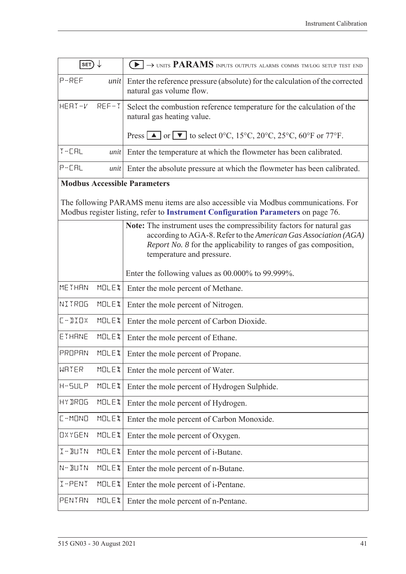| <b>SET</b> |      | $\textcolor{blue}{\blacktriangledown} \rightarrow$ units PARAMS inputs outputs alarms comms tm/log setup test end |  |
|------------|------|-------------------------------------------------------------------------------------------------------------------|--|
| P-REF      | unit | Enter the reference pressure (absolute) for the calculation of the corrected<br>natural gas volume flow.          |  |
| HEAT-V     |      | $REF-T$ Select the combustion reference temperature for the calculation of the<br>natural gas heating value.      |  |
|            |      | Press $\Box$ or $\nabla$ to select 0°C, 15°C, 20°C, 25°C, 60°F or 77°F.                                           |  |
| $T - LHL$  |      | <i>unit</i> Enter the temperature at which the flowmeter has been calibrated.                                     |  |
| $P-CHL$    | unit | Enter the absolute pressure at which the flowmeter has been calibrated.                                           |  |

#### **Modbus Accessible Parameters**

The following PARAMS menu items are also accessible via Modbus communications. For Modbus register listing, refer to **[Instrument Configuration Parameters](#page-85-0)** on page 76.

|                       |              | Note: The instrument uses the compressibility factors for natural gas<br>according to AGA-8. Refer to the American Gas Association (AGA)<br>Report No. 8 for the applicability to ranges of gas composition,<br>temperature and pressure. |
|-----------------------|--------------|-------------------------------------------------------------------------------------------------------------------------------------------------------------------------------------------------------------------------------------------|
|                       |              | Enter the following values as $00.000\%$ to 99.999%.                                                                                                                                                                                      |
| <b>METHAN</b>         | MOLEX        | Enter the mole percent of Methane.                                                                                                                                                                                                        |
| NITROG                | MOLEX        | Enter the mole percent of Nitrogen.                                                                                                                                                                                                       |
| $[-\text{IIO} \times$ | MOLEX        | Enter the mole percent of Carbon Dioxide.                                                                                                                                                                                                 |
| ETHANE                | <b>MOLEX</b> | Enter the mole percent of Ethane.                                                                                                                                                                                                         |
| PROPAN                | MOLEX        | Enter the mole percent of Propane.                                                                                                                                                                                                        |
| WRTER                 | MOLEX        | Enter the mole percent of Water.                                                                                                                                                                                                          |
| H-SULP                | MOLEX        | Enter the mole percent of Hydrogen Sulphide.                                                                                                                                                                                              |
| <b>HY JROG</b>        | MOLEX        | Enter the mole percent of Hydrogen.                                                                                                                                                                                                       |
| $L-MING$              | MOLEX        | Enter the mole percent of Carbon Monoxide.                                                                                                                                                                                                |
| OXYGEN                | MOLEX        | Enter the mole percent of Oxygen.                                                                                                                                                                                                         |
| $I - B$ $JTN$         | MOLEX        | Enter the mole percent of <i>i</i> -Butane.                                                                                                                                                                                               |
| N-BUIN                | MOLEX        | Enter the mole percent of n-Butane.                                                                                                                                                                                                       |
| I-PENT                | MOLEX        | Enter the mole percent of i-Pentane.                                                                                                                                                                                                      |
| PENTAN                | MOLEX        | Enter the mole percent of n-Pentane.                                                                                                                                                                                                      |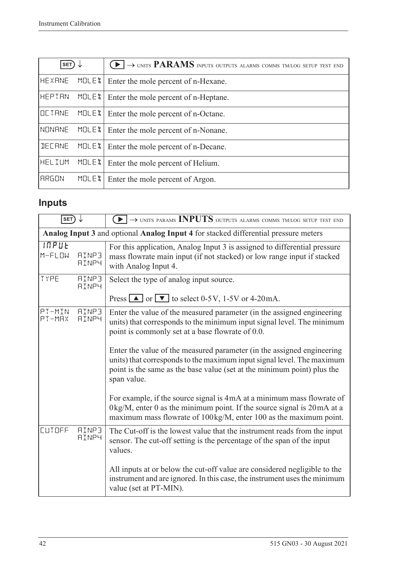| SET)          |                    | $(\blacktriangleright] \rightarrow$ units $\text{PARAMS}$ inputs outputs alarms comms tm/log setup test end |
|---------------|--------------------|-------------------------------------------------------------------------------------------------------------|
| HEXANE        | MOLEX              | Enter the mole percent of n-Hexane.                                                                         |
| HEPTAN        | MOLE%              | Enter the mole percent of n-Heptane.                                                                        |
| OCTANE        | MOLEX              | Enter the mole percent of n-Octane.                                                                         |
| NONANE        | MOLE%              | Enter the mole percent of n-Nonane.                                                                         |
| <b>JECANE</b> | MOLEX <sup>1</sup> | Enter the mole percent of n-Decane.                                                                         |
| <b>HELIUM</b> | MOLEXI             | Enter the mole percent of Helium.                                                                           |
| <b>ARGON</b>  | MOLEX <sub>1</sub> | Enter the mole percent of Argon.                                                                            |

# **Inputs**

| SET)             |                              | $\rightarrow$ UNITS PARAMS INPUTS OUTPUTS ALARMS COMMS TM/LOG SETUP TEST END                                                                                                                                                               |
|------------------|------------------------------|--------------------------------------------------------------------------------------------------------------------------------------------------------------------------------------------------------------------------------------------|
|                  |                              | Analog Input 3 and optional Analog Input 4 for stacked differential pressure meters                                                                                                                                                        |
| INPUE<br>M-FLOW  | <b>AINP3</b><br><b>AINP4</b> | For this application, Analog Input 3 is assigned to differential pressure<br>mass flowrate main input (if not stacked) or low range input if stacked<br>with Analog Input 4.                                                               |
| TYPE             | <b>AINP3</b><br><b>AINP4</b> | Select the type of analog input source.                                                                                                                                                                                                    |
|                  |                              | Press $\boxed{\blacktriangle}$ or $\boxed{\blacktriangledown}$ to select 0-5V, 1-5V or 4-20mA.                                                                                                                                             |
| PT-MIN<br>PT-MAX | <b>RINP3</b><br><b>AINP4</b> | Enter the value of the measured parameter (in the assigned engineering<br>units) that corresponds to the minimum input signal level. The minimum<br>point is commonly set at a base flowrate of 0.0.                                       |
|                  |                              | Enter the value of the measured parameter (in the assigned engineering<br>units) that corresponds to the maximum input signal level. The maximum<br>point is the same as the base value (set at the minimum point) plus the<br>span value. |
|                  |                              | For example, if the source signal is 4mA at a minimum mass flowrate of<br>$0$ kg/M, enter 0 as the minimum point. If the source signal is $20$ mA at a<br>maximum mass flowrate of 100kg/M, enter 100 as the maximum point.                |
| CUTOFF           | <b>AINP3</b><br><b>AINP4</b> | The Cut-off is the lowest value that the instrument reads from the input<br>sensor. The cut-off setting is the percentage of the span of the input<br>values.                                                                              |
|                  |                              | All inputs at or below the cut-off value are considered negligible to the<br>instrument and are ignored. In this case, the instrument uses the minimum<br>value (set at PT-MIN).                                                           |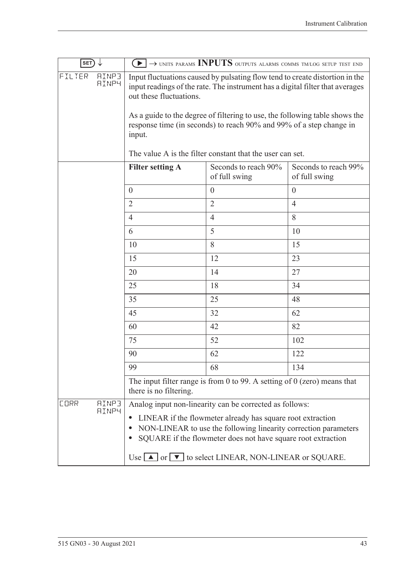| SET)                                        |                                                                                                                                                                                                                                                                                                                                                          | $\textcolor{blue}{\blacktriangleright} \rightarrow$ units params INPUTS outputs alarms comms tm/log setup test end                                                                                                                                                                                                                       |                                       |
|---------------------------------------------|----------------------------------------------------------------------------------------------------------------------------------------------------------------------------------------------------------------------------------------------------------------------------------------------------------------------------------------------------------|------------------------------------------------------------------------------------------------------------------------------------------------------------------------------------------------------------------------------------------------------------------------------------------------------------------------------------------|---------------------------------------|
| FILTER<br>RINP3<br><b>AINP4</b>             | Input fluctuations caused by pulsating flow tend to create distortion in the<br>input readings of the rate. The instrument has a digital filter that averages<br>out these fluctuations.<br>As a guide to the degree of filtering to use, the following table shows the<br>response time (in seconds) to reach 90% and 99% of a step change in<br>input. |                                                                                                                                                                                                                                                                                                                                          |                                       |
|                                             |                                                                                                                                                                                                                                                                                                                                                          | The value A is the filter constant that the user can set.                                                                                                                                                                                                                                                                                |                                       |
|                                             | <b>Filter setting A</b>                                                                                                                                                                                                                                                                                                                                  | Seconds to reach 90%<br>of full swing                                                                                                                                                                                                                                                                                                    | Seconds to reach 99%<br>of full swing |
|                                             | $\overline{0}$                                                                                                                                                                                                                                                                                                                                           | $\boldsymbol{0}$                                                                                                                                                                                                                                                                                                                         | $\theta$                              |
|                                             | $\overline{2}$                                                                                                                                                                                                                                                                                                                                           | $\overline{2}$                                                                                                                                                                                                                                                                                                                           | $\overline{4}$                        |
|                                             | $\overline{4}$                                                                                                                                                                                                                                                                                                                                           | $\overline{4}$                                                                                                                                                                                                                                                                                                                           | 8                                     |
|                                             | 6                                                                                                                                                                                                                                                                                                                                                        | 5                                                                                                                                                                                                                                                                                                                                        | 10                                    |
|                                             | 10                                                                                                                                                                                                                                                                                                                                                       | 8                                                                                                                                                                                                                                                                                                                                        | 15                                    |
|                                             | 15                                                                                                                                                                                                                                                                                                                                                       | 12                                                                                                                                                                                                                                                                                                                                       | 23                                    |
|                                             | 20                                                                                                                                                                                                                                                                                                                                                       | 14                                                                                                                                                                                                                                                                                                                                       | 27                                    |
|                                             | 25                                                                                                                                                                                                                                                                                                                                                       | 18                                                                                                                                                                                                                                                                                                                                       | 34                                    |
|                                             | 35                                                                                                                                                                                                                                                                                                                                                       | 25                                                                                                                                                                                                                                                                                                                                       | 48                                    |
|                                             | 45                                                                                                                                                                                                                                                                                                                                                       | 32                                                                                                                                                                                                                                                                                                                                       | 62                                    |
|                                             | 60                                                                                                                                                                                                                                                                                                                                                       | 42                                                                                                                                                                                                                                                                                                                                       | 82                                    |
|                                             | 75                                                                                                                                                                                                                                                                                                                                                       | 52                                                                                                                                                                                                                                                                                                                                       | 102                                   |
|                                             | 90                                                                                                                                                                                                                                                                                                                                                       | 62                                                                                                                                                                                                                                                                                                                                       | 122                                   |
|                                             | 99                                                                                                                                                                                                                                                                                                                                                       | 68                                                                                                                                                                                                                                                                                                                                       | 134                                   |
|                                             | there is no filtering.                                                                                                                                                                                                                                                                                                                                   | The input filter range is from 0 to 99. A setting of $0$ (zero) means that                                                                                                                                                                                                                                                               |                                       |
| <b>CORR</b><br><b>AINP3</b><br><b>AINP4</b> |                                                                                                                                                                                                                                                                                                                                                          | Analog input non-linearity can be corrected as follows:<br>LINEAR if the flowmeter already has square root extraction<br>NON-LINEAR to use the following linearity correction parameters<br>SQUARE if the flowmeter does not have square root extraction<br>Use $\blacksquare$ or $\blacksquare$ to select LINEAR, NON-LINEAR or SQUARE. |                                       |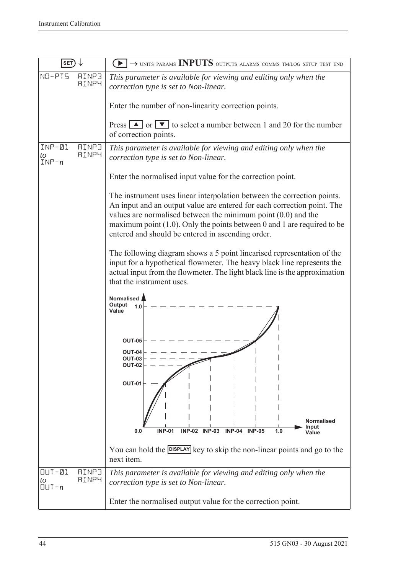| <b>SET</b>                          |                              | $\rightarrow$ UNITS PARAMS INPUTS OUTPUTS ALARMS COMMS TM/LOG SETUP TEST END                                                                                                                                                                                                                                                                             |  |
|-------------------------------------|------------------------------|----------------------------------------------------------------------------------------------------------------------------------------------------------------------------------------------------------------------------------------------------------------------------------------------------------------------------------------------------------|--|
| NO-PIS                              | RINP3<br><b>AINP4</b>        | This parameter is available for viewing and editing only when the<br>correction type is set to Non-linear.                                                                                                                                                                                                                                               |  |
|                                     |                              | Enter the number of non-linearity correction points.                                                                                                                                                                                                                                                                                                     |  |
|                                     |                              | Press $\Box$ or $\nabla$ to select a number between 1 and 20 for the number<br>of correction points.                                                                                                                                                                                                                                                     |  |
| $INP - Q1$<br>to<br>$INP - n$       | <b>AINP3</b><br><b>AINP4</b> | This parameter is available for viewing and editing only when the<br>correction type is set to Non-linear.                                                                                                                                                                                                                                               |  |
|                                     |                              | Enter the normalised input value for the correction point.                                                                                                                                                                                                                                                                                               |  |
|                                     |                              | The instrument uses linear interpolation between the correction points.<br>An input and an output value are entered for each correction point. The<br>values are normalised between the minimum point $(0.0)$ and the<br>maximum point $(1.0)$ . Only the points between 0 and 1 are required to be<br>entered and should be entered in ascending order. |  |
|                                     |                              | The following diagram shows a 5 point linearised representation of the<br>input for a hypothetical flowmeter. The heavy black line represents the<br>actual input from the flowmeter. The light black line is the approximation<br>that the instrument uses.                                                                                             |  |
|                                     |                              | Normalised<br>Output<br>1.0<br>Value                                                                                                                                                                                                                                                                                                                     |  |
|                                     |                              | <b>OUT-05</b><br>OUT-04<br>OUT-03<br><b>OUT-02</b><br><b>OUT-01</b>                                                                                                                                                                                                                                                                                      |  |
|                                     |                              | <b>Normalised</b><br>Input<br><b>INP-01</b><br>INP-02 INP-03<br>0.0<br><b>INP-04</b><br><b>INP-05</b><br>1.0<br>Value                                                                                                                                                                                                                                    |  |
|                                     |                              | You can hold the DISPLAY key to skip the non-linear points and go to the<br>next item.                                                                                                                                                                                                                                                                   |  |
| $UUT - 21$<br>to<br>$[[] \cup [-n]$ | <b>AINP3</b><br><b>AINP4</b> | This parameter is available for viewing and editing only when the<br>correction type is set to Non-linear.                                                                                                                                                                                                                                               |  |
|                                     |                              | Enter the normalised output value for the correction point.                                                                                                                                                                                                                                                                                              |  |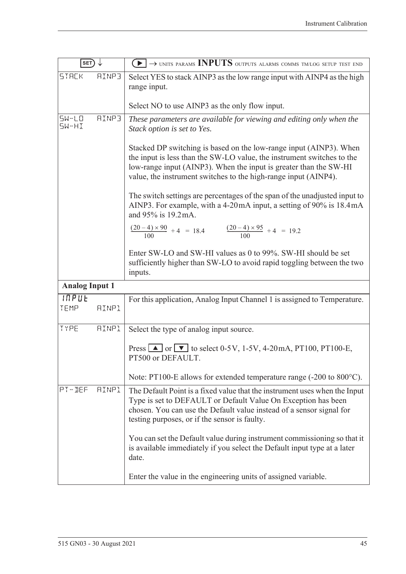| SET)                                 | $\left(\blacktriangleright\right)\rightarrow$ units params INPUTS outputs alarms comms tm/log setup test end                                                                                                                                                                         |
|--------------------------------------|--------------------------------------------------------------------------------------------------------------------------------------------------------------------------------------------------------------------------------------------------------------------------------------|
| <b>STACK</b><br><b>AINP3</b>         | Select YES to stack AINP3 as the low range input with AINP4 as the high<br>range input.                                                                                                                                                                                              |
|                                      | Select NO to use AINP3 as the only flow input.                                                                                                                                                                                                                                       |
| <b>AINP3</b><br>$5W - L0$<br>5W-HI   | These parameters are available for viewing and editing only when the<br>Stack option is set to Yes.                                                                                                                                                                                  |
|                                      | Stacked DP switching is based on the low-range input (AINP3). When<br>the input is less than the SW-LO value, the instrument switches to the<br>low-range input (AINP3). When the input is greater than the SW-HI<br>value, the instrument switches to the high-range input (AINP4). |
|                                      | The switch settings are percentages of the span of the unadjusted input to<br>AINP3. For example, with a 4-20mA input, a setting of 90% is 18.4mA<br>and 95% is 19.2mA.                                                                                                              |
|                                      | $\frac{(20-4)\times 90}{100} + 4 = 18.4$ $\frac{(20-4)\times 95}{100} + 4 = 19.2$                                                                                                                                                                                                    |
|                                      | Enter SW-LO and SW-HI values as 0 to 99%. SW-HI should be set<br>sufficiently higher than SW-LO to avoid rapid toggling between the two<br>inputs.                                                                                                                                   |
| <b>Analog Input 1</b>                |                                                                                                                                                                                                                                                                                      |
| <b>INPUE</b><br>TEMP<br><b>AINP1</b> | For this application, Analog Input Channel 1 is assigned to Temperature.                                                                                                                                                                                                             |
| <b>AINP1</b><br>TYPE                 | Select the type of analog input source.                                                                                                                                                                                                                                              |
|                                      | Press $\Delta$ or $\nabla$ to select 0-5V, 1-5V, 4-20mA, PT100, PT100-E,<br>PT500 or DEFAULT.                                                                                                                                                                                        |
|                                      | Note: PT100-E allows for extended temperature range (-200 to 800 °C).                                                                                                                                                                                                                |
| <b>AINP1</b><br>PT-DEF               | The Default Point is a fixed value that the instrument uses when the Input<br>Type is set to DEFAULT or Default Value On Exception has been<br>chosen. You can use the Default value instead of a sensor signal for<br>testing purposes, or if the sensor is faulty.                 |
|                                      | You can set the Default value during instrument commissioning so that it<br>is available immediately if you select the Default input type at a later<br>date.                                                                                                                        |
|                                      | Enter the value in the engineering units of assigned variable.                                                                                                                                                                                                                       |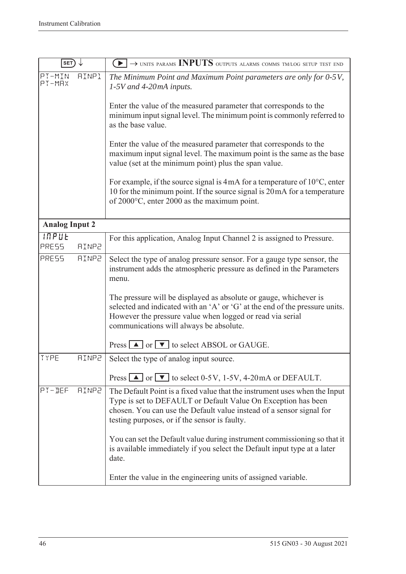| SET                   |              | $\left\langle \blacktriangleright\right\rangle$ UNITS PARAMS INPUTS OUTPUTS ALARMS COMMS TM/LOG SETUP TEST END                                                                                                                                                       |
|-----------------------|--------------|----------------------------------------------------------------------------------------------------------------------------------------------------------------------------------------------------------------------------------------------------------------------|
| PT-MIN<br>PT-MRX      | AINP1        | The Minimum Point and Maximum Point parameters are only for 0-5V,<br>$1-5V$ and 4-20mA inputs.                                                                                                                                                                       |
|                       |              | Enter the value of the measured parameter that corresponds to the<br>minimum input signal level. The minimum point is commonly referred to<br>as the base value.                                                                                                     |
|                       |              | Enter the value of the measured parameter that corresponds to the<br>maximum input signal level. The maximum point is the same as the base<br>value (set at the minimum point) plus the span value.                                                                  |
|                       |              | For example, if the source signal is $4mA$ for a temperature of $10^{\circ}$ C, enter<br>10 for the minimum point. If the source signal is 20 mA for a temperature<br>of 2000°C, enter 2000 as the maximum point.                                                    |
| <b>Analog Input 2</b> |              |                                                                                                                                                                                                                                                                      |
| <b>INPUE</b><br>PRESS | <b>AINP2</b> | For this application, Analog Input Channel 2 is assigned to Pressure.                                                                                                                                                                                                |
| PRESS                 | <b>AINP2</b> | Select the type of analog pressure sensor. For a gauge type sensor, the<br>instrument adds the atmospheric pressure as defined in the Parameters<br>menu.                                                                                                            |
|                       |              | The pressure will be displayed as absolute or gauge, whichever is<br>selected and indicated with an 'A' or 'G' at the end of the pressure units.<br>However the pressure value when logged or read via serial<br>communications will always be absolute.             |
|                       |              | Press $\boxed{\blacktriangle}$ or $\boxed{\blacktriangledown}$ to select ABSOL or GAUGE.                                                                                                                                                                             |
| TYPE                  | SANTR        | Select the type of analog input source.                                                                                                                                                                                                                              |
|                       |              | Press $\Box$ or $\nabla$ to select 0-5V, 1-5V, 4-20mA or DEFAULT.                                                                                                                                                                                                    |
| PT-DEF                | <b>AINP2</b> | The Default Point is a fixed value that the instrument uses when the Input<br>Type is set to DEFAULT or Default Value On Exception has been<br>chosen. You can use the Default value instead of a sensor signal for<br>testing purposes, or if the sensor is faulty. |
|                       |              | You can set the Default value during instrument commissioning so that it<br>is available immediately if you select the Default input type at a later<br>date.                                                                                                        |
|                       |              | Enter the value in the engineering units of assigned variable.                                                                                                                                                                                                       |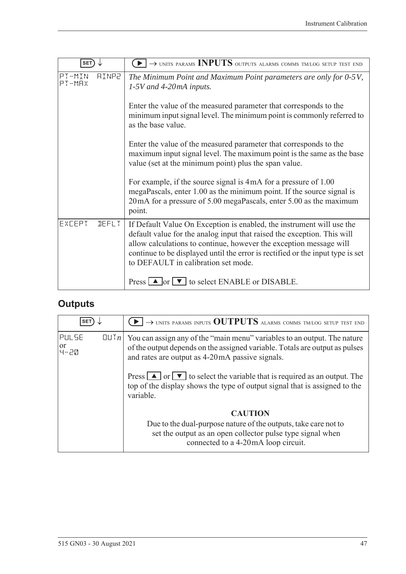| <b>SET</b>                       | $\rightarrow$ units params INPUTS outputs alarms comms tm/log setup test end                                                                                                                                                                                                                                                                    |
|----------------------------------|-------------------------------------------------------------------------------------------------------------------------------------------------------------------------------------------------------------------------------------------------------------------------------------------------------------------------------------------------|
| PT-MIN<br><b>AINP2</b><br>PT-MAX | The Minimum Point and Maximum Point parameters are only for 0-5V,<br>$1-5V$ and 4-20mA inputs.                                                                                                                                                                                                                                                  |
|                                  | Enter the value of the measured parameter that corresponds to the<br>minimum input signal level. The minimum point is commonly referred to<br>as the base value.                                                                                                                                                                                |
|                                  | Enter the value of the measured parameter that corresponds to the<br>maximum input signal level. The maximum point is the same as the base<br>value (set at the minimum point) plus the span value.                                                                                                                                             |
|                                  | For example, if the source signal is 4mA for a pressure of 1.00<br>megaPascals, enter 1.00 as the minimum point. If the source signal is<br>20mA for a pressure of 5.00 megaPascals, enter 5.00 as the maximum<br>point.                                                                                                                        |
| EXCEPT<br><b>DEFLT</b>           | If Default Value On Exception is enabled, the instrument will use the<br>default value for the analog input that raised the exception. This will<br>allow calculations to continue, however the exception message will<br>continue to be displayed until the error is rectified or the input type is set<br>to DEFAULT in calibration set mode. |
|                                  | Press $\Box$ or $\nabla$ to select ENABLE or DISABLE.                                                                                                                                                                                                                                                                                           |

# **Outputs**

| <b>SET</b>            |      | $\rightarrow$ UNITS PARAMS INPUTS OUTPUTS ALARMS COMMS TM/LOG SETUP TEST END                                                                                                                               |
|-----------------------|------|------------------------------------------------------------------------------------------------------------------------------------------------------------------------------------------------------------|
| PULSE<br> or<br> 닉-근Q | [[]] | You can assign any of the "main menu" variables to an output. The nature<br>of the output depends on the assigned variable. Totals are output as pulses<br>and rates are output as 4-20mA passive signals. |
|                       |      | Press $\Box$ or $\nabla$ to select the variable that is required as an output. The<br>top of the display shows the type of output signal that is assigned to the<br>variable.                              |
|                       |      | <b>CAUTION</b><br>Due to the dual-purpose nature of the outputs, take care not to<br>set the output as an open collector pulse type signal when<br>connected to a 4-20mA loop circuit.                     |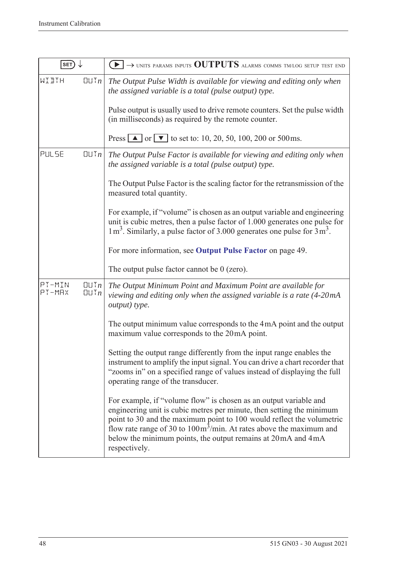| SET)             |                                           | $\rightarrow$ units params inputs OUTPUTS alarms comms tm/log setup test end<br>$\blacktriangleright$ 1                                                                                                                                                                                                                                                                                         |
|------------------|-------------------------------------------|-------------------------------------------------------------------------------------------------------------------------------------------------------------------------------------------------------------------------------------------------------------------------------------------------------------------------------------------------------------------------------------------------|
| WIJTH            | QUTn                                      | The Output Pulse Width is available for viewing and editing only when<br>the assigned variable is a total (pulse output) type.                                                                                                                                                                                                                                                                  |
|                  |                                           | Pulse output is usually used to drive remote counters. Set the pulse width<br>(in milliseconds) as required by the remote counter.                                                                                                                                                                                                                                                              |
|                  |                                           | Press $\triangle$ or $\triangledown$ to set to: 10, 20, 50, 100, 200 or 500 ms.                                                                                                                                                                                                                                                                                                                 |
| PULSE            | QUTn                                      | The Output Pulse Factor is available for viewing and editing only when<br>the assigned variable is a total (pulse output) type.                                                                                                                                                                                                                                                                 |
|                  |                                           | The Output Pulse Factor is the scaling factor for the retransmission of the<br>measured total quantity.                                                                                                                                                                                                                                                                                         |
|                  |                                           | For example, if "volume" is chosen as an output variable and engineering<br>unit is cubic metres, then a pulse factor of 1.000 generates one pulse for<br>$1 \text{ m}^3$ . Similarly, a pulse factor of 3.000 generates one pulse for $3 \text{ m}^3$ .                                                                                                                                        |
|                  |                                           | For more information, see Output Pulse Factor on page 49.                                                                                                                                                                                                                                                                                                                                       |
|                  |                                           | The output pulse factor cannot be $0$ (zero).                                                                                                                                                                                                                                                                                                                                                   |
| PT-MIN<br>PT-MRX | $\Box$ l $Tn$<br>$\Box$ $\Box$ $\Box$ $n$ | The Output Minimum Point and Maximum Point are available for<br>viewing and editing only when the assigned variable is a rate (4-20mA<br>output) type.                                                                                                                                                                                                                                          |
|                  |                                           | The output minimum value corresponds to the 4mA point and the output<br>maximum value corresponds to the 20mA point.                                                                                                                                                                                                                                                                            |
|                  |                                           | Setting the output range differently from the input range enables the<br>instrument to amplify the input signal. You can drive a chart recorder that<br>"zooms in" on a specified range of values instead of displaying the full<br>operating range of the transducer.                                                                                                                          |
|                  |                                           | For example, if "volume flow" is chosen as an output variable and<br>engineering unit is cubic metres per minute, then setting the minimum<br>point to 30 and the maximum point to 100 would reflect the volumetric<br>flow rate range of 30 to $100 \text{m}^3/\text{min}$ . At rates above the maximum and<br>below the minimum points, the output remains at 20 mA and 4 mA<br>respectively. |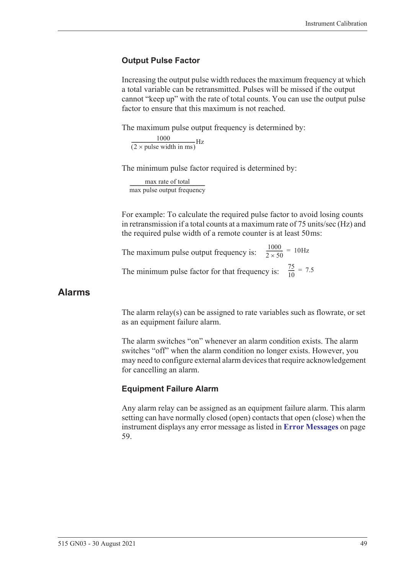#### <span id="page-58-0"></span>**Output Pulse Factor**

Increasing the output pulse width reduces the maximum frequency at which a total variable can be retransmitted. Pulses will be missed if the output cannot "keep up" with the rate of total counts. You can use the output pulse factor to ensure that this maximum is not reached.

The maximum pulse output frequency is determined by:

 $\frac{1000}{(2 \times \text{pulse width in ms)}}$ Hz

The minimum pulse factor required is determined by:

max rate of total max pulse output frequency ------------------------------------------------------------------

For example: To calculate the required pulse factor to avoid losing counts in retransmission if a total counts at a maximum rate of 75 units/sec (Hz) and the required pulse width of a remote counter is at least 50 ms:

The maximum pulse output frequency is:  $\frac{1000}{2 \times 50}$  = 10Hz The minimum pulse factor for that frequency is:  $\frac{75}{10}$  $\frac{73}{10}$  = 7.5

#### **Alarms**

The alarm relay(s) can be assigned to rate variables such as flowrate, or set as an equipment failure alarm.

The alarm switches "on" whenever an alarm condition exists. The alarm switches "off" when the alarm condition no longer exists. However, you may need to configure external alarm devices that require acknowledgement for cancelling an alarm.

#### **Equipment Failure Alarm**

Any alarm relay can be assigned as an equipment failure alarm. This alarm setting can have normally closed (open) contacts that open (close) when the instrument displays any error message as listed in **[Error Messages](#page-68-0)** on page [59.](#page-68-0)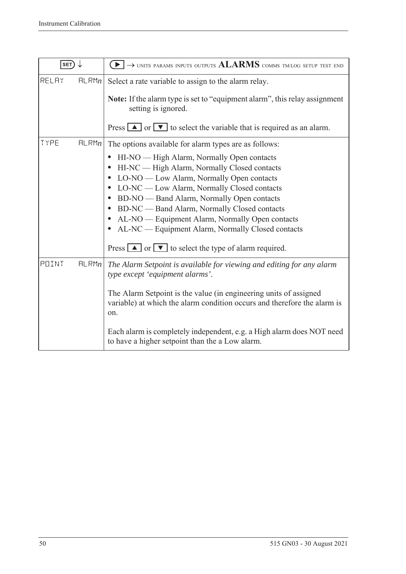| SET)  |       | $\rightarrow$ units params inputs outputs $\rm ALARMS$ comms tm/log setup test end                                                                                                                                                                                                                                                                                                                                                                                                                                                                                                                  |
|-------|-------|-----------------------------------------------------------------------------------------------------------------------------------------------------------------------------------------------------------------------------------------------------------------------------------------------------------------------------------------------------------------------------------------------------------------------------------------------------------------------------------------------------------------------------------------------------------------------------------------------------|
| RELAY | HLRMn | Select a rate variable to assign to the alarm relay.<br><b>Note:</b> If the alarm type is set to "equipment alarm", this relay assignment<br>setting is ignored.<br>Press $\boxed{\blacktriangle}$ or $\boxed{\blacktriangledown}$ to select the variable that is required as an alarm.                                                                                                                                                                                                                                                                                                             |
| TYPE  | HLRMn | The options available for alarm types are as follows:<br>HI-NO — High Alarm, Normally Open contacts<br>HI-NC — High Alarm, Normally Closed contacts<br>$\bullet$<br>LO-NO — Low Alarm, Normally Open contacts<br>$\bullet$<br>LO-NC — Low Alarm, Normally Closed contacts<br>BD-NO — Band Alarm, Normally Open contacts<br>$\bullet$<br>BD-NC — Band Alarm, Normally Closed contacts<br>$\bullet$<br>AL-NO — Equipment Alarm, Normally Open contacts<br>$\bullet$<br>AL-NC — Equipment Alarm, Normally Closed contacts<br>$\bullet$<br>Press $\Box$ or $\Box$ to select the type of alarm required. |
| POINT | HLRMn | The Alarm Setpoint is available for viewing and editing for any alarm<br>type except 'equipment alarms'.<br>The Alarm Setpoint is the value (in engineering units of assigned<br>variable) at which the alarm condition occurs and therefore the alarm is<br>on.<br>Each alarm is completely independent, e.g. a High alarm does NOT need<br>to have a higher setpoint than the a Low alarm.                                                                                                                                                                                                        |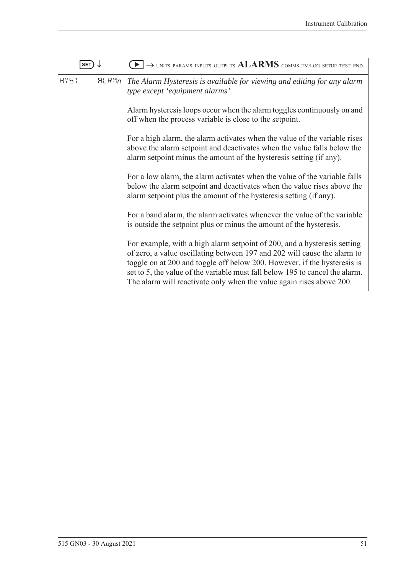| <b>SET</b>           | $\blacktriangleright$ $\rightarrow$ units params inputs outputs $ALARMS$ comms tm/log setup test end                                                                                                                                                                                                                                                                                     |
|----------------------|------------------------------------------------------------------------------------------------------------------------------------------------------------------------------------------------------------------------------------------------------------------------------------------------------------------------------------------------------------------------------------------|
| <b>HY5T</b><br>FLRMn | The Alarm Hysteresis is available for viewing and editing for any alarm<br>type except 'equipment alarms'.                                                                                                                                                                                                                                                                               |
|                      | Alarm hysteresis loops occur when the alarm toggles continuously on and<br>off when the process variable is close to the setpoint.                                                                                                                                                                                                                                                       |
|                      | For a high alarm, the alarm activates when the value of the variable rises<br>above the alarm setpoint and deactivates when the value falls below the<br>alarm setpoint minus the amount of the hysteresis setting (if any).                                                                                                                                                             |
|                      | For a low alarm, the alarm activates when the value of the variable falls<br>below the alarm setpoint and deactivates when the value rises above the<br>alarm setpoint plus the amount of the hysteresis setting (if any).                                                                                                                                                               |
|                      | For a band alarm, the alarm activates whenever the value of the variable<br>is outside the setpoint plus or minus the amount of the hysteresis.                                                                                                                                                                                                                                          |
|                      | For example, with a high alarm setpoint of 200, and a hysteresis setting<br>of zero, a value oscillating between 197 and 202 will cause the alarm to<br>toggle on at 200 and toggle off below 200. However, if the hysteresis is<br>set to 5, the value of the variable must fall below 195 to cancel the alarm.<br>The alarm will reactivate only when the value again rises above 200. |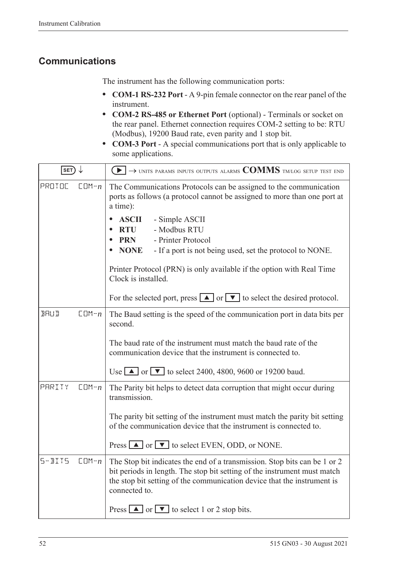# **Communications**

The instrument has the following communication ports:

- **• COM-1 RS-232 Port** A 9-pin female connector on the rear panel of the instrument.
- **• COM-2 RS-485 or Ethernet Port** (optional) Terminals or socket on the rear panel. Ethernet connection requires COM-2 setting to be: RTU (Modbus), 19200 Baud rate, even parity and 1 stop bit.
- **• COM-3 Port** A special communications port that is only applicable to some applications.

| SET)                               | $\left(\blacktriangleright\right)\rightarrow$ units params inputs outputs alarms $\text{COMMS}$ tm/log setup test end                                                                                                                             |
|------------------------------------|---------------------------------------------------------------------------------------------------------------------------------------------------------------------------------------------------------------------------------------------------|
| PROTOC<br>$CDM - n$                | The Communications Protocols can be assigned to the communication<br>ports as follows (a protocol cannot be assigned to more than one port at<br>a time):                                                                                         |
|                                    | <b>ASCII</b><br>- Simple ASCII<br>- Modbus RTU<br><b>RTU</b><br>- Printer Protocol<br><b>PRN</b><br><b>NONE</b><br>- If a port is not being used, set the protocol to NONE.                                                                       |
|                                    | Printer Protocol (PRN) is only available if the option with Real Time<br>Clock is installed.                                                                                                                                                      |
|                                    | For the selected port, press $\Box$ or $\Box$ to select the desired protocol.                                                                                                                                                                     |
| $CDM - n$<br><b>BAUD</b>           | The Baud setting is the speed of the communication port in data bits per<br>second.                                                                                                                                                               |
|                                    | The baud rate of the instrument must match the baud rate of the<br>communication device that the instrument is connected to.                                                                                                                      |
|                                    | Use $\blacksquare$ or $\blacksquare$ to select 2400, 4800, 9600 or 19200 baud.                                                                                                                                                                    |
| PARITY<br>$CDM - n$                | The Parity bit helps to detect data corruption that might occur during<br>transmission.                                                                                                                                                           |
|                                    | The parity bit setting of the instrument must match the parity bit setting<br>of the communication device that the instrument is connected to.                                                                                                    |
|                                    | Press $\Box$ or $\nabla$ to select EVEN, ODD, or NONE.                                                                                                                                                                                            |
| $5 - B1$ <sup>T</sup><br>$CDM - n$ | The Stop bit indicates the end of a transmission. Stop bits can be 1 or 2<br>bit periods in length. The stop bit setting of the instrument must match<br>the stop bit setting of the communication device that the instrument is<br>connected to. |
|                                    | Press $\boxed{\blacktriangle}$ or $\boxed{\blacktriangledown}$ to select 1 or 2 stop bits.                                                                                                                                                        |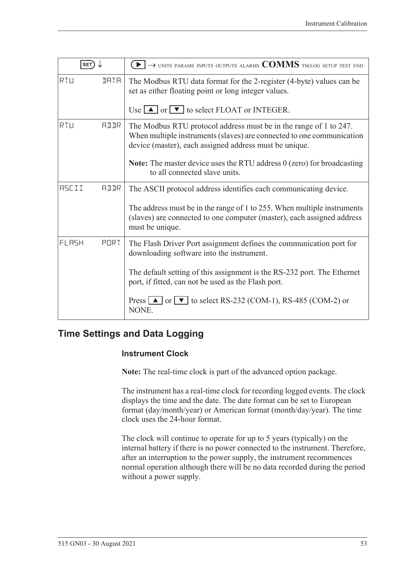| <b>SET</b>   |             | $\rightarrow$ units params inputs outputs alarms $\text{COMMS}$ tm/log setup test end                                                                                                                |
|--------------|-------------|------------------------------------------------------------------------------------------------------------------------------------------------------------------------------------------------------|
| RTU          | <b>JATA</b> | The Modbus RTU data format for the 2-register (4-byte) values can be<br>set as either floating point or long integer values.                                                                         |
|              |             | Use $\Box$ or $\nabla$ to select FLOAT or INTEGER.                                                                                                                                                   |
| RTU          | <b>ALLR</b> | The Modbus RTU protocol address must be in the range of 1 to 247.<br>When multiple instruments (slaves) are connected to one communication<br>device (master), each assigned address must be unique. |
|              |             | <b>Note:</b> The master device uses the RTU address 0 (zero) for broadcasting<br>to all connected slave units.                                                                                       |
| <b>ASCII</b> | AIIR        | The ASCII protocol address identifies each communicating device.                                                                                                                                     |
|              |             | The address must be in the range of 1 to 255. When multiple instruments<br>(slaves) are connected to one computer (master), each assigned address<br>must be unique.                                 |
| FLASH        | PORT        | The Flash Driver Port assignment defines the communication port for<br>downloading software into the instrument.                                                                                     |
|              |             | The default setting of this assignment is the RS-232 port. The Ethernet<br>port, if fitted, can not be used as the Flash port.                                                                       |
|              |             | Press $\Box$ or $\nabla$ to select RS-232 (COM-1), RS-485 (COM-2) or<br>NONE.                                                                                                                        |

### **Time Settings and Data Logging**

#### **Instrument Clock**

**Note:** The real-time clock is part of the advanced option package.

The instrument has a real-time clock for recording logged events. The clock displays the time and the date. The date format can be set to European format (day/month/year) or American format (month/day/year). The time clock uses the 24-hour format.

The clock will continue to operate for up to 5 years (typically) on the internal battery if there is no power connected to the instrument. Therefore, after an interruption to the power supply, the instrument recommences normal operation although there will be no data recorded during the period without a power supply.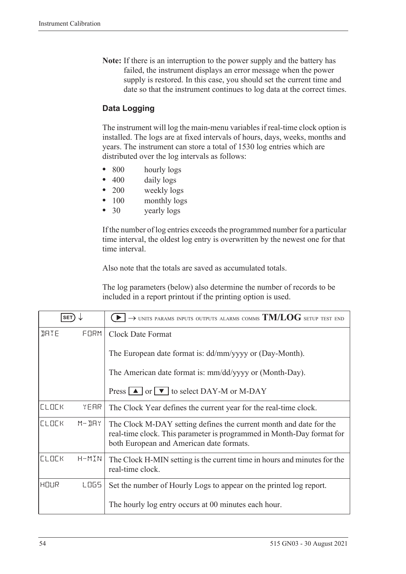**Note:** If there is an interruption to the power supply and the battery has failed, the instrument displays an error message when the power supply is restored. In this case, you should set the current time and date so that the instrument continues to log data at the correct times.

### **Data Logging**

The instrument will log the main-menu variables if real-time clock option is installed. The logs are at fixed intervals of hours, days, weeks, months and years. The instrument can store a total of 1530 log entries which are distributed over the log intervals as follows:

- 800 hourly logs
- 400 daily logs
- 200 weekly logs
- 100 monthly logs
- 30 yearly logs

If the number of log entries exceeds the programmed number for a particular time interval, the oldest log entry is overwritten by the newest one for that time interval.

Also note that the totals are saved as accumulated totals.

The log parameters (below) also determine the number of records to be included in a report printout if the printing option is used.

| <b>SET</b>   |           | $\rightarrow$ units params inputs outputs alarms comms $\mathrm{TM}/\mathrm{LOG}$ setup test end                                                                                        |
|--------------|-----------|-----------------------------------------------------------------------------------------------------------------------------------------------------------------------------------------|
| <b>JATE</b>  | FORM      | <b>Clock Date Format</b>                                                                                                                                                                |
|              |           | The European date format is: dd/mm/yyyy or (Day-Month).                                                                                                                                 |
|              |           | The American date format is: mm/dd/yyyy or (Month-Day).                                                                                                                                 |
|              |           | Press $\boxed{\blacktriangle}$ or $\boxed{\blacktriangledown}$ to select DAY-M or M-DAY                                                                                                 |
| <b>CLOCK</b> | YEAR      | The Clock Year defines the current year for the real-time clock.                                                                                                                        |
| <b>CLOCK</b> | $M - JHY$ | The Clock M-DAY setting defines the current month and date for the<br>real-time clock. This parameter is programmed in Month-Day format for<br>both European and American date formats. |
| <b>CLOCK</b> | H-MIN     | The Clock H-MIN setting is the current time in hours and minutes for the<br>real-time clock.                                                                                            |
| HOUR         | LO65      | Set the number of Hourly Logs to appear on the printed log report.                                                                                                                      |
|              |           | The hourly log entry occurs at 00 minutes each hour.                                                                                                                                    |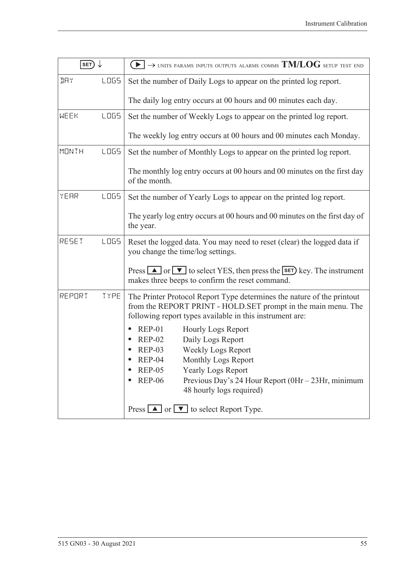| SET)         |             | $\blacktriangleright$ $\rightarrow$ units params inputs outputs alarms comms TM/LOG setup test end                                                                                                                                                                                                                         |
|--------------|-------------|----------------------------------------------------------------------------------------------------------------------------------------------------------------------------------------------------------------------------------------------------------------------------------------------------------------------------|
| <b>IRY</b>   | <b>LOGS</b> | Set the number of Daily Logs to appear on the printed log report.                                                                                                                                                                                                                                                          |
|              |             | The daily log entry occurs at 00 hours and 00 minutes each day.                                                                                                                                                                                                                                                            |
| <b>WEEK</b>  | <b>LOGS</b> | Set the number of Weekly Logs to appear on the printed log report.                                                                                                                                                                                                                                                         |
|              |             | The weekly log entry occurs at 00 hours and 00 minutes each Monday.                                                                                                                                                                                                                                                        |
| <b>MONTH</b> | LO65        | Set the number of Monthly Logs to appear on the printed log report.                                                                                                                                                                                                                                                        |
|              |             | The monthly log entry occurs at 00 hours and 00 minutes on the first day<br>of the month.                                                                                                                                                                                                                                  |
| YEAR         | LO65        | Set the number of Yearly Logs to appear on the printed log report.                                                                                                                                                                                                                                                         |
|              |             | The yearly log entry occurs at 00 hours and 00 minutes on the first day of<br>the year.                                                                                                                                                                                                                                    |
| RESET        | LOG5        | Reset the logged data. You may need to reset (clear) the logged data if<br>you change the time/log settings.                                                                                                                                                                                                               |
|              |             | Press $\Box$ or $\nabla$ to select YES, then press the <b>SET</b> ) key. The instrument<br>makes three beeps to confirm the reset command.                                                                                                                                                                                 |
| REPORT       | TYPE        | The Printer Protocol Report Type determines the nature of the printout<br>from the REPORT PRINT - HOLD.SET prompt in the main menu. The<br>following report types available in this instrument are:                                                                                                                        |
|              |             | <b>REP-01</b><br><b>Hourly Logs Report</b><br>$\bullet$<br>Daily Logs Report<br><b>REP-02</b><br><b>Weekly Logs Report</b><br>$REP-03$<br>Monthly Logs Report<br>$REP-04$<br><b>REP-05</b><br><b>Yearly Logs Report</b><br><b>REP-06</b><br>Previous Day's 24 Hour Report (0Hr - 23Hr, minimum<br>48 hourly logs required) |
|              |             | Press $\boxed{\blacktriangle}$ or $\boxed{\blacktriangledown}$ to select Report Type.                                                                                                                                                                                                                                      |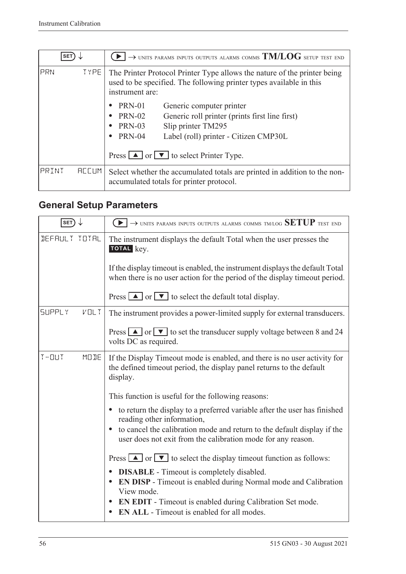| <b>SET</b> |              | $\rightarrow$ units params inputs outputs alarms comms $\mathrm{TM}/\mathrm{LOG}$ setup test end                                                                   |
|------------|--------------|--------------------------------------------------------------------------------------------------------------------------------------------------------------------|
| PRN        | <b>TYPE</b>  | The Printer Protocol Printer Type allows the nature of the printer being<br>used to be specified. The following printer types available in this<br>instrument are: |
|            |              | PRN-01<br>Generic computer printer                                                                                                                                 |
|            |              | <b>PRN-02</b><br>Generic roll printer (prints first line first)<br>$\bullet$                                                                                       |
|            |              | Slip printer TM295<br><b>PRN-03</b><br>٠                                                                                                                           |
|            |              | <b>PRN-04</b><br>Label (roll) printer - Citizen CMP30L<br>$\bullet$                                                                                                |
|            |              | Press $\boxed{\blacktriangle}$ or $\boxed{\blacktriangledown}$ to select Printer Type.                                                                             |
| PRINT      | <b>ACCUM</b> | Select whether the accumulated totals are printed in addition to the non-<br>accumulated totals for printer protocol.                                              |

# <span id="page-65-0"></span>**General Setup Parameters**

| SET)                             | $\rightarrow$ units params inputs outputs alarms comms tm/log $\operatorname{SETUP}$ test end                                                                      |
|----------------------------------|--------------------------------------------------------------------------------------------------------------------------------------------------------------------|
| DEFAULT TOTAL                    | The instrument displays the default Total when the user presses the<br>TOTAL key.                                                                                  |
|                                  | If the display timeout is enabled, the instrument displays the default Total<br>when there is no user action for the period of the display timeout period.         |
|                                  | Press $\boxed{\blacktriangle}$ or $\boxed{\blacktriangledown}$ to select the default total display.                                                                |
| <b>SUPPLY</b><br>$V \square L$ T | The instrument provides a power-limited supply for external transducers.                                                                                           |
|                                  | Press $\Box$ or $\nabla$ to set the transducer supply voltage between 8 and 24<br>volts DC as required.                                                            |
| $T - 11T$<br>MODE                | If the Display Timeout mode is enabled, and there is no user activity for<br>the defined timeout period, the display panel returns to the default<br>display.      |
|                                  | This function is useful for the following reasons:                                                                                                                 |
|                                  | to return the display to a preferred variable after the user has finished<br>$\bullet$<br>reading other information,                                               |
|                                  | to cancel the calibration mode and return to the default display if the<br>user does not exit from the calibration mode for any reason.                            |
|                                  | Press $\boxed{\blacktriangle}$ or $\boxed{\blacktriangledown}$ to select the display timeout function as follows:                                                  |
|                                  | <b>DISABLE</b> - Timeout is completely disabled.<br>$\bullet$<br><b>EN DISP</b> - Timeout is enabled during Normal mode and Calibration<br>$\bullet$<br>View mode. |
|                                  | <b>EN EDIT</b> - Timeout is enabled during Calibration Set mode.<br><b>EN ALL</b> - Timeout is enabled for all modes.                                              |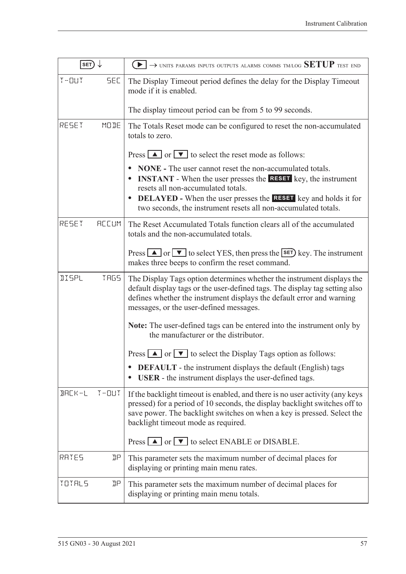| SET)          |              |                                                                                                                                                                                                                                                                                                                                                     |
|---------------|--------------|-----------------------------------------------------------------------------------------------------------------------------------------------------------------------------------------------------------------------------------------------------------------------------------------------------------------------------------------------------|
| $T - 111T$    | <b>SEC</b>   | The Display Timeout period defines the delay for the Display Timeout<br>mode if it is enabled.                                                                                                                                                                                                                                                      |
|               |              | The display timeout period can be from 5 to 99 seconds.                                                                                                                                                                                                                                                                                             |
| RESET         | MODE         | The Totals Reset mode can be configured to reset the non-accumulated<br>totals to zero.                                                                                                                                                                                                                                                             |
|               |              | Press $\boxed{\blacktriangle}$ or $\boxed{\blacktriangledown}$ to select the reset mode as follows:                                                                                                                                                                                                                                                 |
|               |              | <b>NONE</b> - The user cannot reset the non-accumulated totals.<br><b>INSTANT</b> - When the user presses the <b>RESET</b> key, the instrument<br>resets all non-accumulated totals.<br><b>DELAYED</b> - When the user presses the <b>RESET</b> key and holds it for<br>$\bullet$<br>two seconds, the instrument resets all non-accumulated totals. |
| RESET         | <b>REEUM</b> | The Reset Accumulated Totals function clears all of the accumulated<br>totals and the non-accumulated totals.                                                                                                                                                                                                                                       |
|               |              | Press $\Box$ or $\nabla$ to select YES, then press the <b>SET</b> ) key. The instrument<br>makes three beeps to confirm the reset command.                                                                                                                                                                                                          |
| <b>IISPL</b>  | <b>TRGS</b>  | The Display Tags option determines whether the instrument displays the<br>default display tags or the user-defined tags. The display tag setting also<br>defines whether the instrument displays the default error and warning<br>messages, or the user-defined messages.                                                                           |
|               |              | Note: The user-defined tags can be entered into the instrument only by<br>the manufacturer or the distributor.                                                                                                                                                                                                                                      |
|               |              | Press $\Box$ or $\Box$ to select the Display Tags option as follows:                                                                                                                                                                                                                                                                                |
|               |              | <b>DEFAULT</b> - the instrument displays the default (English) tags<br><b>USER</b> - the instrument displays the user-defined tags.                                                                                                                                                                                                                 |
| $B H L K - L$ | $T - 11T$    | If the backlight timeout is enabled, and there is no user activity (any keys<br>pressed) for a period of 10 seconds, the display backlight switches off to<br>save power. The backlight switches on when a key is pressed. Select the<br>backlight timeout mode as required.                                                                        |
|               |              | Press $\Box$ or $\Box$ to select ENABLE or DISABLE.                                                                                                                                                                                                                                                                                                 |
| RATES         | IJΡ          | This parameter sets the maximum number of decimal places for<br>displaying or printing main menu rates.                                                                                                                                                                                                                                             |
| TOTALS        | IJΡ          | This parameter sets the maximum number of decimal places for<br>displaying or printing main menu totals.                                                                                                                                                                                                                                            |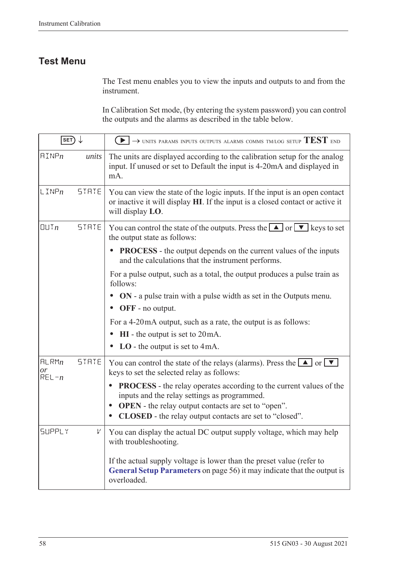# **Test Menu**

The Test menu enables you to view the inputs and outputs to and from the instrument.

In Calibration Set mode, (by entering the system password) you can control the outputs and the alarms as described in the table below.

| $\overline{\text{SET}}$  |              | $\blacktriangleright$ $\blacktriangleright$ UNITS PARAMS INPUTS OUTPUTS ALARMS COMMS TM/LOG SETUP $\text{TEST}$ end                                                                                                                                              |
|--------------------------|--------------|------------------------------------------------------------------------------------------------------------------------------------------------------------------------------------------------------------------------------------------------------------------|
| $\text{HIMP}_n$          | units        | The units are displayed according to the calibration setup for the analog<br>input. If unused or set to Default the input is 4-20mA and displayed in<br>mA.                                                                                                      |
| $L$ INP $n$              | <b>STRTE</b> | You can view the state of the logic inputs. If the input is an open contact<br>or inactive it will display HI. If the input is a closed contact or active it<br>will display LO.                                                                                 |
| UUTn                     | <b>STRTE</b> | You can control the state of the outputs. Press the $\Box$ or $\nabla$ keys to set<br>the output state as follows:                                                                                                                                               |
|                          |              | <b>PROCESS</b> - the output depends on the current values of the inputs<br>and the calculations that the instrument performs.                                                                                                                                    |
|                          |              | For a pulse output, such as a total, the output produces a pulse train as<br>follows:                                                                                                                                                                            |
|                          |              | ON - a pulse train with a pulse width as set in the Outputs menu.<br>OFF - no output.                                                                                                                                                                            |
|                          |              | For a 4-20mA output, such as a rate, the output is as follows:                                                                                                                                                                                                   |
|                          |              | $HI$ - the output is set to $20mA$ .                                                                                                                                                                                                                             |
|                          |              | $LO$ - the output is set to 4mA.                                                                                                                                                                                                                                 |
| HLRMn<br>or<br>$REL - n$ | <b>STRTE</b> | You can control the state of the relays (alarms). Press the $\boxed{\blacktriangle}$ or $\boxed{\blacktriangledown}$<br>keys to set the selected relay as follows:                                                                                               |
|                          |              | <b>PROCESS</b> - the relay operates according to the current values of the<br>inputs and the relay settings as programmed.<br><b>OPEN</b> - the relay output contacts are set to "open".<br>$\bullet$<br>CLOSED - the relay output contacts are set to "closed". |
| <b>SUPPLY</b>            | V            | You can display the actual DC output supply voltage, which may help<br>with troubleshooting.                                                                                                                                                                     |
|                          |              | If the actual supply voltage is lower than the preset value (refer to<br>General Setup Parameters on page 56) it may indicate that the output is<br>overloaded.                                                                                                  |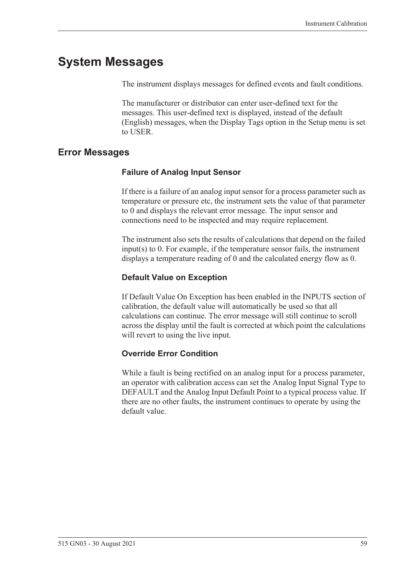# **System Messages**

The instrument displays messages for defined events and fault conditions.

The manufacturer or distributor can enter user-defined text for the messages. This user-defined text is displayed, instead of the default (English) messages, when the Display Tags option in the Setup menu is set to USER.

### <span id="page-68-0"></span>**Error Messages**

#### **Failure of Analog Input Sensor**

If there is a failure of an analog input sensor for a process parameter such as temperature or pressure etc, the instrument sets the value of that parameter to 0 and displays the relevant error message. The input sensor and connections need to be inspected and may require replacement.

The instrument also sets the results of calculations that depend on the failed input(s) to 0. For example, if the temperature sensor fails, the instrument displays a temperature reading of 0 and the calculated energy flow as 0.

### **Default Value on Exception**

If Default Value On Exception has been enabled in the INPUTS section of calibration, the default value will automatically be used so that all calculations can continue. The error message will still continue to scroll across the display until the fault is corrected at which point the calculations will revert to using the live input.

#### **Override Error Condition**

While a fault is being rectified on an analog input for a process parameter, an operator with calibration access can set the Analog Input Signal Type to DEFAULT and the Analog Input Default Point to a typical process value. If there are no other faults, the instrument continues to operate by using the default value.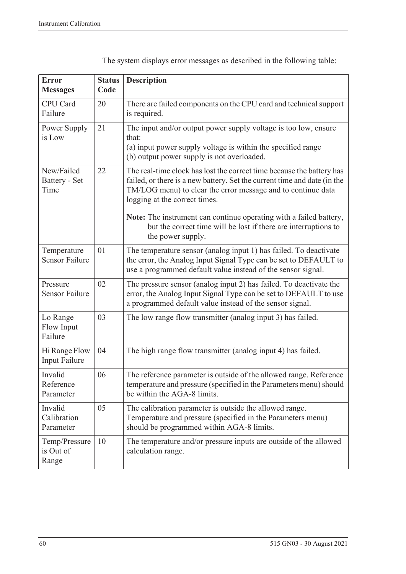| <b>Error</b><br><b>Messages</b>       | <b>Status</b><br>Code | <b>Description</b>                                                                                                                                                                                                                                                                                                                                                                          |
|---------------------------------------|-----------------------|---------------------------------------------------------------------------------------------------------------------------------------------------------------------------------------------------------------------------------------------------------------------------------------------------------------------------------------------------------------------------------------------|
| CPU Card<br>Failure                   | 20                    | There are failed components on the CPU card and technical support<br>is required.                                                                                                                                                                                                                                                                                                           |
| Power Supply<br>is Low                | 21                    | The input and/or output power supply voltage is too low, ensure<br>that:<br>(a) input power supply voltage is within the specified range<br>(b) output power supply is not overloaded.                                                                                                                                                                                                      |
| New/Failed<br>Battery - Set<br>Time   | 22                    | The real-time clock has lost the correct time because the battery has<br>failed, or there is a new battery. Set the current time and date (in the<br>TM/LOG menu) to clear the error message and to continue data<br>logging at the correct times.<br>Note: The instrument can continue operating with a failed battery,<br>but the correct time will be lost if there are interruptions to |
| Temperature<br><b>Sensor Failure</b>  | 01                    | the power supply.<br>The temperature sensor (analog input 1) has failed. To deactivate<br>the error, the Analog Input Signal Type can be set to DEFAULT to<br>use a programmed default value instead of the sensor signal.                                                                                                                                                                  |
| Pressure<br><b>Sensor Failure</b>     | 02                    | The pressure sensor (analog input 2) has failed. To deactivate the<br>error, the Analog Input Signal Type can be set to DEFAULT to use<br>a programmed default value instead of the sensor signal.                                                                                                                                                                                          |
| Lo Range<br>Flow Input<br>Failure     | 03                    | The low range flow transmitter (analog input 3) has failed.                                                                                                                                                                                                                                                                                                                                 |
| Hi Range Flow<br><b>Input Failure</b> | 04                    | The high range flow transmitter (analog input 4) has failed.                                                                                                                                                                                                                                                                                                                                |
| Invalid<br>Reference<br>Parameter     | 06                    | The reference parameter is outside of the allowed range. Reference<br>temperature and pressure (specified in the Parameters menu) should<br>be within the AGA-8 limits.                                                                                                                                                                                                                     |
| Invalid<br>Calibration<br>Parameter   | 05                    | The calibration parameter is outside the allowed range.<br>Temperature and pressure (specified in the Parameters menu)<br>should be programmed within AGA-8 limits.                                                                                                                                                                                                                         |
| Temp/Pressure<br>is Out of<br>Range   | 10                    | The temperature and/or pressure inputs are outside of the allowed<br>calculation range.                                                                                                                                                                                                                                                                                                     |

The system displays error messages as described in the following table: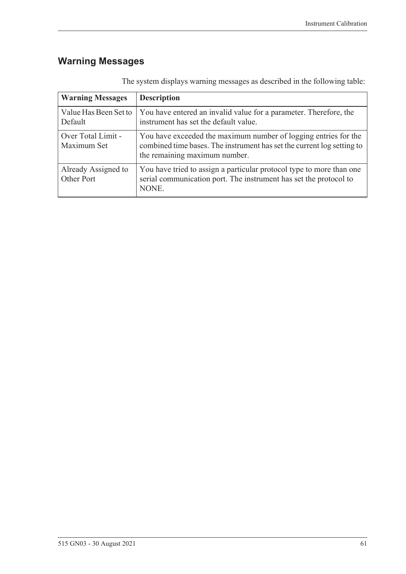# **Warning Messages**

| <b>Warning Messages</b>           | <b>Description</b>                                                                                                                                                         |
|-----------------------------------|----------------------------------------------------------------------------------------------------------------------------------------------------------------------------|
| Value Has Been Set to<br>Default  | You have entered an invalid value for a parameter. Therefore, the<br>instrument has set the default value.                                                                 |
| Over Total Limit -<br>Maximum Set | You have exceeded the maximum number of logging entries for the<br>combined time bases. The instrument has set the current log setting to<br>the remaining maximum number. |
| Already Assigned to<br>Other Port | You have tried to assign a particular protocol type to more than one<br>serial communication port. The instrument has set the protocol to<br>NONE.                         |

The system displays warning messages as described in the following table: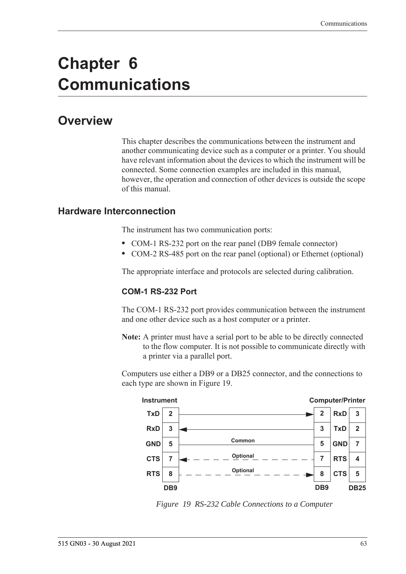# **Chapter 6 Communications**

# **Overview**

<span id="page-72-2"></span>This chapter describes the communications between the instrument and another communicating device such as a computer or a printer. You should have relevant information about the devices to which the instrument will be connected. Some connection examples are included in this manual, however, the operation and connection of other devices is outside the scope of this manual.

# **Hardware Interconnection**

<span id="page-72-3"></span>The instrument has two communication ports:

- **•** COM-1 RS-232 port on the rear panel (DB9 female connector)
- **•** COM-2 RS-485 port on the rear panel (optional) or Ethernet (optional)

The appropriate interface and protocols are selected during calibration.

#### <span id="page-72-1"></span>**COM-1 RS-232 Port**

The COM-1 RS-232 port provides communication between the instrument and one other device such as a host computer or a printer.

**Note:** A printer must have a serial port to be able to be directly connected to the flow computer. It is not possible to communicate directly with a printer via a parallel port.

Computers use either a DB9 or a DB25 connector, and the connections to each type are shown in [Figure 19.](#page-72-0)



<span id="page-72-0"></span>*Figure 19 RS-232 Cable Connections to a Computer*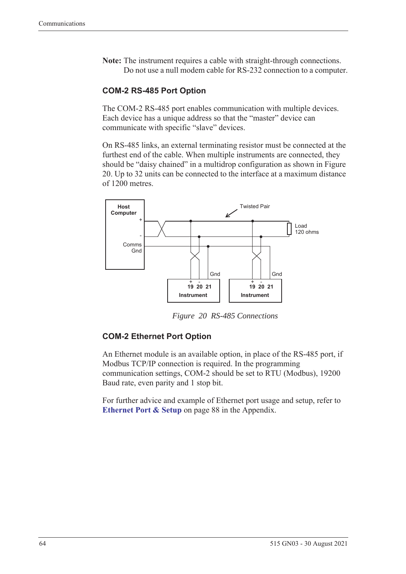**Note:** The instrument requires a cable with straight-through connections. Do not use a null modem cable for RS-232 connection to a computer.

#### <span id="page-73-1"></span>**COM-2 RS-485 Port Option**

The COM-2 RS-485 port enables communication with multiple devices. Each device has a unique address so that the "master" device can communicate with specific "slave" devices.

On RS-485 links, an external terminating resistor must be connected at the furthest end of the cable. When multiple instruments are connected, they should be "daisy chained" in a multidrop configuration as shown in Figure [20](#page-73-0). Up to 32 units can be connected to the interface at a maximum distance of 1200 metres.



<span id="page-73-2"></span>*Figure 20 RS-485 Connections*

#### <span id="page-73-0"></span>**COM-2 Ethernet Port Option**

An Ethernet module is an available option, in place of the RS-485 port, if Modbus TCP/IP connection is required. In the programming communication settings, COM-2 should be set to RTU (Modbus), 19200 Baud rate, even parity and 1 stop bit.

For further advice and example of Ethernet port usage and setup, refer to **[Ethernet Port & Setup](#page-97-0)** on page 88 in the Appendix.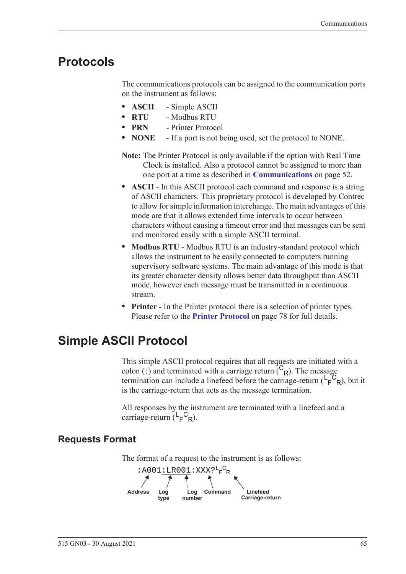# **Protocols**

<span id="page-74-1"></span>The communications protocols can be assigned to the communication ports on the instrument as follows:

- **• ASCII** Simple ASCII
- **• RTU** Modbus RTU
- **• PRN** Printer Protocol
- **• NONE** If a port is not being used, set the protocol to NONE.
- **Note:** The Printer Protocol is only available if the option with Real Time Clock is installed. Also a protocol cannot be assigned to more than one port at a time as described in **[Communications](#page-61-0)** on page 52.
- **• ASCII** In this ASCII protocol each command and response is a string of ASCII characters. This proprietary protocol is developed by Contrec to allow for simple information interchange. The main advantages of this mode are that it allows extended time intervals to occur between characters without causing a timeout error and that messages can be sent and monitored easily with a simple ASCII terminal.
- **• Modbus RTU** Modbus RTU is an industry-standard protocol which allows the instrument to be easily connected to computers running supervisory software systems. The main advantage of this mode is that its greater character density allows better data throughput than ASCII mode, however each message must be transmitted in a continuous stream.
- <span id="page-74-0"></span>**• Printer** - In the Printer protocol there is a selection of printer types. Please refer to the **[Printer Protocol](#page-87-0)** on page 78 for full details.

# **Simple ASCII Protocol**

This simple ASCII protocol requires that all requests are initiated with a colon (:) and terminated with a carriage return  $\binom{C_R}{R}$ . The message termination can include a linefeed before the carriage-return  $(\mathsf{L}_\mathsf{F}^\mathsf{C}_{\mathsf{R}})$ , but it is the carriage-return that acts as the message termination.

<span id="page-74-2"></span>All responses by the instrument are terminated with a linefeed and a carriage-return  $(L_F^C_R)$ .

# **Requests Format**

The format of a request to the instrument is as follows:

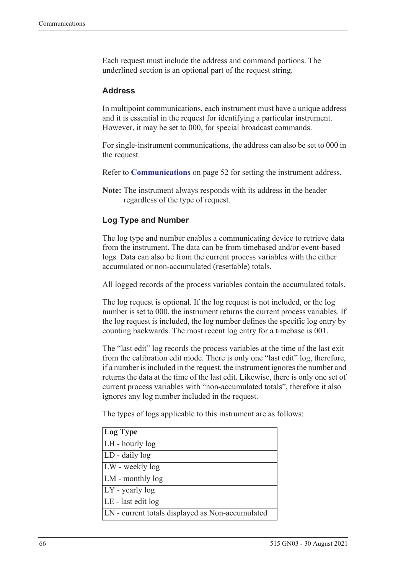Each request must include the address and command portions. The underlined section is an optional part of the request string.

#### <span id="page-75-0"></span>**Address**

In multipoint communications, each instrument must have a unique address and it is essential in the request for identifying a particular instrument. However, it may be set to 000, for special broadcast commands.

For single-instrument communications, the address can also be set to 000 in the request.

Refer to **[Communications](#page-61-0)** on page 52 for setting the instrument address.

**Note:** The instrument always responds with its address in the header regardless of the type of request.

#### **Log Type and Number**

The log type and number enables a communicating device to retrieve data from the instrument. The data can be from timebased and/or event-based logs. Data can also be from the current process variables with the either accumulated or non-accumulated (resettable) totals.

All logged records of the process variables contain the accumulated totals.

The log request is optional. If the log request is not included, or the log number is set to 000, the instrument returns the current process variables. If the log request is included, the log number defines the specific log entry by counting backwards. The most recent log entry for a timebase is 001.

The "last edit" log records the process variables at the time of the last exit from the calibration edit mode. There is only one "last edit" log, therefore, if a number is included in the request, the instrument ignores the number and returns the data at the time of the last edit. Likewise, there is only one set of current process variables with "non-accumulated totals", therefore it also ignores any log number included in the request.

The types of logs applicable to this instrument are as follows:

| Log Type                                         |
|--------------------------------------------------|
| LH - hourly log                                  |
| LD - daily log                                   |
| LW - weekly log                                  |
| LM - monthly log                                 |
| $LY$ - yearly log                                |
| LE - last edit log                               |
| LN - current totals displayed as Non-accumulated |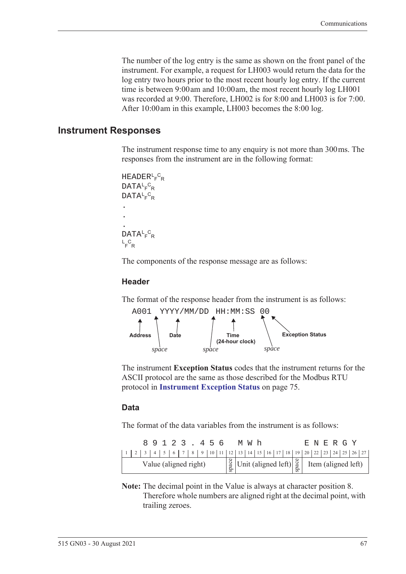The number of the log entry is the same as shown on the front panel of the instrument. For example, a request for LH003 would return the data for the log entry two hours prior to the most recent hourly log entry. If the current time is between 9:00 am and 10:00 am, the most recent hourly log LH001 was recorded at 9:00. Therefore, LH002 is for 8:00 and LH003 is for 7:00. After 10:00 am in this example, LH003 becomes the 8:00 log.

#### **Instrument Responses**

<span id="page-76-1"></span>The instrument response time to any enquiry is not more than 300 ms. The responses from the instrument are in the following format:

```
HEADER<sup>L</sup>F<sup>C</sup>R
DATA<sup>L</sup>F<sup>C</sup>R
DATA<sup>L</sup>F<sup>C</sup>R
.
.
.
DATA<sup>L</sup>F<sup>C</sup>R
L_F^CR
```
The components of the response message are as follows:

#### **Header**

The format of the response header from the instrument is as follows:



<span id="page-76-0"></span>The instrument **Exception Status** codes that the instrument returns for the ASCII protocol are the same as those described for the Modbus RTU protocol in **[Instrument Exception Status](#page-84-0)** on page 75.

#### **Data**

The format of the data variables from the instrument is as follows:

|                       |  |  |  |  | 89123.456 |  |                                                                                                                                                               |  |  | MW h |  |  |  |  | E N E R G Y |  |  |
|-----------------------|--|--|--|--|-----------|--|---------------------------------------------------------------------------------------------------------------------------------------------------------------|--|--|------|--|--|--|--|-------------|--|--|
|                       |  |  |  |  |           |  |                                                                                                                                                               |  |  |      |  |  |  |  |             |  |  |
| Value (aligned right) |  |  |  |  |           |  | $\begin{bmatrix} \frac{8}{9} \\ \frac{8}{9} \end{bmatrix}$ Unit (aligned left) $\begin{bmatrix} \frac{8}{9} \\ \frac{8}{9} \end{bmatrix}$ Item (aligned left) |  |  |      |  |  |  |  |             |  |  |

**Note:** The decimal point in the Value is always at character position 8. Therefore whole numbers are aligned right at the decimal point, with trailing zeroes.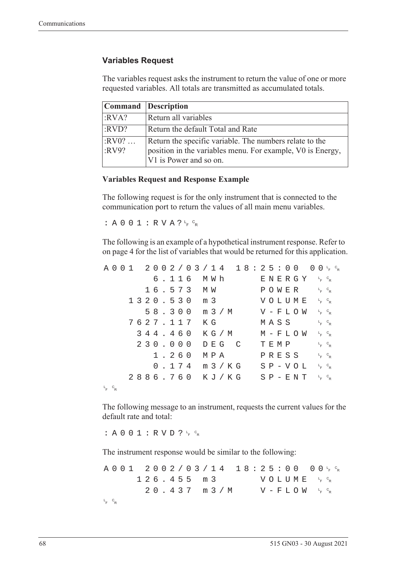#### **Variables Request**

The variables request asks the instrument to return the value of one or more requested variables. All totals are transmitted as accumulated totals.

|                  | Command Description                                                                                                                             |
|------------------|-------------------------------------------------------------------------------------------------------------------------------------------------|
| :RVA?            | Return all variables                                                                                                                            |
| :RVD?            | Return the default Total and Rate                                                                                                               |
| $:RV0?$<br>:RV9? | Return the specific variable. The numbers relate to the<br>position in the variables menu. For example, V0 is Energy,<br>V1 is Power and so on. |

#### **Variables Request and Response Example**

The following request is for the only instrument that is connected to the communication port to return the values of all main menu variables.

:  $A 0 0 1 : R V A ? \frac{c}{r} c_R$ 

The following is an example of a hypothetical instrument response. Refer to [on page 4](#page-13-0) for the list of variables that would be returned for this application.

|             |  |  |  |  |          |  |                  |  |       | $A\ 0\ 0\ 1\quad 2\ 0\ 0\ 2\ / \ 0\ 3\ / \ 1\ 4\quad 1\ 8:2\ 5:0\ 0\quad 0\ 0\ _{F}\ ^{c}{}_{R}$ |  |      |  |               |                                              |                                   |  |
|-------------|--|--|--|--|----------|--|------------------|--|-------|--------------------------------------------------------------------------------------------------|--|------|--|---------------|----------------------------------------------|-----------------------------------|--|
|             |  |  |  |  |          |  | 6.116 MWh        |  |       |                                                                                                  |  |      |  |               | ENERGY 'F <sup>c</sup> r                     |                                   |  |
|             |  |  |  |  |          |  | 16.573 MW        |  |       |                                                                                                  |  |      |  |               | POWER                                        | $L_{F}$ $C_{R}$                   |  |
|             |  |  |  |  |          |  | 1320.530 m 3     |  |       |                                                                                                  |  |      |  |               | VOLUME <sup>L<sub>E</sub>C<sub>R</sub></sup> |                                   |  |
|             |  |  |  |  |          |  |                  |  |       | 58.300 m 3/M                                                                                     |  |      |  |               | $V - F L O W \leftarrow c_R$                 |                                   |  |
|             |  |  |  |  | 7627.117 |  | КG               |  |       |                                                                                                  |  |      |  | MASS          |                                              | $L_F$ $C_R$                       |  |
|             |  |  |  |  | 344.460  |  |                  |  |       | K G / M                                                                                          |  |      |  |               | M – F L O W                                  | $L$ <sub>F</sub> $C$ <sub>R</sub> |  |
|             |  |  |  |  | 230.000  |  |                  |  | DEG C |                                                                                                  |  | TEMP |  |               |                                              | $L_F$ $C_R$                       |  |
|             |  |  |  |  | 1.260    |  | МРА              |  |       |                                                                                                  |  |      |  | PRESS         |                                              | $L_{F}$ $C_{R}$                   |  |
|             |  |  |  |  |          |  | $0.174$ m $3/KG$ |  |       |                                                                                                  |  |      |  | $S P - V O L$ |                                              | $L_{F}$ $C_{R}$                   |  |
|             |  |  |  |  |          |  |                  |  |       | 2886.760 KJ/KG SP-ENT FR                                                                         |  |      |  |               |                                              |                                   |  |
| $L_F$ $C_R$ |  |  |  |  |          |  |                  |  |       |                                                                                                  |  |      |  |               |                                              |                                   |  |

The following message to an instrument, requests the current values for the default rate and total:

: A 0 0 1 : R V D ?  $L_F$   $C_R$ 

The instrument response would be similar to the following:

A001 2002/03/14 18:25:00  $F$   $\circ$ <sub>R</sub>  $126.455 m3$ <sup>F</sup> <sup>C</sup> R  $20.437$  m  $3/M$  $F$   $\circ$ <sub>R</sub> L <sup>F</sup> <sup>C</sup> R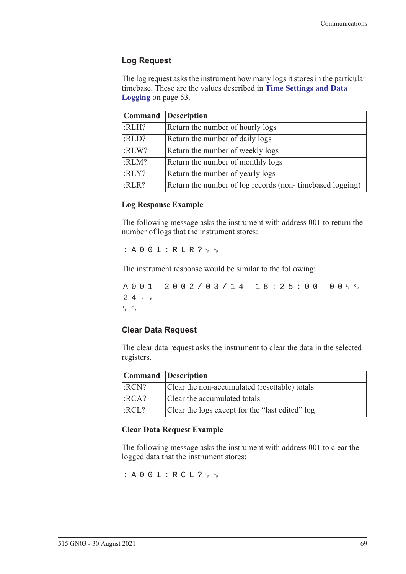#### **Log Request**

The log request asks the instrument how many logs it stores in the particular timebase. These are the values described in **[Time Settings and Data](#page-62-0)  Logging** [on page 53](#page-62-0).

|       | Command Description                                      |
|-------|----------------------------------------------------------|
| :RLH? | Return the number of hourly logs                         |
| :RLD? | Return the number of daily logs                          |
| :RLW? | Return the number of weekly logs                         |
| :RLM? | Return the number of monthly logs                        |
| :RLY? | Return the number of yearly logs                         |
| :RLR? | Return the number of log records (non-timebased logging) |

#### **Log Response Example**

The following message asks the instrument with address 001 to return the number of logs that the instrument stores:

 $: A 0 0 1 : R L R ? \nmid R$ 

The instrument response would be similar to the following:

A001 2002/03/14 18:25:00  $F$   $\circ$ R  $24r$ <sub>F</sub>  $c_R$ L <sup>F</sup> <sup>C</sup> R

#### **Clear Data Request**

The clear data request asks the instrument to clear the data in the selected registers.

| Command Description |                                                 |
|---------------------|-------------------------------------------------|
| :RCN?               | Clear the non-accumulated (resettable) totals   |
| :RCA?               | Clear the accumulated totals                    |
| :RCL?               | Clear the logs except for the "last edited" log |

#### **Clear Data Request Example**

The following message asks the instrument with address 001 to clear the logged data that the instrument stores:

: A 0 0 1 : R C L ?  $L_F$   $c_R$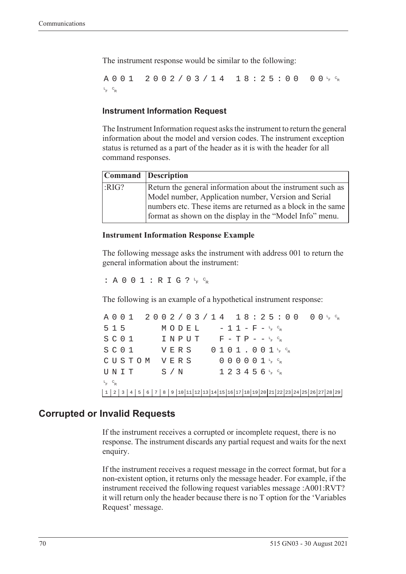The instrument response would be similar to the following:

A001 2002/03/14 18:25:00  $F$   $\circ$ <sub>R</sub> L <sup>F</sup> <sup>C</sup> R

#### **Instrument Information Request**

The Instrument Information request asks the instrument to return the general information about the model and version codes. The instrument exception status is returned as a part of the header as it is with the header for all command responses.

|      | Command Description                                                                                                      |
|------|--------------------------------------------------------------------------------------------------------------------------|
| RIG? | Return the general information about the instrument such as                                                              |
|      | Model number, Application number, Version and Serial                                                                     |
|      | numbers etc. These items are returned as a block in the same<br>format as shown on the display in the "Model Info" menu. |

#### **Instrument Information Response Example**

The following message asks the instrument with address 001 to return the general information about the instrument:

: A 0 0 1 : R I G ?  $L_F$   $C_R$ 

The following is an example of a hypothetical instrument response:

A001 2002/03/14 18:25:00 <sup>F</sup> <sup>C</sup> R  $515$   $MODEL$   $-11-F-F_{R}^{c}$  $S$  C O  $1$  I N P U T F - T P - - <sup>L</sup><sub>F</sub> <sup>C</sup>R  $S$  C O  $1$  V E R S O  $1$  O  $1$  J  $1$  , O  $0$   $1$   $1$   $1$   $6$   $8$ CUSTOM VERS 000001<sup>t</sup>F<sup>c</sup>r  $\texttt{UNIT}$  S/N 123456<sup>L</sup>F <sup>C</sup>R L <sup>F</sup> <sup>C</sup> R 1 2 3 4 5 6 7 8 9 10 11 12 13 14 15 16 17 18 19 20 21 22 23 24 25 26 27 28 29

### **Corrupted or Invalid Requests**

If the instrument receives a corrupted or incomplete request, there is no response. The instrument discards any partial request and waits for the next enquiry.

If the instrument receives a request message in the correct format, but for a non-existent option, it returns only the message header. For example, if the instrument received the following request variables message :A001:RVT? it will return only the header because there is no T option for the 'Variables Request' message.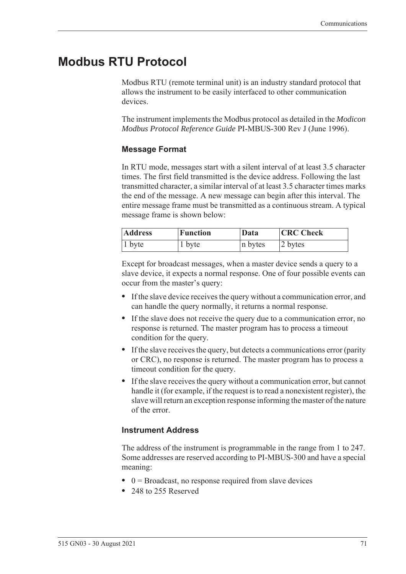# **Modbus RTU Protocol**

<span id="page-80-0"></span>Modbus RTU (remote terminal unit) is an industry standard protocol that allows the instrument to be easily interfaced to other communication devices.

The instrument implements the Modbus protocol as detailed in the *Modicon Modbus Protocol Reference Guide* PI-MBUS-300 Rev J (June 1996).

#### **Message Format**

In RTU mode, messages start with a silent interval of at least 3.5 character times. The first field transmitted is the device address. Following the last transmitted character, a similar interval of at least 3.5 character times marks the end of the message. A new message can begin after this interval. The entire message frame must be transmitted as a continuous stream. A typical message frame is shown below:

| <b>Address</b> | <b>Function</b> | Data    | <b>CRC</b> Check |  |  |  |  |
|----------------|-----------------|---------|------------------|--|--|--|--|
| $ 1$ byte      | 1 byte          | n bytes | 2 bytes          |  |  |  |  |

Except for broadcast messages, when a master device sends a query to a slave device, it expects a normal response. One of four possible events can occur from the master's query:

- **•** If the slave device receives the query without a communication error, and can handle the query normally, it returns a normal response.
- **•** If the slave does not receive the query due to a communication error, no response is returned. The master program has to process a timeout condition for the query.
- **•** If the slave receives the query, but detects a communications error (parity or CRC), no response is returned. The master program has to process a timeout condition for the query.
- **•** If the slave receives the query without a communication error, but cannot handle it (for example, if the request is to read a nonexistent register), the slave will return an exception response informing the master of the nature of the error.

#### **Instrument Address**

The address of the instrument is programmable in the range from 1 to 247. Some addresses are reserved according to PI-MBUS-300 and have a special meaning:

- 0 = Broadcast, no response required from slave devices
- **•** 248 to 255 Reserved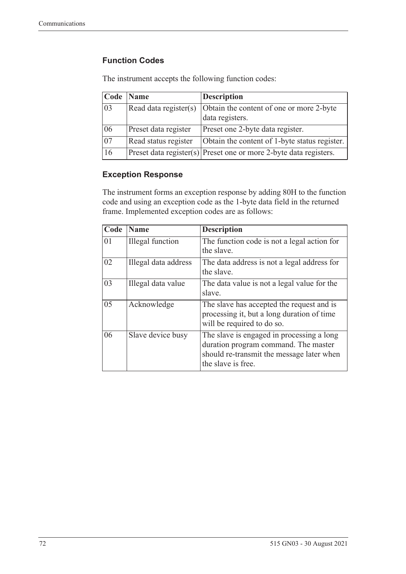## **Function Codes**

| Code            | <b>Name</b>           | <b>Description</b>                                                    |
|-----------------|-----------------------|-----------------------------------------------------------------------|
| 03              | Read data register(s) | Obtain the content of one or more 2-byte<br>data registers.           |
| 06              | Preset data register  | Preset one 2-byte data register.                                      |
| $\overline{07}$ | Read status register  | Obtain the content of 1-byte status register.                         |
| 16              |                       | $ $ Preset data register(s) Preset one or more 2-byte data registers. |

The instrument accepts the following function codes:

#### **Exception Response**

The instrument forms an exception response by adding 80H to the function code and using an exception code as the 1-byte data field in the returned frame. Implemented exception codes are as follows:

| Code | <b>Name</b>             | <b>Description</b>                                                                                                                                   |
|------|-------------------------|------------------------------------------------------------------------------------------------------------------------------------------------------|
| 01   | <b>Illegal</b> function | The function code is not a legal action for<br>the slave.                                                                                            |
| 02   | Illegal data address    | The data address is not a legal address for<br>the slave.                                                                                            |
| 03   | Illegal data value      | The data value is not a legal value for the<br>slave.                                                                                                |
| 05   | Acknowledge             | The slave has accepted the request and is<br>processing it, but a long duration of time<br>will be required to do so.                                |
| 06   | Slave device busy       | The slave is engaged in processing a long<br>duration program command. The master<br>should re-transmit the message later when<br>the slave is free. |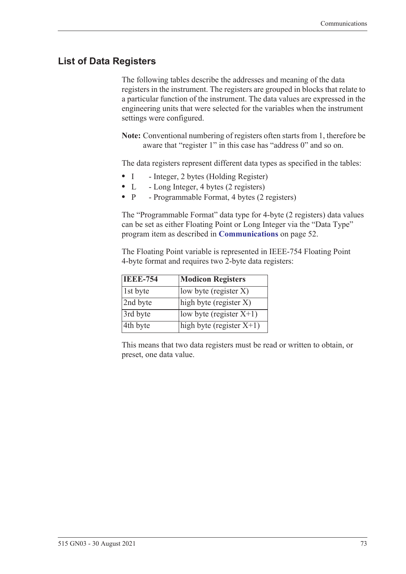# **List of Data Registers**

The following tables describe the addresses and meaning of the data registers in the instrument. The registers are grouped in blocks that relate to a particular function of the instrument. The data values are expressed in the engineering units that were selected for the variables when the instrument settings were configured.

**Note:** Conventional numbering of registers often starts from 1, therefore be aware that "register 1" in this case has "address 0" and so on.

The data registers represent different data types as specified in the tables:

- I Integer, 2 bytes (Holding Register)
- L Long Integer, 4 bytes (2 registers)
- P Programmable Format, 4 bytes (2 registers)

The "Programmable Format" data type for 4-byte (2 registers) data values can be set as either Floating Point or Long Integer via the "Data Type" program item as described in **[Communications](#page-61-0)** on page 52.

The Floating Point variable is represented in IEEE-754 Floating Point 4-byte format and requires two 2-byte data registers:

| <b>IEEE-754</b> | <b>Modicon Registers</b>    |
|-----------------|-----------------------------|
| 1st byte        | low byte (register $X$ )    |
| 2nd byte        | high byte (register X)      |
| 3rd byte        | $ low byte (register X+1) $ |
| 4th byte        | high byte (register $X+1$ ) |

This means that two data registers must be read or written to obtain, or preset, one data value.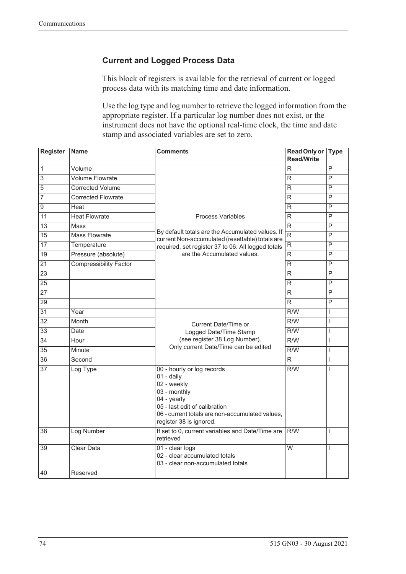## **Current and Logged Process Data**

This block of registers is available for the retrieval of current or logged process data with its matching time and date information.

Use the log type and log number to retrieve the logged information from the appropriate register. If a particular log number does not exist, or the instrument does not have the optional real-time clock, the time and date stamp and associated variables are set to zero.

| Register        | <b>Name</b>                   | <b>Comments</b>                                                                                                                                                                                         | <b>Read Only or</b><br><b>Read/Write</b> | <b>Type</b>              |
|-----------------|-------------------------------|---------------------------------------------------------------------------------------------------------------------------------------------------------------------------------------------------------|------------------------------------------|--------------------------|
| $\overline{1}$  | Volume                        |                                                                                                                                                                                                         | R                                        | $\overline{P}$           |
| $\overline{3}$  | <b>Volume Flowrate</b>        |                                                                                                                                                                                                         | R                                        | P                        |
| $\overline{5}$  | <b>Corrected Volume</b>       |                                                                                                                                                                                                         | $\mathsf{R}$                             | P                        |
| $\overline{7}$  | <b>Corrected Flowrate</b>     |                                                                                                                                                                                                         | R                                        | P                        |
| $\overline{9}$  | Heat                          |                                                                                                                                                                                                         | R                                        | P                        |
| $\overline{11}$ | <b>Heat Flowrate</b>          | <b>Process Variables</b>                                                                                                                                                                                | R                                        | $\overline{\mathsf{P}}$  |
| $\overline{13}$ | Mass                          |                                                                                                                                                                                                         | $\overline{R}$                           | P                        |
| 15              | <b>Mass Flowrate</b>          | By default totals are the Accumulated values. If<br>current Non-accumulated (resettable) totals are                                                                                                     | $\overline{R}$                           | $\overline{P}$           |
| $\overline{17}$ | Temperature                   | required, set register 37 to 06. All logged totals                                                                                                                                                      | $\overline{\mathsf{R}}$                  | $\overline{P}$           |
| $\overline{19}$ | Pressure (absolute)           | are the Accumulated values.                                                                                                                                                                             | $\mathsf R$                              | P                        |
| 21              | <b>Compressibility Factor</b> |                                                                                                                                                                                                         | R                                        | P                        |
| $\overline{23}$ |                               |                                                                                                                                                                                                         | R                                        | P                        |
| $\overline{25}$ |                               |                                                                                                                                                                                                         | R                                        | $\overline{\mathsf{P}}$  |
| $\overline{27}$ |                               |                                                                                                                                                                                                         | $\overline{R}$                           | $\overline{\mathsf{P}}$  |
| $\overline{29}$ |                               |                                                                                                                                                                                                         | R.                                       | P                        |
| $\overline{31}$ | Year                          |                                                                                                                                                                                                         | R/W                                      | $\mathsf{I}$             |
| $\overline{32}$ | Month                         | Current Date/Time or                                                                                                                                                                                    | $\overline{R/W}$                         | $\overline{\phantom{a}}$ |
| $\overline{33}$ | Date                          | Logged Date/Time Stamp                                                                                                                                                                                  | R/W                                      | I                        |
| $\overline{34}$ | Hour                          | (see register 38 Log Number).                                                                                                                                                                           | R/W                                      | $\overline{1}$           |
| 35              | Minute                        | Only current Date/Time can be edited                                                                                                                                                                    | $\overline{R/W}$                         | T                        |
| $\overline{36}$ | Second                        |                                                                                                                                                                                                         | $\overline{R}$                           | T                        |
| $\overline{37}$ | Log Type                      | 00 - hourly or log records<br>$01 -$ daily<br>02 - weekly<br>03 - monthly<br>04 - yearly<br>05 - last edit of calibration<br>06 - current totals are non-accumulated values,<br>register 38 is ignored. | R/W                                      | $\overline{1}$           |
| 38              | Log Number                    | If set to 0, current variables and Date/Time are<br>retrieved                                                                                                                                           | R/W                                      | T                        |
| 39              | Clear Data                    | 01 - clear logs<br>02 - clear accumulated totals<br>03 - clear non-accumulated totals                                                                                                                   | W                                        | T                        |
| 40              | Reserved                      |                                                                                                                                                                                                         |                                          |                          |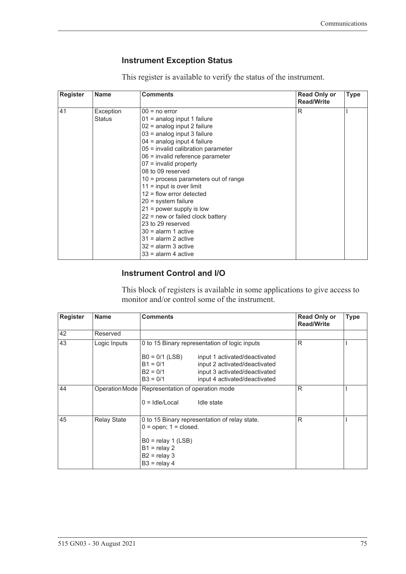## <span id="page-84-1"></span><span id="page-84-0"></span>**Instrument Exception Status**

This register is available to verify the status of the instrument.

| <b>Register</b> | <b>Name</b> | <b>Comments</b>                        | <b>Read Only or</b><br><b>Read/Write</b> | <b>Type</b> |
|-----------------|-------------|----------------------------------------|------------------------------------------|-------------|
| 41              | Exception   | $00 = no error$                        | R                                        |             |
|                 | Status      | $01$ = analog input 1 failure          |                                          |             |
|                 |             | 02 = analog input 2 failure            |                                          |             |
|                 |             | 03 = analog input 3 failure            |                                          |             |
|                 |             | $04$ = analog input 4 failure          |                                          |             |
|                 |             | 05 = invalid calibration parameter     |                                          |             |
|                 |             | 06 = invalid reference parameter       |                                          |             |
|                 |             | $07$ = invalid property                |                                          |             |
|                 |             | 08 to 09 reserved                      |                                          |             |
|                 |             | $10$ = process parameters out of range |                                          |             |
|                 |             | $11 =$ input is over limit             |                                          |             |
|                 |             | $12$ = flow error detected             |                                          |             |
|                 |             | $20 =$ system failure                  |                                          |             |
|                 |             | $21$ = power supply is low             |                                          |             |
|                 |             | $22$ = new or failed clock battery     |                                          |             |
|                 |             | 23 to 29 reserved                      |                                          |             |
|                 |             | $30 =$ alarm 1 active                  |                                          |             |
|                 |             | $31$ = alarm 2 active                  |                                          |             |
|                 |             | $32$ = alarm 3 active                  |                                          |             |
|                 |             | $33$ = alarm 4 active                  |                                          |             |

#### **Instrument Control and I/O**

This block of registers is available in some applications to give access to monitor and/or control some of the instrument.

| <b>Register</b> | <b>Name</b>        | <b>Comments</b>                                                                                                                                                                                | <b>Read Only or</b><br><b>Read/Write</b> | <b>Type</b> |
|-----------------|--------------------|------------------------------------------------------------------------------------------------------------------------------------------------------------------------------------------------|------------------------------------------|-------------|
| 42              | Reserved           |                                                                                                                                                                                                |                                          |             |
| 43              | Logic Inputs       | 0 to 15 Binary representation of logic inputs                                                                                                                                                  | R                                        |             |
|                 |                    | $B0 = 0/1$ (LSB)<br>input 1 activated/deactivated<br>$B1 = 0/1$<br>input 2 activated/deactivated<br>$B2 = 0/1$<br>input 3 activated/deactivated<br>$B3 = 0/1$<br>input 4 activated/deactivated |                                          |             |
| 44              |                    | Operation Mode   Representation of operation mode<br>$0 =$ Idle/Local<br>Idle state                                                                                                            | R                                        |             |
| 45              | <b>Relay State</b> | 0 to 15 Binary representation of relay state.<br>$0 =$ open; $1 =$ closed.<br>$B0 =$ relay 1 (LSB)<br>$B1 =$ relay 2<br>$B2 =$ relay 3<br>$B3 =$ relay 4                                       | R                                        |             |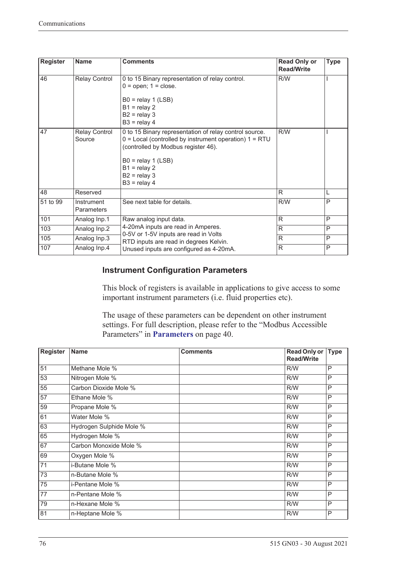| <b>Register</b> | <b>Name</b>              | <b>Comments</b>                                                                                                                                                                                                                           | <b>Read Only or</b><br><b>Read/Write</b> | <b>Type</b> |
|-----------------|--------------------------|-------------------------------------------------------------------------------------------------------------------------------------------------------------------------------------------------------------------------------------------|------------------------------------------|-------------|
| 46              | Relay Control            | 0 to 15 Binary representation of relay control.<br>$0 =$ open; $1 =$ close.<br>$B0 =$ relay 1 (LSB)<br>$B1 =$ relay 2<br>$B2 =$ relay 3<br>$B3 =$ relay 4                                                                                 | R/W                                      |             |
| 47              | Relay Control<br>Source  | 0 to 15 Binary representation of relay control source.<br>$0 =$ Local (controlled by instrument operation) $1 = RTU$<br>(controlled by Modbus register 46).<br>$B0 =$ relay 1 (LSB)<br>$B1$ = relay 2<br>$B2 =$ relay 3<br>$B3 =$ relay 4 | R/W                                      |             |
| 48              | Reserved                 |                                                                                                                                                                                                                                           | R                                        | L           |
| 51 to 99        | Instrument<br>Parameters | See next table for details.                                                                                                                                                                                                               | R/W                                      | P           |
| 101             | Analog Inp.1             | Raw analog input data.                                                                                                                                                                                                                    | R                                        | P           |
| 103             | Analog Inp.2             | 4-20mA inputs are read in Amperes.                                                                                                                                                                                                        | $\mathsf{R}$                             | P           |
| 105             | Analog Inp.3             | 0-5V or 1-5V inputs are read in Volts<br>RTD inputs are read in degrees Kelvin.                                                                                                                                                           | R                                        | P           |
| 107             | Analog Inp.4             | Unused inputs are configured as 4-20mA.                                                                                                                                                                                                   | R                                        | P           |

## **Instrument Configuration Parameters**

This block of registers is available in applications to give access to some important instrument parameters (i.e. fluid properties etc).

The usage of these parameters can be dependent on other instrument settings. For full description, please refer to the "Modbus Accessible Parameters" in **[Parameters](#page-49-0)** on page 40.

| <b>Register</b> | <b>Name</b>              | <b>Comments</b> | Read Only or Type<br><b>Read/Write</b> |   |
|-----------------|--------------------------|-----------------|----------------------------------------|---|
| 51              | Methane Mole %           |                 | R/W                                    | P |
| 53              | Nitrogen Mole %          |                 | R/W                                    | P |
| 55              | Carbon Dioxide Mole %    |                 | R/W                                    | P |
| 57              | Ethane Mole %            |                 | R/W                                    | P |
| 59              | Propane Mole %           |                 | R/W                                    | P |
| 61              | Water Mole %             |                 | R/W                                    | P |
| 63              | Hydrogen Sulphide Mole % |                 | R/W                                    | P |
| 65              | Hydrogen Mole %          |                 | R/W                                    | P |
| 67              | Carbon Monoxide Mole %   |                 | R/W                                    | P |
| 69              | Oxygen Mole %            |                 | R/W                                    | P |
| $\overline{71}$ | i-Butane Mole %          |                 | R/W                                    | P |
| 73              | n-Butane Mole %          |                 | R/W                                    | P |
| 75              | i-Pentane Mole %         |                 | R/W                                    | P |
| 77              | n-Pentane Mole %         |                 | R/W                                    | P |
| 79              | n-Hexane Mole %          |                 | R/W                                    | P |
| 81              | n-Heptane Mole %         |                 | R/W                                    | P |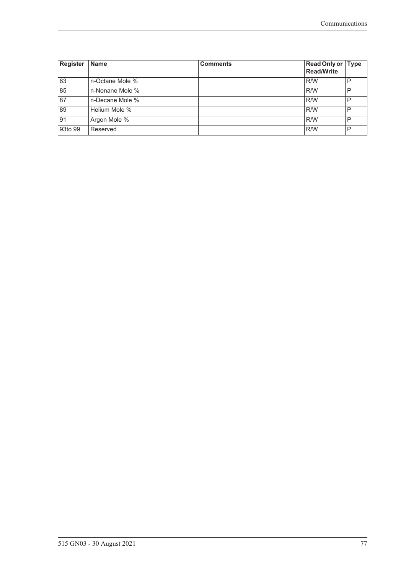| <b>Register</b> | <b>Name</b>     | <b>Comments</b> | Read Only or Type<br><b>Read/Write</b> |   |
|-----------------|-----------------|-----------------|----------------------------------------|---|
| 83              | n-Octane Mole % |                 | R/W                                    | P |
| 85              | n-Nonane Mole % |                 | R/W                                    | P |
| $\overline{8}$  | n-Decane Mole % |                 | R/W                                    | P |
| 89              | Helium Mole %   |                 | R/W                                    | P |
| 91              | Argon Mole %    |                 | R/W                                    | P |
| 93to 99         | Reserved        |                 | R/W                                    | P |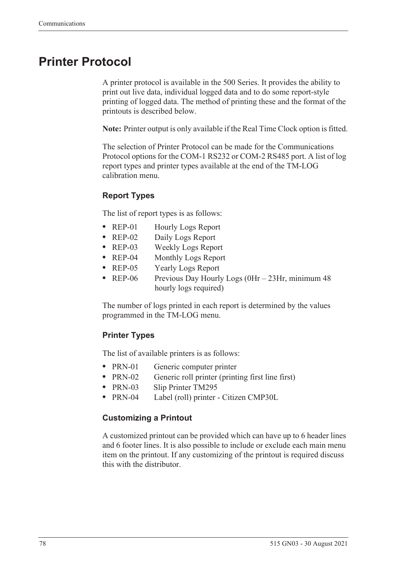# <span id="page-87-0"></span>**Printer Protocol**

<span id="page-87-2"></span>A printer protocol is available in the 500 Series. It provides the ability to print out live data, individual logged data and to do some report-style printing of logged data. The method of printing these and the format of the printouts is described below.

**Note:** Printer output is only available if the Real Time Clock option is fitted.

The selection of Printer Protocol can be made for the Communications Protocol options for the COM-1 RS232 or COM-2 RS485 port. A list of log report types and printer types available at the end of the TM-LOG calibration menu.

### <span id="page-87-3"></span>**Report Types**

The list of report types is as follows:

- REP-01 Hourly Logs Report
- **•** REP-02 Daily Logs Report
- **•** REP-03 Weekly Logs Report
- **•** REP-04 Monthly Logs Report
- **•** REP-05 Yearly Logs Report
- REP-06 Previous Day Hourly Logs (0Hr 23Hr, minimum 48 hourly logs required)

The number of logs printed in each report is determined by the values programmed in the TM-LOG menu.

#### <span id="page-87-4"></span>**Printer Types**

The list of available printers is as follows:

- PRN-01 Generic computer printer
- PRN-02 Generic roll printer (printing first line first)
- **•** PRN-03 Slip Printer TM295
- **•** PRN-04 Label (roll) printer Citizen CMP30L

#### <span id="page-87-1"></span>**Customizing a Printout**

A customized printout can be provided which can have up to 6 header lines and 6 footer lines. It is also possible to include or exclude each main menu item on the printout. If any customizing of the printout is required discuss this with the distributor.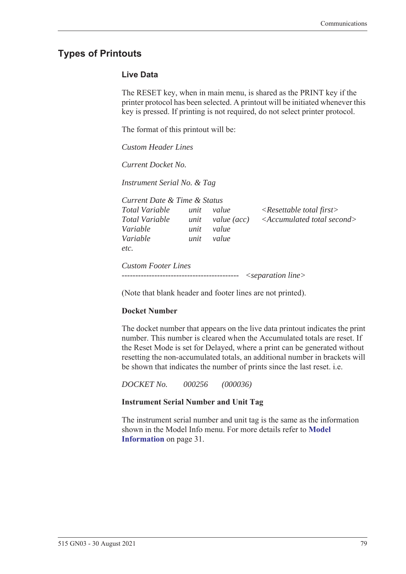# <span id="page-88-1"></span>**Types of Printouts**

#### <span id="page-88-0"></span>**Live Data**

The RESET key, when in main menu, is shared as the PRINT key if the printer protocol has been selected. A printout will be initiated whenever this key is pressed. If printing is not required, do not select printer protocol.

The format of this printout will be:

*Custom Header Lines*

*Current Docket No.* 

*Instrument Serial No. & Tag*

| unit | value | $\langle$ Resettable total first $\rangle$        |
|------|-------|---------------------------------------------------|
|      |       | $\leq$ Accumulated total second $>$               |
| unit | value |                                                   |
| unit | value |                                                   |
|      |       |                                                   |
|      |       | Current Date & Time & Status<br>unit value $(ac)$ |

*Custom Footer Lines ------------------------------------------- <separation line>*

(Note that blank header and footer lines are not printed).

#### **Docket Number**

The docket number that appears on the live data printout indicates the print number. This number is cleared when the Accumulated totals are reset. If the Reset Mode is set for Delayed, where a print can be generated without resetting the non-accumulated totals, an additional number in brackets will be shown that indicates the number of prints since the last reset. i.e.

*DOCKET No. 000256 (000036)*

#### **Instrument Serial Number and Unit Tag**

The instrument serial number and unit tag is the same as the information shown in the Model Info menu. For more details refer to **[Model](#page-40-0)  [Information](#page-40-0)** on page 31.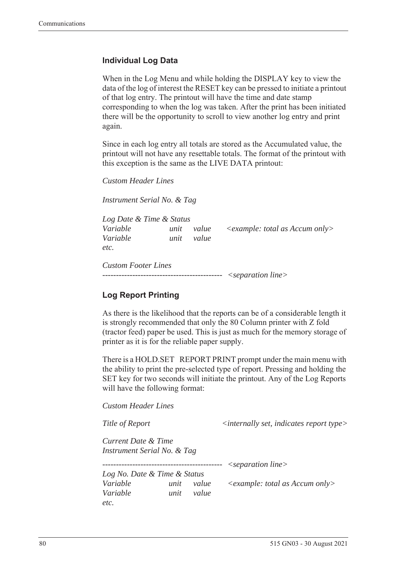#### <span id="page-89-0"></span>**Individual Log Data**

When in the Log Menu and while holding the DISPLAY key to view the data of the log of interest the RESET key can be pressed to initiate a printout of that log entry. The printout will have the time and date stamp corresponding to when the log was taken. After the print has been initiated there will be the opportunity to scroll to view another log entry and print again.

Since in each log entry all totals are stored as the Accumulated value, the printout will not have any resettable totals. The format of the printout with this exception is the same as the LIVE DATA printout:

*Custom Header Lines*

*Instrument Serial No. & Tag*

| Log Date & Time & Status   |      |       |                                     |
|----------------------------|------|-------|-------------------------------------|
| Variable                   | unit | value | $\leq$ example: total as Accum only |
| Variable                   | unit | value |                                     |
| etc.                       |      |       |                                     |
| <b>Custom Footer Lines</b> |      |       |                                     |

*-------------------------------------------- <separation line>*

### <span id="page-89-1"></span>**Log Report Printing**

As there is the likelihood that the reports can be of a considerable length it is strongly recommended that only the 80 Column printer with Z fold (tractor feed) paper be used. This is just as much for the memory storage of printer as it is for the reliable paper supply.

There is a HOLD.SET REPORT PRINT prompt under the main menu with the ability to print the pre-selected type of report. Pressing and holding the SET key for two seconds will initiate the printout. Any of the Log Reports will have the following format:

*Custom Header Lines*

*Title of Report*  $\langle$  *internally set, indicates report type Current Date & Time Instrument Serial No. & Tag -------------------------------------------- <separation line> Log No. Date & Time & Status Variable unit value <example: total as Accum only> Variable unit value etc.*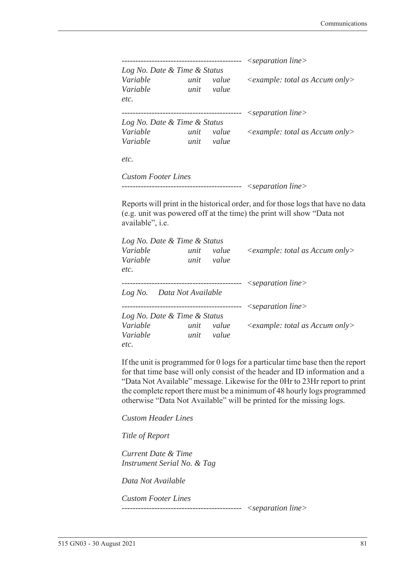|                              |      |       | $\leq$ separation line $>$              |
|------------------------------|------|-------|-----------------------------------------|
| Log No. Date & Time & Status |      |       |                                         |
| Variable                     | unit | value | $\leq$ example: total as Accum only $>$ |
| Variable                     | unit | value |                                         |
| etc.                         |      |       |                                         |
|                              |      |       | $\leq$ separation line $>$              |
| Log No. Date & Time & Status |      |       |                                         |
| Variable                     | unit | value | $\leq$ example: total as Accum only>    |
| Variable                     | unit | value |                                         |
| etc.                         |      |       |                                         |
| <b>Custom Footer Lines</b>   |      |       |                                         |

*-------------------------------------------- <separation line>*

Reports will print in the historical order, and for those logs that have no data (e.g. unit was powered off at the time) the print will show "Data not available", i.e.

| Log No. Date & Time & Status        |      |            |                                      |
|-------------------------------------|------|------------|--------------------------------------|
| Variable                            | unit | value      | $\leq$ example: total as Accum only> |
| Variable                            | unit | value      |                                      |
| etc.                                |      |            |                                      |
|                                     |      |            | $\leq$ separation line $>$           |
| Log No. Data Not Available          |      |            |                                      |
| ----------------------------------- |      | ---------- | $\leq$ separation line $>$           |
| Log No. Date & Time & Status        |      |            |                                      |
| Variable                            | unit | value      | $\leq$ example: total as Accum only> |
| Variable                            | unit | value      |                                      |
| etc.                                |      |            |                                      |

If the unit is programmed for 0 logs for a particular time base then the report for that time base will only consist of the header and ID information and a "Data Not Available" message. Likewise for the 0Hr to 23Hr report to print the complete report there must be a minimum of 48 hourly logs programmed otherwise "Data Not Available" will be printed for the missing logs.

*Custom Header Lines*

*Title of Report*

*Current Date & Time Instrument Serial No. & Tag*

*Data Not Available*

*Custom Footer Lines* 

*-------------------------------------------- <separation line>*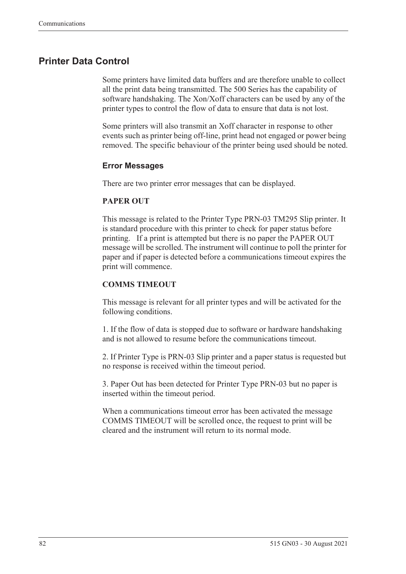# <span id="page-91-0"></span>**Printer Data Control**

Some printers have limited data buffers and are therefore unable to collect all the print data being transmitted. The 500 Series has the capability of software handshaking. The Xon/Xoff characters can be used by any of the printer types to control the flow of data to ensure that data is not lost.

Some printers will also transmit an Xoff character in response to other events such as printer being off-line, print head not engaged or power being removed. The specific behaviour of the printer being used should be noted.

#### <span id="page-91-1"></span>**Error Messages**

There are two printer error messages that can be displayed.

#### **PAPER OUT**

This message is related to the Printer Type PRN-03 TM295 Slip printer. It is standard procedure with this printer to check for paper status before printing. If a print is attempted but there is no paper the PAPER OUT message will be scrolled. The instrument will continue to poll the printer for paper and if paper is detected before a communications timeout expires the print will commence.

#### **COMMS TIMEOUT**

This message is relevant for all printer types and will be activated for the following conditions.

1. If the flow of data is stopped due to software or hardware handshaking and is not allowed to resume before the communications timeout.

2. If Printer Type is PRN-03 Slip printer and a paper status is requested but no response is received within the timeout period.

3. Paper Out has been detected for Printer Type PRN-03 but no paper is inserted within the timeout period.

When a communications timeout error has been activated the message COMMS TIMEOUT will be scrolled once, the request to print will be cleared and the instrument will return to its normal mode.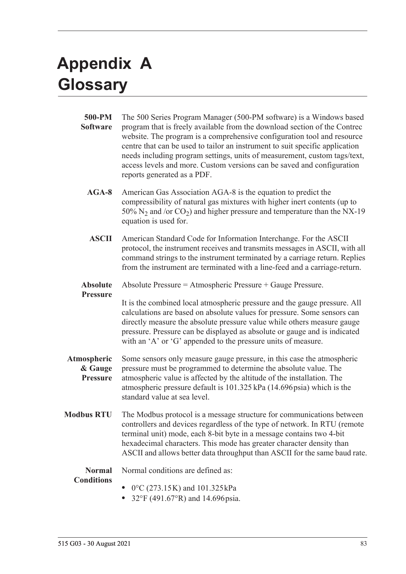# <span id="page-92-1"></span>**Appendix A Glossary**

<span id="page-92-0"></span>

| 500-PM<br><b>Software</b>                 | The 500 Series Program Manager (500-PM software) is a Windows based<br>program that is freely available from the download section of the Contrec<br>website. The program is a comprehensive configuration tool and resource<br>centre that can be used to tailor an instrument to suit specific application<br>needs including program settings, units of measurement, custom tags/text,<br>access levels and more. Custom versions can be saved and configuration<br>reports generated as a PDF. |  |  |  |  |  |  |  |
|-------------------------------------------|---------------------------------------------------------------------------------------------------------------------------------------------------------------------------------------------------------------------------------------------------------------------------------------------------------------------------------------------------------------------------------------------------------------------------------------------------------------------------------------------------|--|--|--|--|--|--|--|
| $AGA-8$                                   | American Gas Association AGA-8 is the equation to predict the<br>compressibility of natural gas mixtures with higher inert contents (up to<br>50% $N_2$ and /or CO <sub>2</sub> ) and higher pressure and temperature than the NX-19<br>equation is used for.                                                                                                                                                                                                                                     |  |  |  |  |  |  |  |
| <b>ASCII</b>                              | American Standard Code for Information Interchange. For the ASCII<br>protocol, the instrument receives and transmits messages in ASCII, with all<br>command strings to the instrument terminated by a carriage return. Replies<br>from the instrument are terminated with a line-feed and a carriage-return.                                                                                                                                                                                      |  |  |  |  |  |  |  |
| <b>Absolute</b>                           | Absolute Pressure = Atmospheric Pressure + Gauge Pressure.                                                                                                                                                                                                                                                                                                                                                                                                                                        |  |  |  |  |  |  |  |
| <b>Pressure</b>                           | It is the combined local atmospheric pressure and the gauge pressure. All<br>calculations are based on absolute values for pressure. Some sensors can<br>directly measure the absolute pressure value while others measure gauge<br>pressure. Pressure can be displayed as absolute or gauge and is indicated<br>with an 'A' or 'G' appended to the pressure units of measure.                                                                                                                    |  |  |  |  |  |  |  |
| Atmospheric<br>& Gauge<br><b>Pressure</b> | Some sensors only measure gauge pressure, in this case the atmospheric<br>pressure must be programmed to determine the absolute value. The<br>atmospheric value is affected by the altitude of the installation. The<br>atmospheric pressure default is 101.325 kPa (14.696 psia) which is the<br>standard value at sea level.                                                                                                                                                                    |  |  |  |  |  |  |  |
| <b>Modbus RTU</b>                         | The Modbus protocol is a message structure for communications between<br>controllers and devices regardless of the type of network. In RTU (remote<br>terminal unit) mode, each 8-bit byte in a message contains two 4-bit<br>hexadecimal characters. This mode has greater character density than<br>ASCII and allows better data throughput than ASCII for the same baud rate.                                                                                                                  |  |  |  |  |  |  |  |
| <b>Normal</b>                             | Normal conditions are defined as:                                                                                                                                                                                                                                                                                                                                                                                                                                                                 |  |  |  |  |  |  |  |
| <b>Conditions</b>                         | $0^{\circ}$ C (273.15K) and 101.325 kPa<br>32°F (491.67°R) and 14.696 psia.                                                                                                                                                                                                                                                                                                                                                                                                                       |  |  |  |  |  |  |  |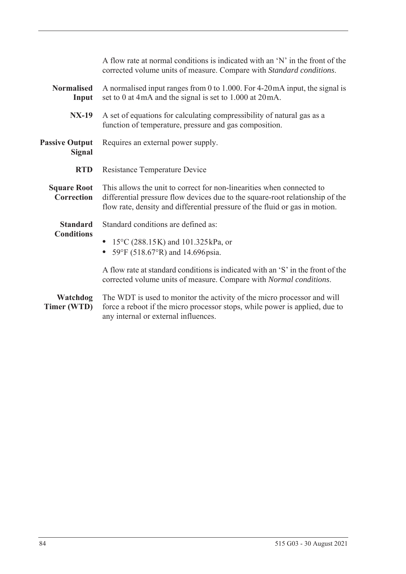|                                                                              | A flow rate at normal conditions is indicated with an 'N' in the front of the<br>corrected volume units of measure. Compare with Standard conditions.                                                                                 |  |  |  |
|------------------------------------------------------------------------------|---------------------------------------------------------------------------------------------------------------------------------------------------------------------------------------------------------------------------------------|--|--|--|
| <b>Normalised</b><br>Input                                                   | A normalised input ranges from 0 to 1.000. For 4-20 mA input, the signal is<br>set to 0 at 4mA and the signal is set to 1.000 at 20mA.                                                                                                |  |  |  |
| <b>NX-19</b>                                                                 | A set of equations for calculating compressibility of natural gas as a<br>function of temperature, pressure and gas composition.                                                                                                      |  |  |  |
| <b>Passive Output</b><br>Requires an external power supply.<br><b>Signal</b> |                                                                                                                                                                                                                                       |  |  |  |
| <b>RTD</b>                                                                   | <b>Resistance Temperature Device</b>                                                                                                                                                                                                  |  |  |  |
| <b>Square Root</b><br>Correction                                             | This allows the unit to correct for non-linearities when connected to<br>differential pressure flow devices due to the square-root relationship of the<br>flow rate, density and differential pressure of the fluid or gas in motion. |  |  |  |
| <b>Standard</b>                                                              | Standard conditions are defined as:                                                                                                                                                                                                   |  |  |  |
| <b>Conditions</b>                                                            | • 15°C (288.15K) and 101.325kPa, or<br>• 59°F (518.67°R) and 14.696 psia.                                                                                                                                                             |  |  |  |
|                                                                              | A flow rate at standard conditions is indicated with an 'S' in the front of the<br>corrected volume units of measure. Compare with Normal conditions.                                                                                 |  |  |  |
| Watchdog<br>Timer (WTD)                                                      | The WDT is used to monitor the activity of the micro processor and will<br>force a reboot if the micro processor stops, while power is applied, due to<br>any internal or external influences.                                        |  |  |  |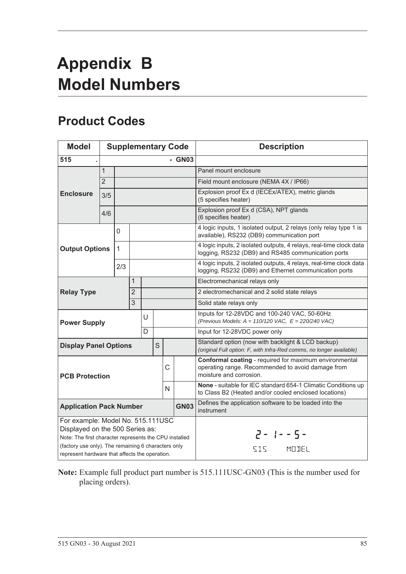# <span id="page-94-1"></span>**Appendix B Model Numbers**

# <span id="page-94-0"></span>**Product Codes**

| <b>Model</b>                                                                                                                                                                          | <b>Supplementary Code</b> |              |                |   |                                                                                                                                        | <b>Description</b>                           |        |                                                                                                                             |  |
|---------------------------------------------------------------------------------------------------------------------------------------------------------------------------------------|---------------------------|--------------|----------------|---|----------------------------------------------------------------------------------------------------------------------------------------|----------------------------------------------|--------|-----------------------------------------------------------------------------------------------------------------------------|--|
| 515                                                                                                                                                                                   |                           |              |                |   |                                                                                                                                        |                                              | - GN03 |                                                                                                                             |  |
|                                                                                                                                                                                       | $\mathbf{1}$              |              |                |   |                                                                                                                                        |                                              |        | Panel mount enclosure                                                                                                       |  |
|                                                                                                                                                                                       | $\overline{2}$            |              |                |   |                                                                                                                                        |                                              |        | Field mount enclosure (NEMA 4X / IP66)                                                                                      |  |
| <b>Enclosure</b>                                                                                                                                                                      | 3/5                       |              |                |   |                                                                                                                                        |                                              |        | Explosion proof Ex d (IECEx/ATEX), metric glands<br>(5 specifies heater)                                                    |  |
|                                                                                                                                                                                       | 4/6                       |              |                |   |                                                                                                                                        |                                              |        | Explosion proof Ex d (CSA), NPT glands<br>(6 specifies heater)                                                              |  |
|                                                                                                                                                                                       |                           | 0            |                |   |                                                                                                                                        |                                              |        | 4 logic inputs, 1 isolated output, 2 relays (only relay type 1 is<br>available), RS232 (DB9) communication port             |  |
| <b>Output Options</b>                                                                                                                                                                 |                           | $\mathbf{1}$ |                |   |                                                                                                                                        |                                              |        | 4 logic inputs, 2 isolated outputs, 4 relays, real-time clock data<br>logging, RS232 (DB9) and RS485 communication ports    |  |
|                                                                                                                                                                                       |                           | 2/3          |                |   |                                                                                                                                        |                                              |        | 4 logic inputs, 2 isolated outputs, 4 relays, real-time clock data<br>logging, RS232 (DB9) and Ethernet communication ports |  |
|                                                                                                                                                                                       |                           |              | 1              |   |                                                                                                                                        |                                              |        | Electromechanical relays only                                                                                               |  |
| <b>Relay Type</b>                                                                                                                                                                     | $\overline{2}$            |              |                |   |                                                                                                                                        | 2 electromechanical and 2 solid state relays |        |                                                                                                                             |  |
|                                                                                                                                                                                       |                           |              | $\overline{3}$ |   |                                                                                                                                        |                                              |        | Solid state relays only                                                                                                     |  |
| <b>Power Supply</b>                                                                                                                                                                   |                           |              |                | U |                                                                                                                                        |                                              |        | Inputs for 12-28VDC and 100-240 VAC, 50-60Hz<br>(Previous Models: $A = 110/120$ VAC, $E = 220/240$ VAC)                     |  |
|                                                                                                                                                                                       |                           |              |                | D |                                                                                                                                        |                                              |        | Input for 12-28VDC power only                                                                                               |  |
| <b>Display Panel Options</b>                                                                                                                                                          |                           |              |                |   | S                                                                                                                                      |                                              |        | Standard option (now with backlight & LCD backup)<br>(original Full option: F, with Infra-Red comms, no longer available)   |  |
| C<br><b>PCB Protection</b>                                                                                                                                                            |                           |              |                |   | Conformal coating - required for maximum environmental<br>operating range. Recommended to avoid damage from<br>moisture and corrosion. |                                              |        |                                                                                                                             |  |
| N                                                                                                                                                                                     |                           |              |                |   | None - suitable for IEC standard 654-1 Climatic Conditions up<br>to Class B2 (Heated and/or cooled enclosed locations)                 |                                              |        |                                                                                                                             |  |
| <b>GN03</b><br><b>Application Pack Number</b>                                                                                                                                         |                           |              |                |   |                                                                                                                                        |                                              |        | Defines the application software to be loaded into the<br>instrument                                                        |  |
| For example: Model No. 515.111USC<br>Displayed on the 500 Series as:<br>Note: The first character represents the CPU installed<br>(factory use only). The remaining 6 characters only |                           |              |                |   |                                                                                                                                        |                                              |        | $2 - 1 - 5 -$                                                                                                               |  |
| represent hardware that affects the operation.                                                                                                                                        |                           |              |                |   |                                                                                                                                        |                                              |        | MODEL<br>515                                                                                                                |  |

**Note:** Example full product part number is 515.111USC-GN03 (This is the number used for placing orders).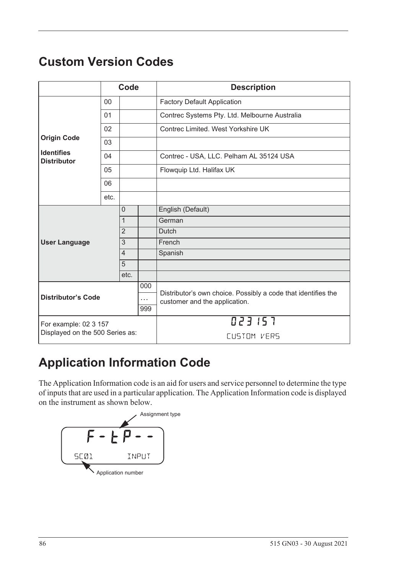# <span id="page-95-1"></span>**Custom Version Codes**

|                                            |             | Code           |                   | <b>Description</b>                                                                             |  |  |
|--------------------------------------------|-------------|----------------|-------------------|------------------------------------------------------------------------------------------------|--|--|
|                                            | 00          |                |                   | <b>Factory Default Application</b>                                                             |  |  |
|                                            | 01          |                |                   | Contrec Systems Pty. Ltd. Melbourne Australia                                                  |  |  |
|                                            | 02          |                |                   | Contrec Limited. West Yorkshire UK                                                             |  |  |
| <b>Origin Code</b>                         | 03          |                |                   |                                                                                                |  |  |
| <b>Identifies</b><br><b>Distributor</b>    | 04          |                |                   | Contrec - USA, LLC. Pelham AL 35124 USA                                                        |  |  |
|                                            | 05          |                |                   | Flowquip Ltd. Halifax UK                                                                       |  |  |
|                                            | 06          |                |                   |                                                                                                |  |  |
|                                            | etc.        |                |                   |                                                                                                |  |  |
| $\Omega$<br>$\mathbf{1}$<br>$\overline{2}$ |             |                | English (Default) |                                                                                                |  |  |
|                                            |             |                | German            |                                                                                                |  |  |
|                                            |             |                | <b>Dutch</b>      |                                                                                                |  |  |
| 3<br><b>User Language</b>                  |             |                |                   | French                                                                                         |  |  |
|                                            |             | $\overline{4}$ |                   | Spanish                                                                                        |  |  |
|                                            |             | 5              |                   |                                                                                                |  |  |
|                                            |             | etc.           |                   |                                                                                                |  |  |
| 000                                        |             |                |                   |                                                                                                |  |  |
| <b>Distributor's Code</b>                  |             |                | $\cdots$          | Distributor's own choice. Possibly a code that identifies the<br>customer and the application. |  |  |
|                                            | 999         |                |                   |                                                                                                |  |  |
| For example: 02 3 157                      |             |                | 023157            |                                                                                                |  |  |
| Displayed on the 500 Series as:            | CUSTOM VERS |                |                   |                                                                                                |  |  |

# **Application Information Code**

The Application Information code is an aid for users and service personnel to determine the type of inputs that are used in a particular application. The Application Information code is displayed on the instrument as shown below.

<span id="page-95-0"></span>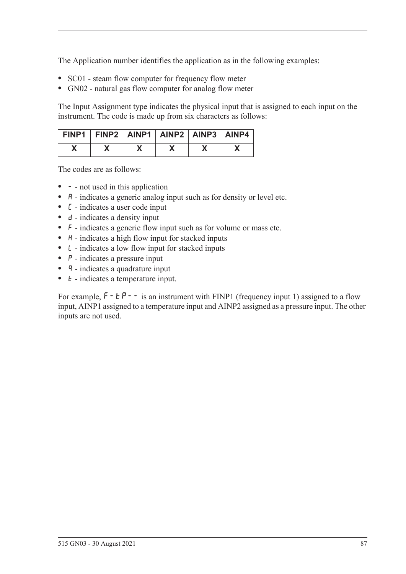The Application number identifies the application as in the following examples:

- **•** SC01 steam flow computer for frequency flow meter
- **•** GN02 natural gas flow computer for analog flow meter

The Input Assignment type indicates the physical input that is assigned to each input on the instrument. The code is made up from six characters as follows:

| FINP1   FINP2   AINP1   AINP2   AINP3   AINP4 |  |  |  |
|-----------------------------------------------|--|--|--|
|                                               |  |  |  |

The codes are as follows:

- - not used in this application
- **A** indicates a generic analog input such as for density or level etc.
- **•** C indicates a user code input
- d indicates a density input
- **•** F indicates a generic flow input such as for volume or mass etc.
- H indicates a high flow input for stacked inputs
- **•** L indicates a low flow input for stacked inputs
- **•** P indicates a pressure input
- **q** indicates a quadrature input
- *k* indicates a temperature input.

For example,  $F - F - i$  is an instrument with FINP1 (frequency input 1) assigned to a flow input, AINP1 assigned to a temperature input and AINP2 assigned as a pressure input. The other inputs are not used.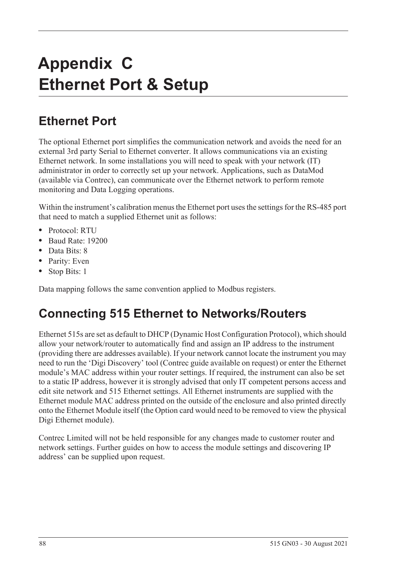# <span id="page-97-0"></span>**Appendix C Ethernet Port & Setup**

# **Ethernet Port**

The optional Ethernet port simplifies the communication network and avoids the need for an external 3rd party Serial to Ethernet converter. It allows communications via an existing Ethernet network. In some installations you will need to speak with your network (IT) administrator in order to correctly set up your network. Applications, such as DataMod (available via Contrec), can communicate over the Ethernet network to perform remote monitoring and Data Logging operations.

Within the instrument's calibration menus the Ethernet port uses the settings for the RS-485 port that need to match a supplied Ethernet unit as follows:

- **•** Protocol: RTU
- **•** Baud Rate: 19200
- **•** Data Bits: 8
- **•** Parity: Even
- **•** Stop Bits: 1

Data mapping follows the same convention applied to Modbus registers.

# **Connecting 515 Ethernet to Networks/Routers**

Ethernet 515s are set as default to DHCP (Dynamic Host Configuration Protocol), which should allow your network/router to automatically find and assign an IP address to the instrument (providing there are addresses available). If your network cannot locate the instrument you may need to run the 'Digi Discovery' tool (Contrec guide available on request) or enter the Ethernet module's MAC address within your router settings. If required, the instrument can also be set to a static IP address, however it is strongly advised that only IT competent persons access and edit site network and 515 Ethernet settings. All Ethernet instruments are supplied with the Ethernet module MAC address printed on the outside of the enclosure and also printed directly onto the Ethernet Module itself (the Option card would need to be removed to view the physical Digi Ethernet module).

Contrec Limited will not be held responsible for any changes made to customer router and network settings. Further guides on how to access the module settings and discovering IP address' can be supplied upon request.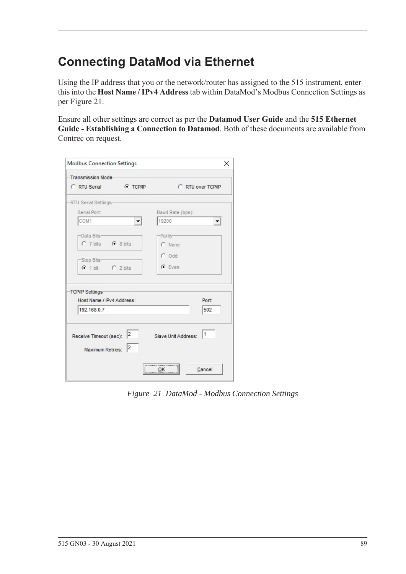# **Connecting DataMod via Ethernet**

Using the IP address that you or the network/router has assigned to the 515 instrument, enter this into the **Host Name / IPv4 Address** tab within DataMod's Modbus Connection Settings as per [Figure 21.](#page-98-0)

Ensure all other settings are correct as per the **Datamod User Guide** and the **515 Ethernet Guide - Establishing a Connection to Datamod**. Both of these documents are available from Contrec on request.

| Transmission Mode-        |                      |                     |                      |
|---------------------------|----------------------|---------------------|----------------------|
| C RTU Serial              | <b>C</b> TCP/IP      | C RTU over TCP/IP   |                      |
| -RTU Serial Settings-     |                      |                     |                      |
| Serial Port:              |                      | Baud Rate (bps):    |                      |
| COM1                      |                      | 19200               | $\blacktriangledown$ |
| -Data Bits-               |                      | -Parity-            |                      |
| C 7 bits C 8 bits         |                      | C None              |                      |
|                           |                      | $C$ Odd             |                      |
| -Stop Bits-               |                      |                     |                      |
| $C$ 1 bit $C$ 2 bits      |                      | $G$ Even            |                      |
|                           |                      |                     |                      |
| TCP/IP Settings           |                      |                     |                      |
| Host Name / IPv4 Address: |                      |                     | Port:                |
| 192.168.0.7               |                      |                     | 502                  |
|                           |                      |                     |                      |
|                           |                      |                     | 11                   |
| Receive Timeout (sec): 2  |                      | Slave Unit Address: |                      |
| Maximum Retries:          | $\vert$ <sub>2</sub> |                     |                      |
|                           |                      |                     |                      |
|                           |                      | <br>$\frac{QK}{2}$  | Cancel               |

<span id="page-98-0"></span>*Figure 21 DataMod - Modbus Connection Settings*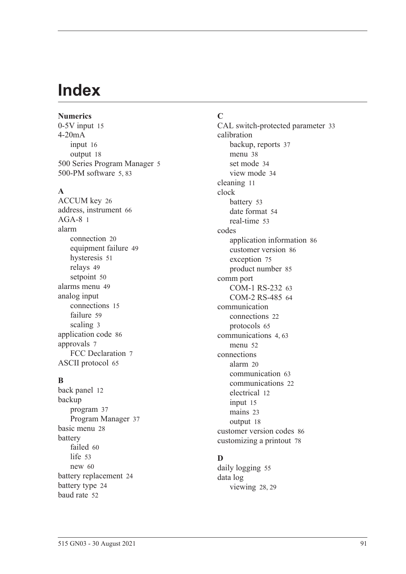# **Index**

**Numerics** 0-5V inpu[t 15](#page-24-0) 4-20mA input [16](#page-25-0) output [18](#page-27-0) 500 Series Program Manage[r 5](#page-14-0) 500-PM software [5,](#page-14-0) [83](#page-92-0)

#### **A**

ACCUM ke[y 26](#page-35-0) address, instrumen[t 66](#page-75-0) AGA-[8 1](#page-10-0) alarm connection [20](#page-29-0) equipment failur[e 49](#page-58-0) hysteresi[s 51](#page-60-0) relays [49](#page-58-1) setpoin[t 50](#page-59-0) alarms menu [49](#page-58-2) analog input connection[s 15](#page-24-1) failur[e 59](#page-68-0) scalin[g 3](#page-12-0) application cod[e 86](#page-95-0) approvals [7](#page-16-0) FCC Declaration [7](#page-16-1) ASCII protoco[l 65](#page-74-0)

### **B**

back panel [12](#page-21-0) backup program [37](#page-46-0) Program Manage[r 37](#page-46-1) basic men[u 28](#page-37-0) battery faile[d 60](#page-69-0) lif[e 53](#page-62-1) ne[w 60](#page-69-0) battery replacemen[t 24](#page-33-0) battery typ[e 24](#page-33-1) baud rat[e 52](#page-61-1)

# **C**

CAL switch-protected parameter [33](#page-42-0) calibration backup, reports [37](#page-46-0) menu [38](#page-47-0) set mode [34](#page-43-0) view mode [34](#page-43-1) cleaning [11](#page-20-0) clock batter[y 53](#page-62-1) date format [54](#page-63-0) real-tim[e 53](#page-62-2) codes application information [86](#page-95-0) customer versio[n 86](#page-95-1) exception [75](#page-84-1) product numbe[r 85](#page-94-0) comm port COM-1 RS-232 [63](#page-72-1) COM-2 RS-485 [64](#page-73-1) communication connection[s 22](#page-31-0) protocols [65](#page-74-1) communication[s 4,](#page-13-1) [63](#page-72-2) menu [52](#page-61-2) connections alar[m 20](#page-29-0) communication [63](#page-72-3) communication[s 22](#page-31-0) electrical [12](#page-21-1) input [15](#page-24-2) mains [23](#page-32-0) output [18](#page-27-1) customer version codes [86](#page-95-1) customizing a printout [78](#page-87-1)

# **D**

daily logging [55](#page-64-0) data log viewing [28,](#page-37-1) [29](#page-38-0)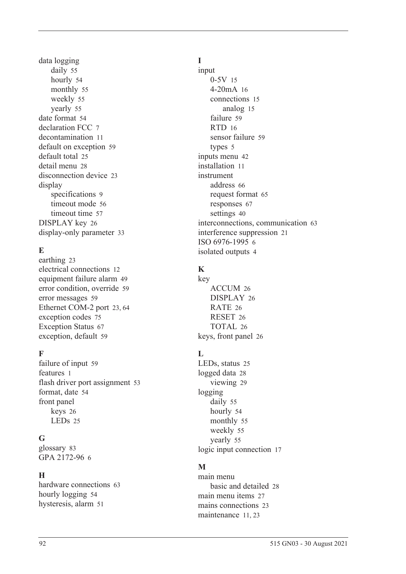data logging daily [55](#page-64-0) hourl[y 54](#page-63-1) monthly [55](#page-64-1) weekl[y 55](#page-64-2) yearly [55](#page-64-3) date format [54](#page-63-0) declaration FCC [7](#page-16-1) decontamination [11](#page-20-0) default on exception [59](#page-68-1) default tota[l 25](#page-34-0) detail men[u 28](#page-37-0) disconnection device [23](#page-32-1) display specifications [9](#page-18-0) timeout mod[e 56](#page-65-0) timeout time [57](#page-66-0) DISPLAY key [26](#page-35-1) display-only parameter [33](#page-42-1)

# **E**

earthin[g 23](#page-32-2) electrical connections [12](#page-21-1) equipment failure alarm [49](#page-58-0) error condition, overrid[e 59](#page-68-2) error message[s 59](#page-68-3) Ethernet COM-2 por[t 23,](#page-32-3) [64](#page-73-2) exception codes [75](#page-84-1) Exception Status [67](#page-76-0) exception, default [59](#page-68-1)

### **F**

failure of input [59](#page-68-0) features [1](#page-10-1) flash driver port assignmen[t 53](#page-62-3) format, date [54](#page-63-0) front panel keys [26](#page-35-2) LEDs [25](#page-34-1)

### **G**

glossary [83](#page-92-1) GPA 2172-96 [6](#page-15-0)

### **H**

hardware connections [63](#page-72-3) hourly logging [54](#page-63-1) hysteresis, alar[m 51](#page-60-0)

# **I**

input 0-5[V 15](#page-24-0) 4-20mA [16](#page-25-0) connections [15](#page-24-2) analog [15](#page-24-1) failure [59](#page-68-0) RTD [16](#page-25-1) sensor failure [59](#page-68-0) types [5](#page-14-1) inputs menu [42](#page-51-0) installation [11](#page-20-1) instrument address [66](#page-75-0) request forma[t 65](#page-74-2) response[s 67](#page-76-1) setting[s 40](#page-49-1) interconnections, communication [63](#page-72-3) interference suppression [21](#page-30-0) ISO 6976-1995 [6](#page-15-1) isolated output[s 4](#page-13-2)

# **K**

key ACCUM [26](#page-35-0) DISPLA[Y 26](#page-35-1) RATE [26](#page-35-3) RESE[T 26](#page-35-4) TOTAL [26](#page-35-5) keys, front panel [26](#page-35-2)

# **L**

LEDs, status [25](#page-34-1) logged dat[a 28](#page-37-1) viewin[g 29](#page-38-0) logging daily [55](#page-64-0) hourly [54](#page-63-1) monthly [55](#page-64-1) weekl[y 55](#page-64-2) yearly [55](#page-64-3) logic input connection [17](#page-26-0)

# **M**

main menu basic and detailed [28](#page-37-0) main menu item[s 27](#page-36-0) mains connections [23](#page-32-0) maintenanc[e 11,](#page-20-1) [23](#page-32-4)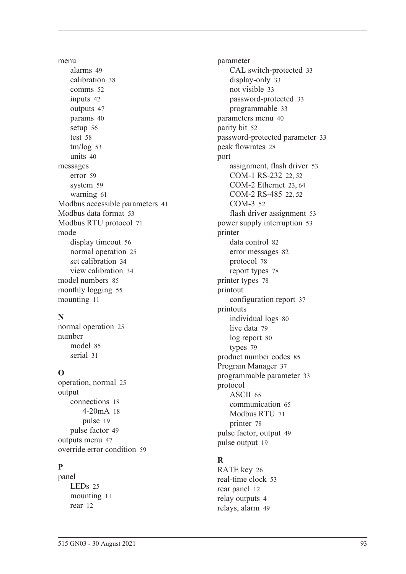menu alarm[s 49](#page-58-2) calibratio[n 38](#page-47-0) comms [52](#page-61-2) input[s 42](#page-51-0) output[s 47](#page-56-0) params [40](#page-49-2) setu[p 56](#page-65-1) test [58](#page-67-0) tm/lo[g 53](#page-62-4) unit[s 40](#page-49-3) messages erro[r 59](#page-68-3) syste[m 59](#page-68-4) warnin[g 61](#page-70-0) Modbus accessible parameters [41](#page-50-0) Modbus data forma[t 53](#page-62-5) Modbus RTU protoco[l 71](#page-80-0) mode display timeou[t 56](#page-65-0) normal operatio[n 25](#page-34-2) set calibration [34](#page-43-0) view calibration [34](#page-43-1) model number[s 85](#page-94-1) monthly logging [55](#page-64-1) mountin[g 11](#page-20-2)

### **N**

normal operatio[n 25](#page-34-2) number mode[l 85](#page-94-1) seria[l 31](#page-40-1)

# **O**

operation, norma[l 25](#page-34-2) output connection[s 18](#page-27-1) 4-20m[A 18](#page-27-0) puls[e 19](#page-28-0) pulse facto[r 49](#page-58-3) outputs men[u 47](#page-56-0) override error condition [59](#page-68-2)

# **P**

panel LED[s 25](#page-34-1) mountin[g 11](#page-20-2) rear [12](#page-21-0)

parameter CAL switch-protected [33](#page-42-0) display-only [33](#page-42-1) not visibl[e 33](#page-42-2) password-protected [33](#page-42-3) programmable [33](#page-42-4) parameters men[u 40](#page-49-2) parity bit [52](#page-61-3) password-protected parameter [33](#page-42-3) peak flowrate[s 28](#page-37-2) port assignment, flash driver [53](#page-62-3) COM-1 RS-232 [22,](#page-31-1) [52](#page-61-4) COM-2 Ethernet [23,](#page-32-3) [64](#page-73-2) COM-2 RS-485 [22,](#page-31-2) [52](#page-61-5) COM-[3 52](#page-61-6) flash driver assignment [53](#page-62-3) power supply interruption [53](#page-62-1) printer data control [82](#page-91-0) error messages [82](#page-91-1) protocol [78](#page-87-2) report types [78](#page-87-3) printer type[s 78](#page-87-4) printout configuration repor[t 37](#page-46-2) printouts individual logs [80](#page-89-0) live data [79](#page-88-0) log report [80](#page-89-1) type[s 79](#page-88-1) product number codes [85](#page-94-0) Program Manager [37](#page-46-1) programmable parameter [33](#page-42-4) protocol ASCI[I 65](#page-74-0) communication [65](#page-74-1) Modbus RT[U 71](#page-80-0) printer [78](#page-87-2) pulse factor, output [49](#page-58-3) pulse output [19](#page-28-0)

# **R**

RATE key [26](#page-35-3) real-time cloc[k 53](#page-62-2) rear panel [12](#page-21-0) relay output[s 4](#page-13-3) relays, alarm [49](#page-58-1)